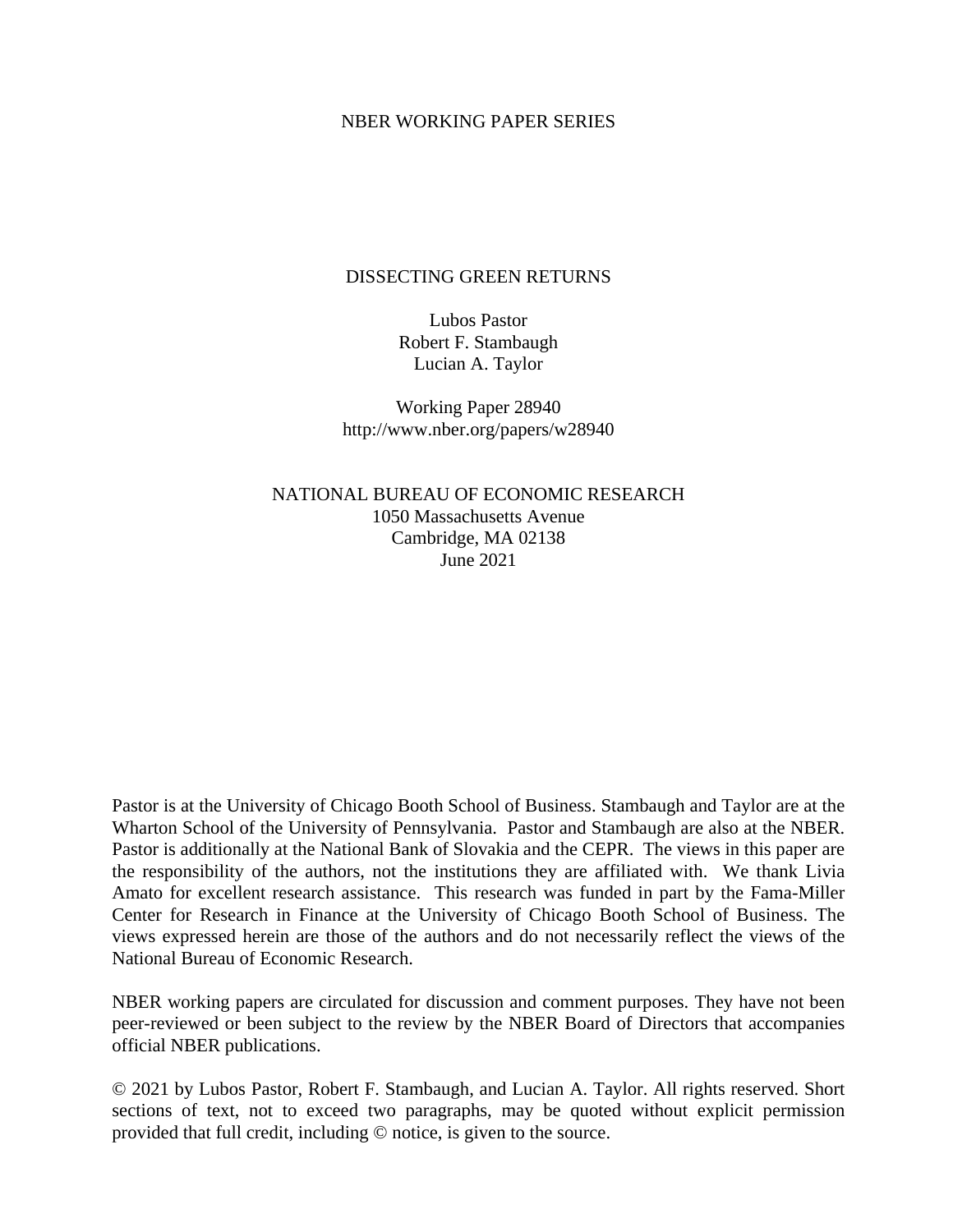#### NBER WORKING PAPER SERIES

#### DISSECTING GREEN RETURNS

Lubos Pastor Robert F. Stambaugh Lucian A. Taylor

Working Paper 28940 http://www.nber.org/papers/w28940

NATIONAL BUREAU OF ECONOMIC RESEARCH 1050 Massachusetts Avenue Cambridge, MA 02138 June 2021

Pastor is at the University of Chicago Booth School of Business. Stambaugh and Taylor are at the Wharton School of the University of Pennsylvania. Pastor and Stambaugh are also at the NBER. Pastor is additionally at the National Bank of Slovakia and the CEPR. The views in this paper are the responsibility of the authors, not the institutions they are affiliated with. We thank Livia Amato for excellent research assistance. This research was funded in part by the Fama-Miller Center for Research in Finance at the University of Chicago Booth School of Business. The views expressed herein are those of the authors and do not necessarily reflect the views of the National Bureau of Economic Research.

NBER working papers are circulated for discussion and comment purposes. They have not been peer-reviewed or been subject to the review by the NBER Board of Directors that accompanies official NBER publications.

© 2021 by Lubos Pastor, Robert F. Stambaugh, and Lucian A. Taylor. All rights reserved. Short sections of text, not to exceed two paragraphs, may be quoted without explicit permission provided that full credit, including © notice, is given to the source.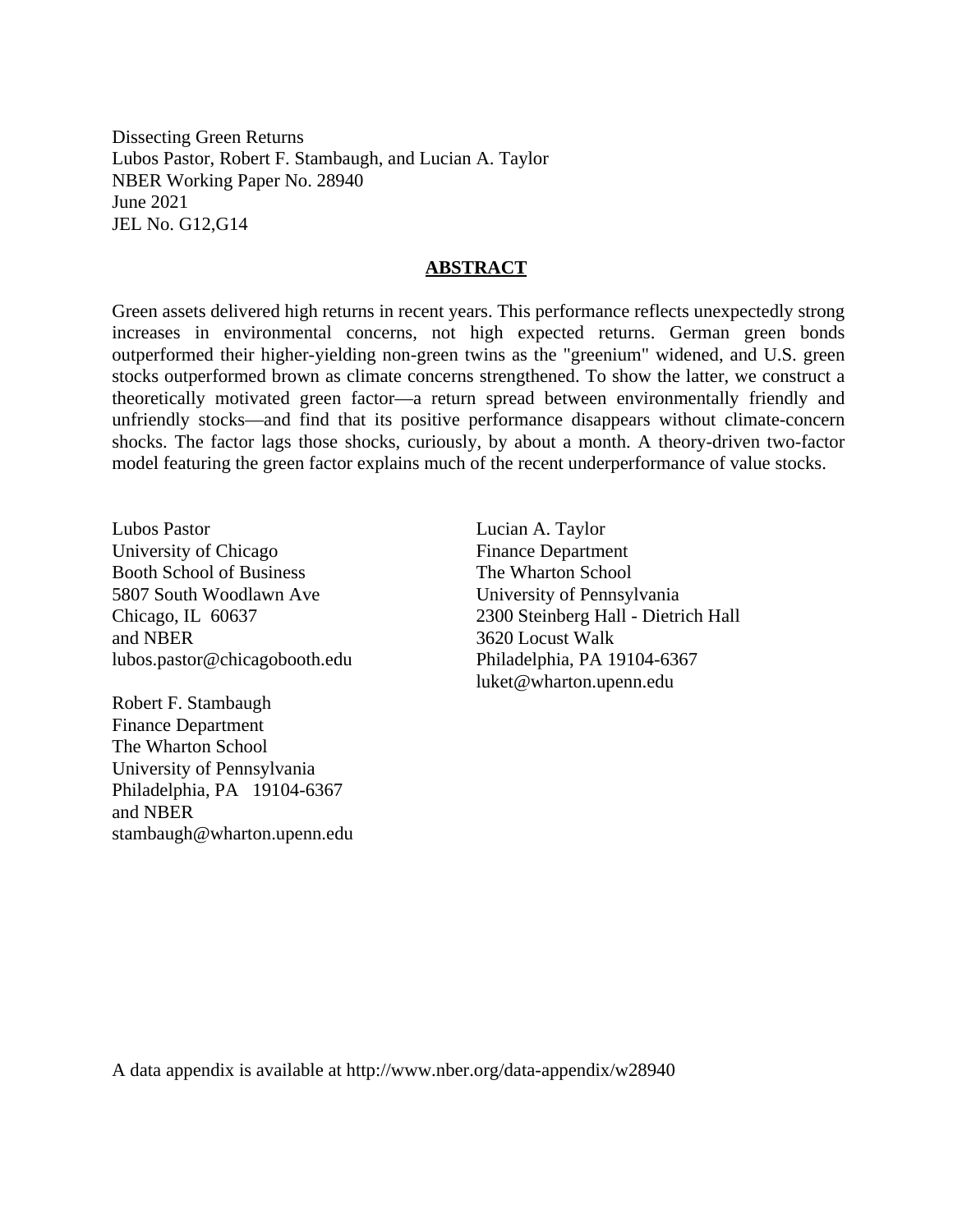Dissecting Green Returns Lubos Pastor, Robert F. Stambaugh, and Lucian A. Taylor NBER Working Paper No. 28940 June 2021 JEL No. G12,G14

#### **ABSTRACT**

Green assets delivered high returns in recent years. This performance reflects unexpectedly strong increases in environmental concerns, not high expected returns. German green bonds outperformed their higher-yielding non-green twins as the "greenium" widened, and U.S. green stocks outperformed brown as climate concerns strengthened. To show the latter, we construct a theoretically motivated green factor—a return spread between environmentally friendly and unfriendly stocks—and find that its positive performance disappears without climate-concern shocks. The factor lags those shocks, curiously, by about a month. A theory-driven two-factor model featuring the green factor explains much of the recent underperformance of value stocks.

Lubos Pastor University of Chicago Booth School of Business 5807 South Woodlawn Ave Chicago, IL 60637 and NBER lubos.pastor@chicagobooth.edu

Robert F. Stambaugh Finance Department The Wharton School University of Pennsylvania Philadelphia, PA 19104-6367 and NBER stambaugh@wharton.upenn.edu Lucian A. Taylor Finance Department The Wharton School University of Pennsylvania 2300 Steinberg Hall - Dietrich Hall 3620 Locust Walk Philadelphia, PA 19104-6367 luket@wharton.upenn.edu

A data appendix is available at http://www.nber.org/data-appendix/w28940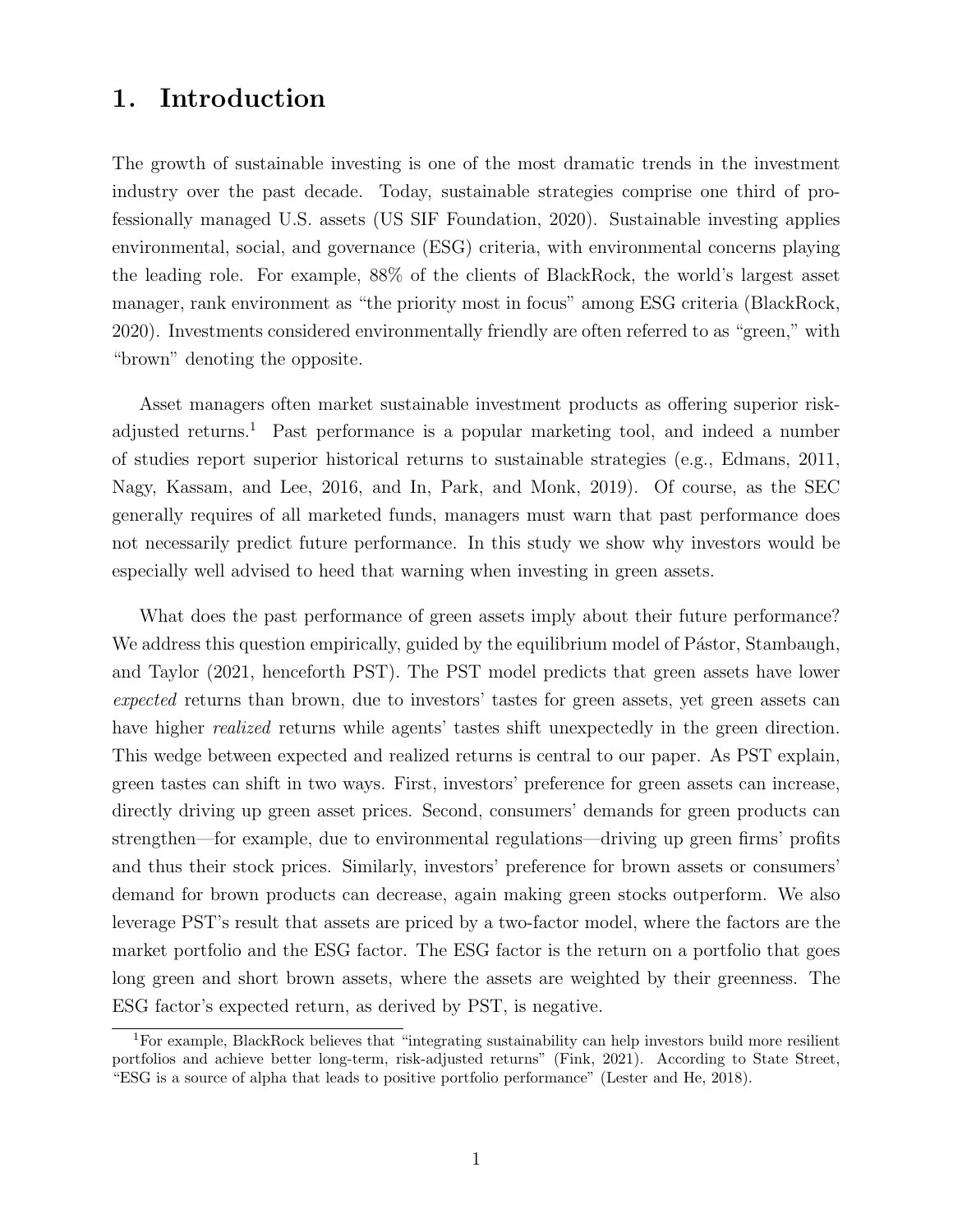# 1. Introduction

The growth of sustainable investing is one of the most dramatic trends in the investment industry over the past decade. Today, sustainable strategies comprise one third of professionally managed U.S. assets (US SIF Foundation, 2020). Sustainable investing applies environmental, social, and governance (ESG) criteria, with environmental concerns playing the leading role. For example, 88% of the clients of BlackRock, the world's largest asset manager, rank environment as "the priority most in focus" among ESG criteria (BlackRock, 2020). Investments considered environmentally friendly are often referred to as "green," with "brown" denoting the opposite.

Asset managers often market sustainable investment products as offering superior riskadjusted returns.<sup>1</sup> Past performance is a popular marketing tool, and indeed a number of studies report superior historical returns to sustainable strategies (e.g., Edmans, 2011, Nagy, Kassam, and Lee, 2016, and In, Park, and Monk, 2019). Of course, as the SEC generally requires of all marketed funds, managers must warn that past performance does not necessarily predict future performance. In this study we show why investors would be especially well advised to heed that warning when investing in green assets.

What does the past performance of green assets imply about their future performance? We address this question empirically, guided by the equilibrium model of Pástor, Stambaugh, and Taylor (2021, henceforth PST). The PST model predicts that green assets have lower expected returns than brown, due to investors' tastes for green assets, yet green assets can have higher *realized* returns while agents' tastes shift unexpectedly in the green direction. This wedge between expected and realized returns is central to our paper. As PST explain, green tastes can shift in two ways. First, investors' preference for green assets can increase, directly driving up green asset prices. Second, consumers' demands for green products can strengthen—for example, due to environmental regulations—driving up green firms' profits and thus their stock prices. Similarly, investors' preference for brown assets or consumers' demand for brown products can decrease, again making green stocks outperform. We also leverage PST's result that assets are priced by a two-factor model, where the factors are the market portfolio and the ESG factor. The ESG factor is the return on a portfolio that goes long green and short brown assets, where the assets are weighted by their greenness. The ESG factor's expected return, as derived by PST, is negative.

<sup>1</sup>For example, BlackRock believes that "integrating sustainability can help investors build more resilient portfolios and achieve better long-term, risk-adjusted returns" (Fink, 2021). According to State Street, "ESG is a source of alpha that leads to positive portfolio performance" (Lester and He, 2018).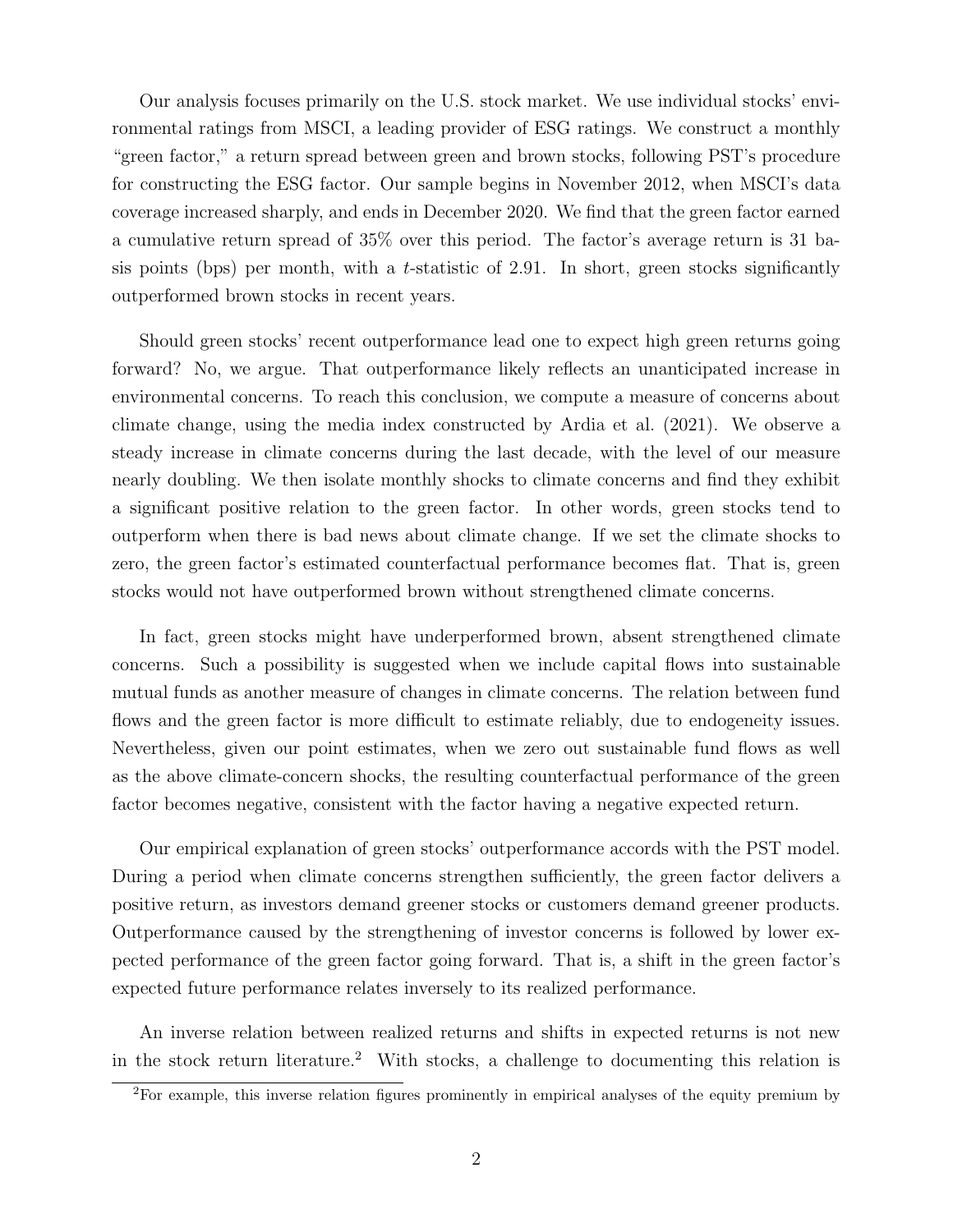Our analysis focuses primarily on the U.S. stock market. We use individual stocks' environmental ratings from MSCI, a leading provider of ESG ratings. We construct a monthly "green factor," a return spread between green and brown stocks, following PST's procedure for constructing the ESG factor. Our sample begins in November 2012, when MSCI's data coverage increased sharply, and ends in December 2020. We find that the green factor earned a cumulative return spread of 35% over this period. The factor's average return is 31 basis points (bps) per month, with a t-statistic of 2.91. In short, green stocks significantly outperformed brown stocks in recent years.

Should green stocks' recent outperformance lead one to expect high green returns going forward? No, we argue. That outperformance likely reflects an unanticipated increase in environmental concerns. To reach this conclusion, we compute a measure of concerns about climate change, using the media index constructed by Ardia et al. (2021). We observe a steady increase in climate concerns during the last decade, with the level of our measure nearly doubling. We then isolate monthly shocks to climate concerns and find they exhibit a significant positive relation to the green factor. In other words, green stocks tend to outperform when there is bad news about climate change. If we set the climate shocks to zero, the green factor's estimated counterfactual performance becomes flat. That is, green stocks would not have outperformed brown without strengthened climate concerns.

In fact, green stocks might have underperformed brown, absent strengthened climate concerns. Such a possibility is suggested when we include capital flows into sustainable mutual funds as another measure of changes in climate concerns. The relation between fund flows and the green factor is more difficult to estimate reliably, due to endogeneity issues. Nevertheless, given our point estimates, when we zero out sustainable fund flows as well as the above climate-concern shocks, the resulting counterfactual performance of the green factor becomes negative, consistent with the factor having a negative expected return.

Our empirical explanation of green stocks' outperformance accords with the PST model. During a period when climate concerns strengthen sufficiently, the green factor delivers a positive return, as investors demand greener stocks or customers demand greener products. Outperformance caused by the strengthening of investor concerns is followed by lower expected performance of the green factor going forward. That is, a shift in the green factor's expected future performance relates inversely to its realized performance.

An inverse relation between realized returns and shifts in expected returns is not new in the stock return literature.<sup>2</sup> With stocks, a challenge to documenting this relation is

<sup>2</sup>For example, this inverse relation figures prominently in empirical analyses of the equity premium by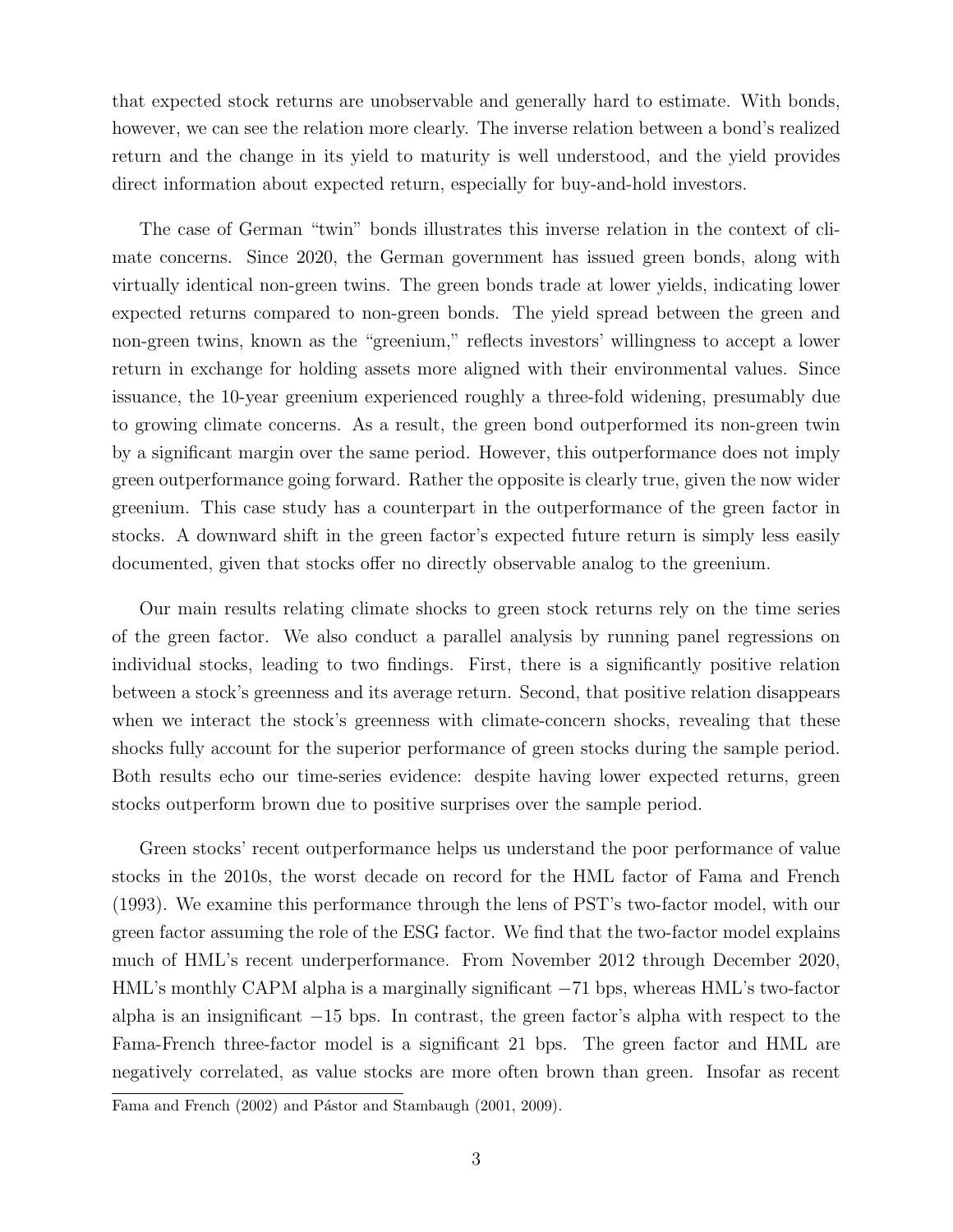that expected stock returns are unobservable and generally hard to estimate. With bonds, however, we can see the relation more clearly. The inverse relation between a bond's realized return and the change in its yield to maturity is well understood, and the yield provides direct information about expected return, especially for buy-and-hold investors.

The case of German "twin" bonds illustrates this inverse relation in the context of climate concerns. Since 2020, the German government has issued green bonds, along with virtually identical non-green twins. The green bonds trade at lower yields, indicating lower expected returns compared to non-green bonds. The yield spread between the green and non-green twins, known as the "greenium," reflects investors' willingness to accept a lower return in exchange for holding assets more aligned with their environmental values. Since issuance, the 10-year greenium experienced roughly a three-fold widening, presumably due to growing climate concerns. As a result, the green bond outperformed its non-green twin by a significant margin over the same period. However, this outperformance does not imply green outperformance going forward. Rather the opposite is clearly true, given the now wider greenium. This case study has a counterpart in the outperformance of the green factor in stocks. A downward shift in the green factor's expected future return is simply less easily documented, given that stocks offer no directly observable analog to the greenium.

Our main results relating climate shocks to green stock returns rely on the time series of the green factor. We also conduct a parallel analysis by running panel regressions on individual stocks, leading to two findings. First, there is a significantly positive relation between a stock's greenness and its average return. Second, that positive relation disappears when we interact the stock's greenness with climate-concern shocks, revealing that these shocks fully account for the superior performance of green stocks during the sample period. Both results echo our time-series evidence: despite having lower expected returns, green stocks outperform brown due to positive surprises over the sample period.

Green stocks' recent outperformance helps us understand the poor performance of value stocks in the 2010s, the worst decade on record for the HML factor of Fama and French (1993). We examine this performance through the lens of PST's two-factor model, with our green factor assuming the role of the ESG factor. We find that the two-factor model explains much of HML's recent underperformance. From November 2012 through December 2020, HML's monthly CAPM alpha is a marginally significant −71 bps, whereas HML's two-factor alpha is an insignificant −15 bps. In contrast, the green factor's alpha with respect to the Fama-French three-factor model is a significant 21 bps. The green factor and HML are negatively correlated, as value stocks are more often brown than green. Insofar as recent

Fama and French (2002) and Pástor and Stambaugh (2001, 2009).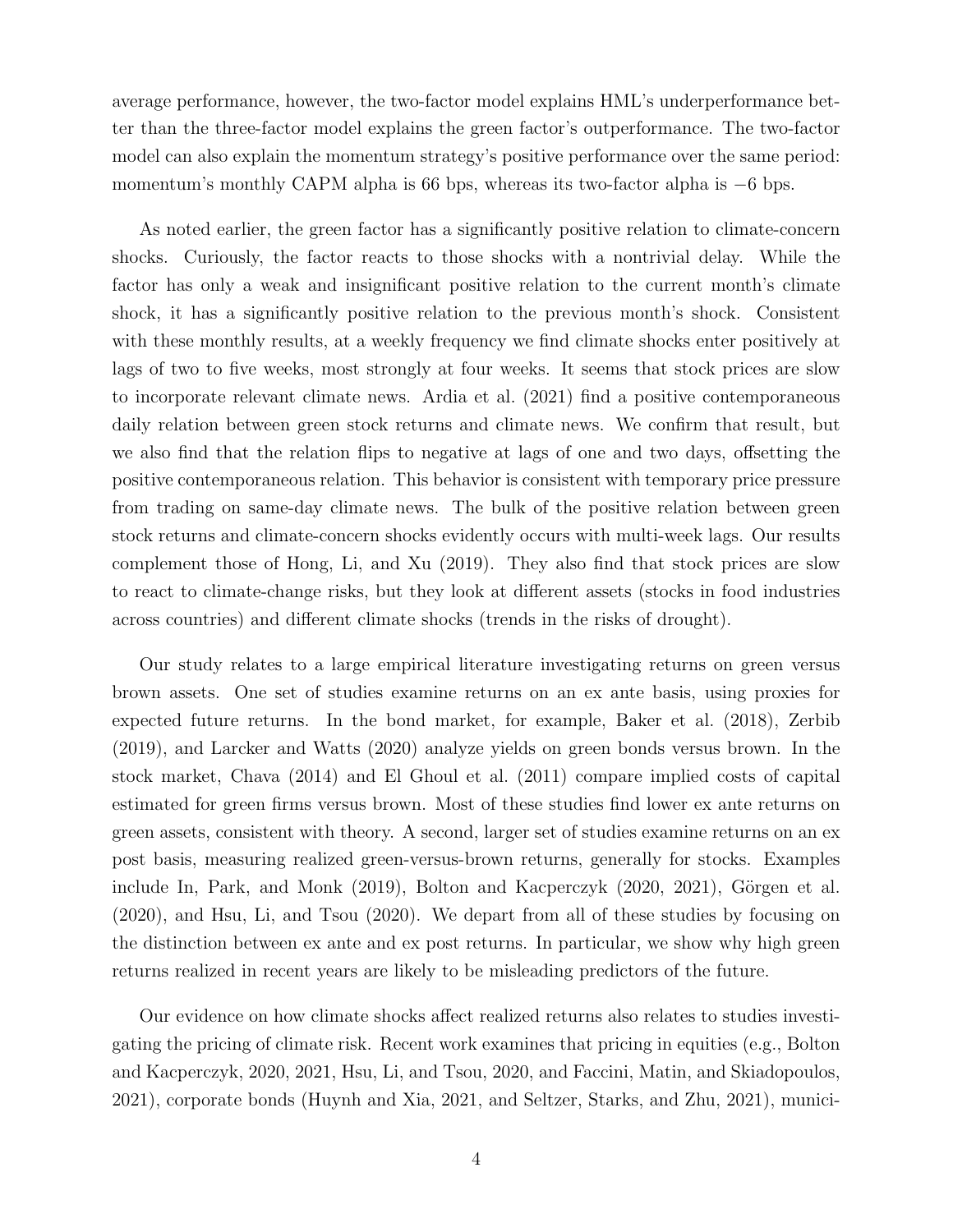average performance, however, the two-factor model explains HML's underperformance better than the three-factor model explains the green factor's outperformance. The two-factor model can also explain the momentum strategy's positive performance over the same period: momentum's monthly CAPM alpha is 66 bps, whereas its two-factor alpha is −6 bps.

As noted earlier, the green factor has a significantly positive relation to climate-concern shocks. Curiously, the factor reacts to those shocks with a nontrivial delay. While the factor has only a weak and insignificant positive relation to the current month's climate shock, it has a significantly positive relation to the previous month's shock. Consistent with these monthly results, at a weekly frequency we find climate shocks enter positively at lags of two to five weeks, most strongly at four weeks. It seems that stock prices are slow to incorporate relevant climate news. Ardia et al. (2021) find a positive contemporaneous daily relation between green stock returns and climate news. We confirm that result, but we also find that the relation flips to negative at lags of one and two days, offsetting the positive contemporaneous relation. This behavior is consistent with temporary price pressure from trading on same-day climate news. The bulk of the positive relation between green stock returns and climate-concern shocks evidently occurs with multi-week lags. Our results complement those of Hong, Li, and Xu (2019). They also find that stock prices are slow to react to climate-change risks, but they look at different assets (stocks in food industries across countries) and different climate shocks (trends in the risks of drought).

Our study relates to a large empirical literature investigating returns on green versus brown assets. One set of studies examine returns on an ex ante basis, using proxies for expected future returns. In the bond market, for example, Baker et al. (2018), Zerbib (2019), and Larcker and Watts (2020) analyze yields on green bonds versus brown. In the stock market, Chava (2014) and El Ghoul et al. (2011) compare implied costs of capital estimated for green firms versus brown. Most of these studies find lower ex ante returns on green assets, consistent with theory. A second, larger set of studies examine returns on an ex post basis, measuring realized green-versus-brown returns, generally for stocks. Examples include In, Park, and Monk  $(2019)$ , Bolton and Kacperczyk  $(2020, 2021)$ , Görgen et al. (2020), and Hsu, Li, and Tsou (2020). We depart from all of these studies by focusing on the distinction between ex ante and ex post returns. In particular, we show why high green returns realized in recent years are likely to be misleading predictors of the future.

Our evidence on how climate shocks affect realized returns also relates to studies investigating the pricing of climate risk. Recent work examines that pricing in equities (e.g., Bolton and Kacperczyk, 2020, 2021, Hsu, Li, and Tsou, 2020, and Faccini, Matin, and Skiadopoulos, 2021), corporate bonds (Huynh and Xia, 2021, and Seltzer, Starks, and Zhu, 2021), munici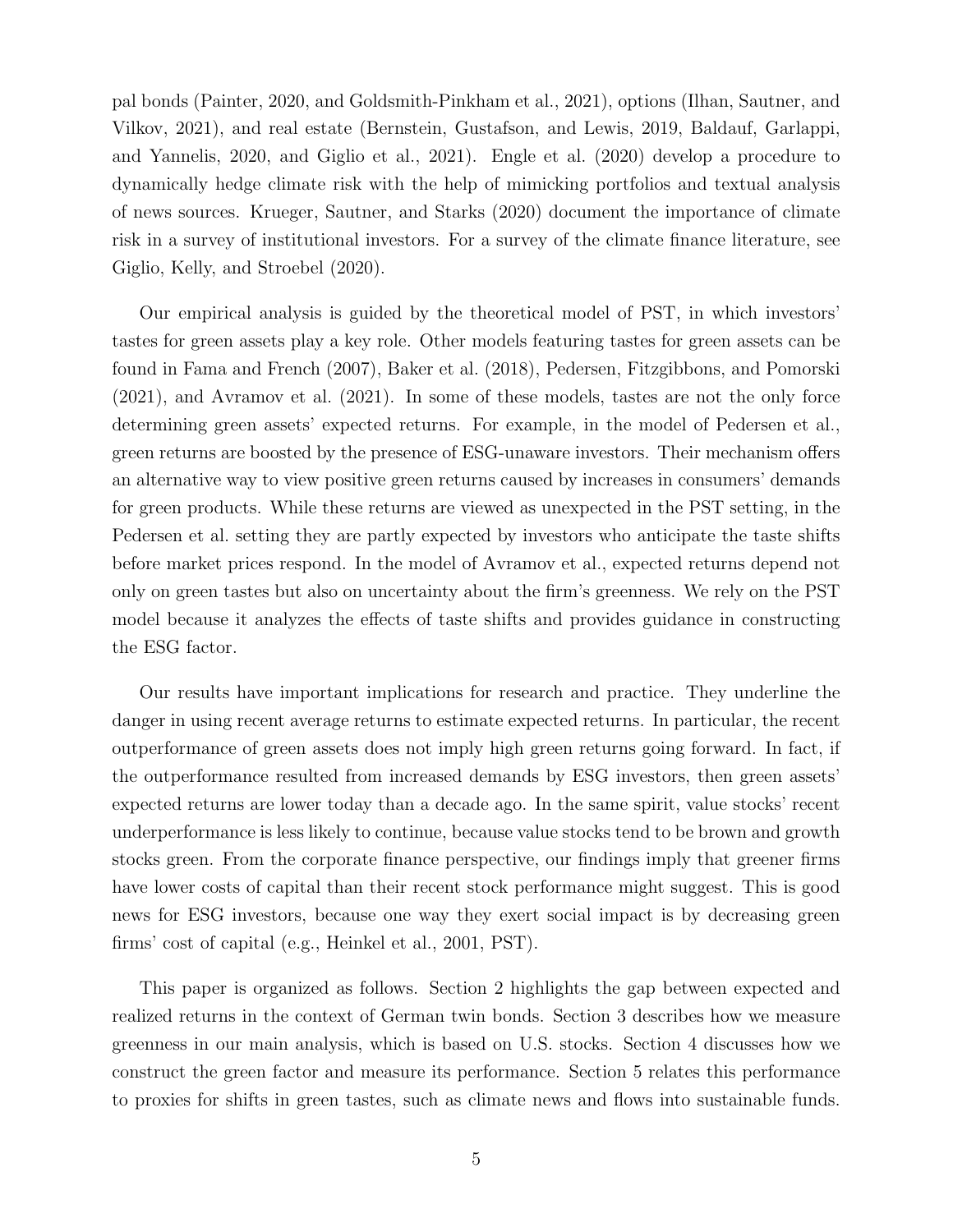pal bonds (Painter, 2020, and Goldsmith-Pinkham et al., 2021), options (Ilhan, Sautner, and Vilkov, 2021), and real estate (Bernstein, Gustafson, and Lewis, 2019, Baldauf, Garlappi, and Yannelis, 2020, and Giglio et al., 2021). Engle et al. (2020) develop a procedure to dynamically hedge climate risk with the help of mimicking portfolios and textual analysis of news sources. Krueger, Sautner, and Starks (2020) document the importance of climate risk in a survey of institutional investors. For a survey of the climate finance literature, see Giglio, Kelly, and Stroebel (2020).

Our empirical analysis is guided by the theoretical model of PST, in which investors' tastes for green assets play a key role. Other models featuring tastes for green assets can be found in Fama and French (2007), Baker et al. (2018), Pedersen, Fitzgibbons, and Pomorski (2021), and Avramov et al. (2021). In some of these models, tastes are not the only force determining green assets' expected returns. For example, in the model of Pedersen et al., green returns are boosted by the presence of ESG-unaware investors. Their mechanism offers an alternative way to view positive green returns caused by increases in consumers' demands for green products. While these returns are viewed as unexpected in the PST setting, in the Pedersen et al. setting they are partly expected by investors who anticipate the taste shifts before market prices respond. In the model of Avramov et al., expected returns depend not only on green tastes but also on uncertainty about the firm's greenness. We rely on the PST model because it analyzes the effects of taste shifts and provides guidance in constructing the ESG factor.

Our results have important implications for research and practice. They underline the danger in using recent average returns to estimate expected returns. In particular, the recent outperformance of green assets does not imply high green returns going forward. In fact, if the outperformance resulted from increased demands by ESG investors, then green assets' expected returns are lower today than a decade ago. In the same spirit, value stocks' recent underperformance is less likely to continue, because value stocks tend to be brown and growth stocks green. From the corporate finance perspective, our findings imply that greener firms have lower costs of capital than their recent stock performance might suggest. This is good news for ESG investors, because one way they exert social impact is by decreasing green firms' cost of capital (e.g., Heinkel et al., 2001, PST).

This paper is organized as follows. Section 2 highlights the gap between expected and realized returns in the context of German twin bonds. Section 3 describes how we measure greenness in our main analysis, which is based on U.S. stocks. Section 4 discusses how we construct the green factor and measure its performance. Section 5 relates this performance to proxies for shifts in green tastes, such as climate news and flows into sustainable funds.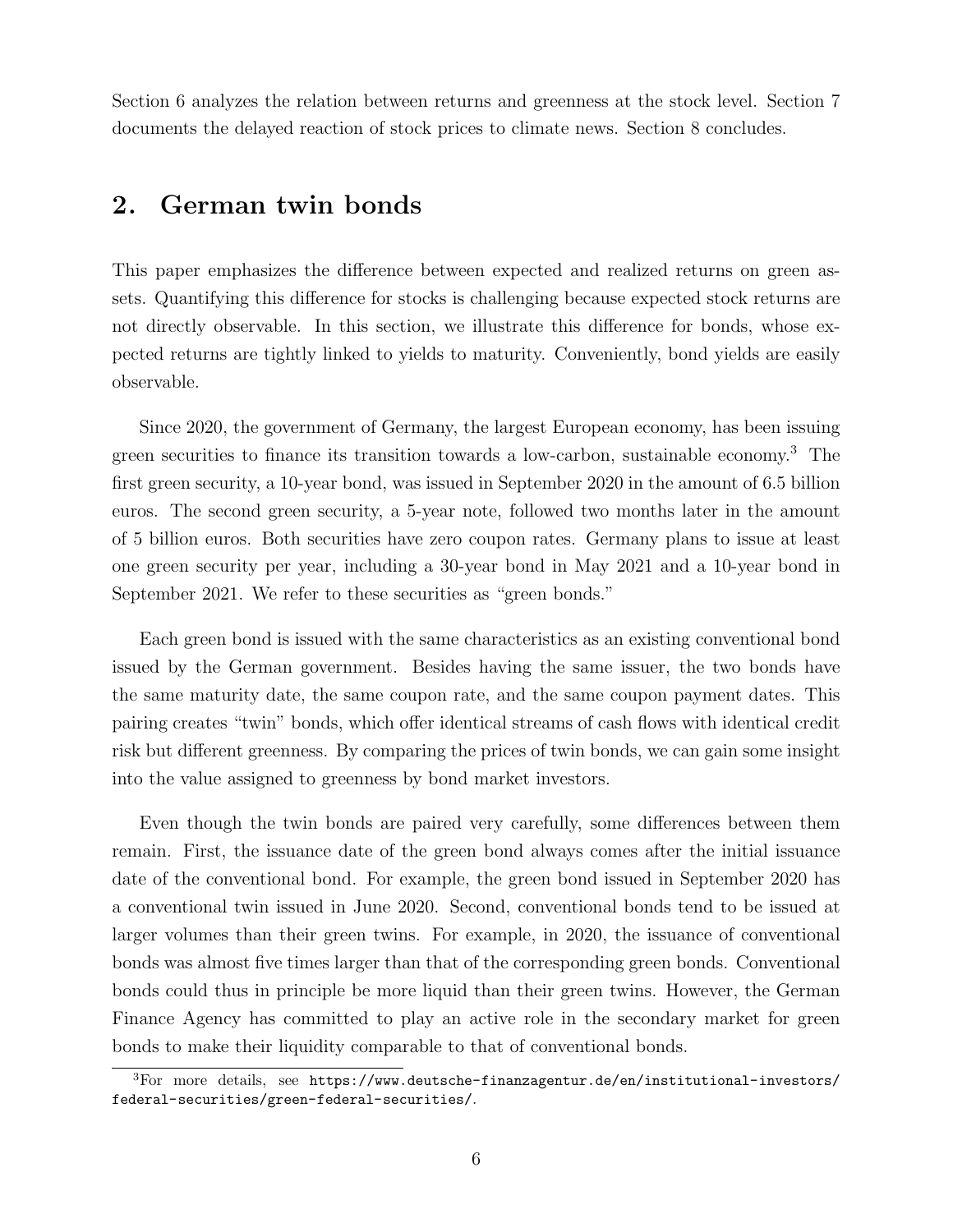Section 6 analyzes the relation between returns and greenness at the stock level. Section 7 documents the delayed reaction of stock prices to climate news. Section 8 concludes.

## 2. German twin bonds

This paper emphasizes the difference between expected and realized returns on green assets. Quantifying this difference for stocks is challenging because expected stock returns are not directly observable. In this section, we illustrate this difference for bonds, whose expected returns are tightly linked to yields to maturity. Conveniently, bond yields are easily observable.

Since 2020, the government of Germany, the largest European economy, has been issuing green securities to finance its transition towards a low-carbon, sustainable economy.<sup>3</sup> The first green security, a 10-year bond, was issued in September 2020 in the amount of 6.5 billion euros. The second green security, a 5-year note, followed two months later in the amount of 5 billion euros. Both securities have zero coupon rates. Germany plans to issue at least one green security per year, including a 30-year bond in May 2021 and a 10-year bond in September 2021. We refer to these securities as "green bonds."

Each green bond is issued with the same characteristics as an existing conventional bond issued by the German government. Besides having the same issuer, the two bonds have the same maturity date, the same coupon rate, and the same coupon payment dates. This pairing creates "twin" bonds, which offer identical streams of cash flows with identical credit risk but different greenness. By comparing the prices of twin bonds, we can gain some insight into the value assigned to greenness by bond market investors.

Even though the twin bonds are paired very carefully, some differences between them remain. First, the issuance date of the green bond always comes after the initial issuance date of the conventional bond. For example, the green bond issued in September 2020 has a conventional twin issued in June 2020. Second, conventional bonds tend to be issued at larger volumes than their green twins. For example, in 2020, the issuance of conventional bonds was almost five times larger than that of the corresponding green bonds. Conventional bonds could thus in principle be more liquid than their green twins. However, the German Finance Agency has committed to play an active role in the secondary market for green bonds to make their liquidity comparable to that of conventional bonds.

 ${}^{3}$ For more details, see https://www.deutsche-finanzagentur.de/en/institutional-investors/ federal-securities/green-federal-securities/.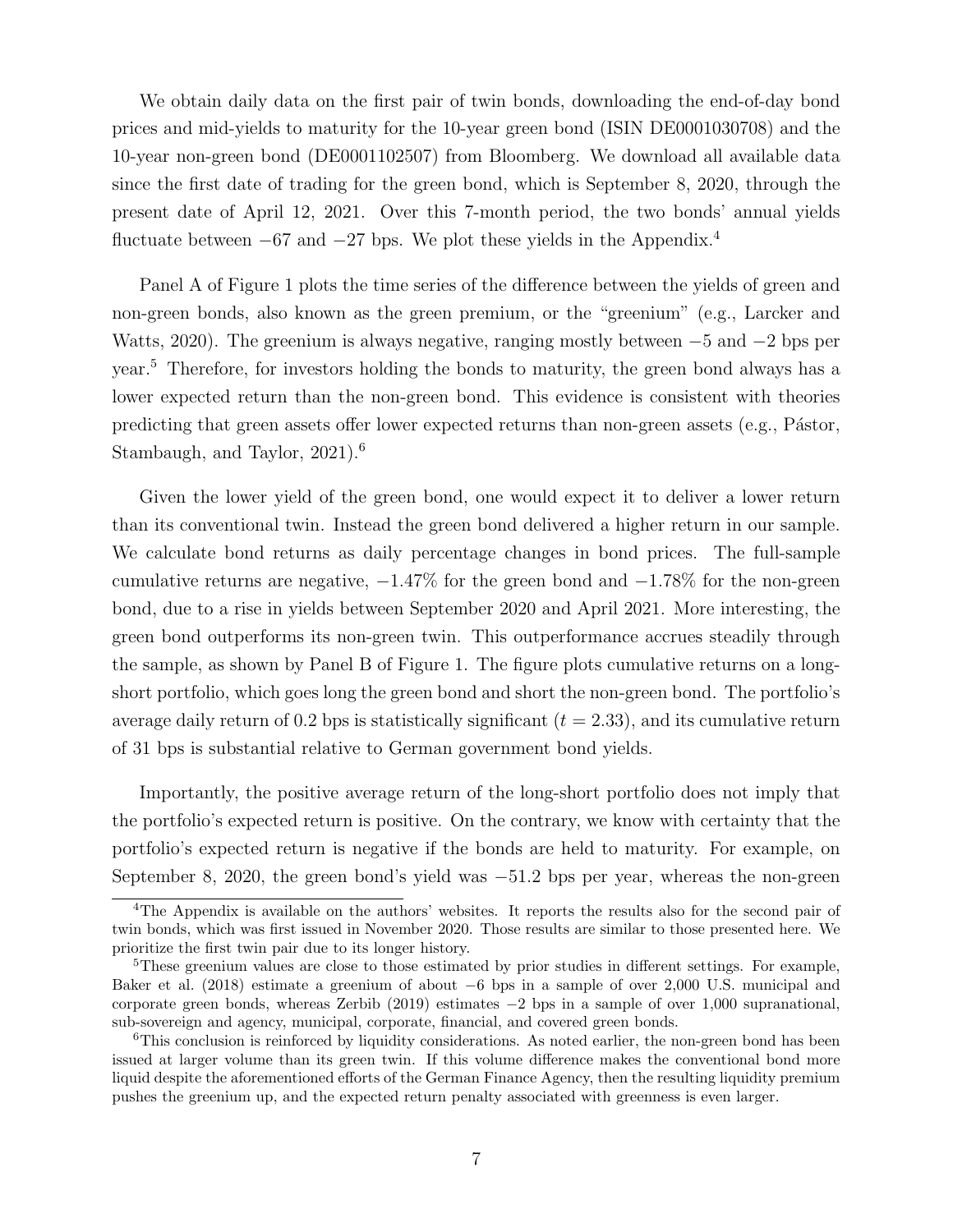We obtain daily data on the first pair of twin bonds, downloading the end-of-day bond prices and mid-yields to maturity for the 10-year green bond (ISIN DE0001030708) and the 10-year non-green bond (DE0001102507) from Bloomberg. We download all available data since the first date of trading for the green bond, which is September 8, 2020, through the present date of April 12, 2021. Over this 7-month period, the two bonds' annual yields fluctuate between  $-67$  and  $-27$  bps. We plot these yields in the Appendix.<sup>4</sup>

Panel A of Figure 1 plots the time series of the difference between the yields of green and non-green bonds, also known as the green premium, or the "greenium" (e.g., Larcker and Watts, 2020). The greenium is always negative, ranging mostly between −5 and −2 bps per year.<sup>5</sup> Therefore, for investors holding the bonds to maturity, the green bond always has a lower expected return than the non-green bond. This evidence is consistent with theories predicting that green assets offer lower expected returns than non-green assets (e.g., Pástor, Stambaugh, and Taylor, 2021).<sup>6</sup>

Given the lower yield of the green bond, one would expect it to deliver a lower return than its conventional twin. Instead the green bond delivered a higher return in our sample. We calculate bond returns as daily percentage changes in bond prices. The full-sample cumulative returns are negative,  $-1.47\%$  for the green bond and  $-1.78\%$  for the non-green bond, due to a rise in yields between September 2020 and April 2021. More interesting, the green bond outperforms its non-green twin. This outperformance accrues steadily through the sample, as shown by Panel B of Figure 1. The figure plots cumulative returns on a longshort portfolio, which goes long the green bond and short the non-green bond. The portfolio's average daily return of 0.2 bps is statistically significant  $(t = 2.33)$ , and its cumulative return of 31 bps is substantial relative to German government bond yields.

Importantly, the positive average return of the long-short portfolio does not imply that the portfolio's expected return is positive. On the contrary, we know with certainty that the portfolio's expected return is negative if the bonds are held to maturity. For example, on September 8, 2020, the green bond's yield was −51.2 bps per year, whereas the non-green

<sup>4</sup>The Appendix is available on the authors' websites. It reports the results also for the second pair of twin bonds, which was first issued in November 2020. Those results are similar to those presented here. We prioritize the first twin pair due to its longer history.

<sup>&</sup>lt;sup>5</sup>These greenium values are close to those estimated by prior studies in different settings. For example, Baker et al. (2018) estimate a greenium of about −6 bps in a sample of over 2,000 U.S. municipal and corporate green bonds, whereas Zerbib (2019) estimates −2 bps in a sample of over 1,000 supranational, sub-sovereign and agency, municipal, corporate, financial, and covered green bonds.

 $6$ This conclusion is reinforced by liquidity considerations. As noted earlier, the non-green bond has been issued at larger volume than its green twin. If this volume difference makes the conventional bond more liquid despite the aforementioned efforts of the German Finance Agency, then the resulting liquidity premium pushes the greenium up, and the expected return penalty associated with greenness is even larger.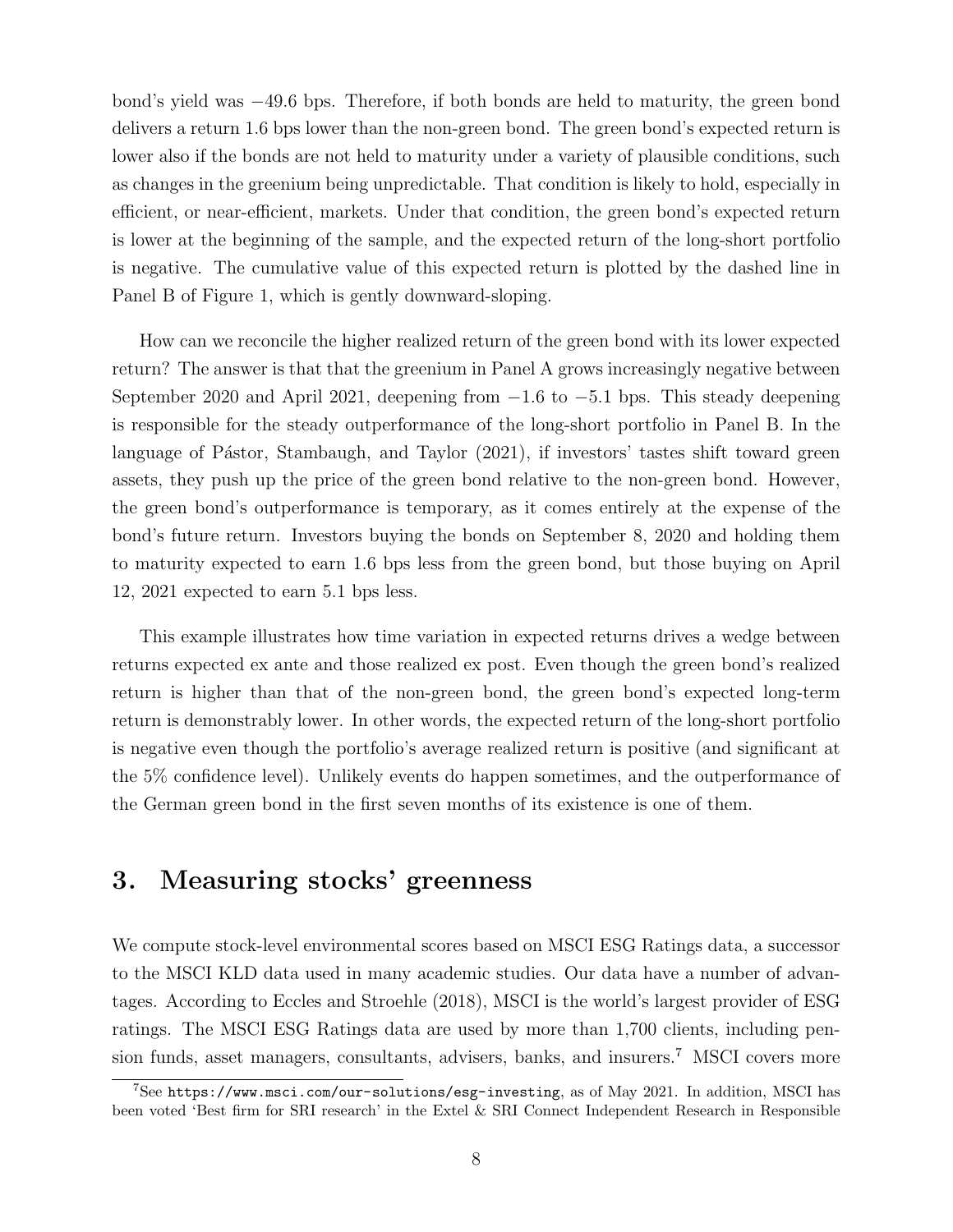bond's yield was −49.6 bps. Therefore, if both bonds are held to maturity, the green bond delivers a return 1.6 bps lower than the non-green bond. The green bond's expected return is lower also if the bonds are not held to maturity under a variety of plausible conditions, such as changes in the greenium being unpredictable. That condition is likely to hold, especially in efficient, or near-efficient, markets. Under that condition, the green bond's expected return is lower at the beginning of the sample, and the expected return of the long-short portfolio is negative. The cumulative value of this expected return is plotted by the dashed line in Panel B of Figure 1, which is gently downward-sloping.

How can we reconcile the higher realized return of the green bond with its lower expected return? The answer is that that the greenium in Panel A grows increasingly negative between September 2020 and April 2021, deepening from −1.6 to −5.1 bps. This steady deepening is responsible for the steady outperformance of the long-short portfolio in Panel B. In the language of Pástor, Stambaugh, and Taylor (2021), if investors' tastes shift toward green assets, they push up the price of the green bond relative to the non-green bond. However, the green bond's outperformance is temporary, as it comes entirely at the expense of the bond's future return. Investors buying the bonds on September 8, 2020 and holding them to maturity expected to earn 1.6 bps less from the green bond, but those buying on April 12, 2021 expected to earn 5.1 bps less.

This example illustrates how time variation in expected returns drives a wedge between returns expected ex ante and those realized ex post. Even though the green bond's realized return is higher than that of the non-green bond, the green bond's expected long-term return is demonstrably lower. In other words, the expected return of the long-short portfolio is negative even though the portfolio's average realized return is positive (and significant at the 5% confidence level). Unlikely events do happen sometimes, and the outperformance of the German green bond in the first seven months of its existence is one of them.

# 3. Measuring stocks' greenness

We compute stock-level environmental scores based on MSCI ESG Ratings data, a successor to the MSCI KLD data used in many academic studies. Our data have a number of advantages. According to Eccles and Stroehle (2018), MSCI is the world's largest provider of ESG ratings. The MSCI ESG Ratings data are used by more than 1,700 clients, including pension funds, asset managers, consultants, advisers, banks, and insurers.<sup>7</sup> MSCI covers more

<sup>7</sup>See https://www.msci.com/our-solutions/esg-investing, as of May 2021. In addition, MSCI has been voted 'Best firm for SRI research' in the Extel & SRI Connect Independent Research in Responsible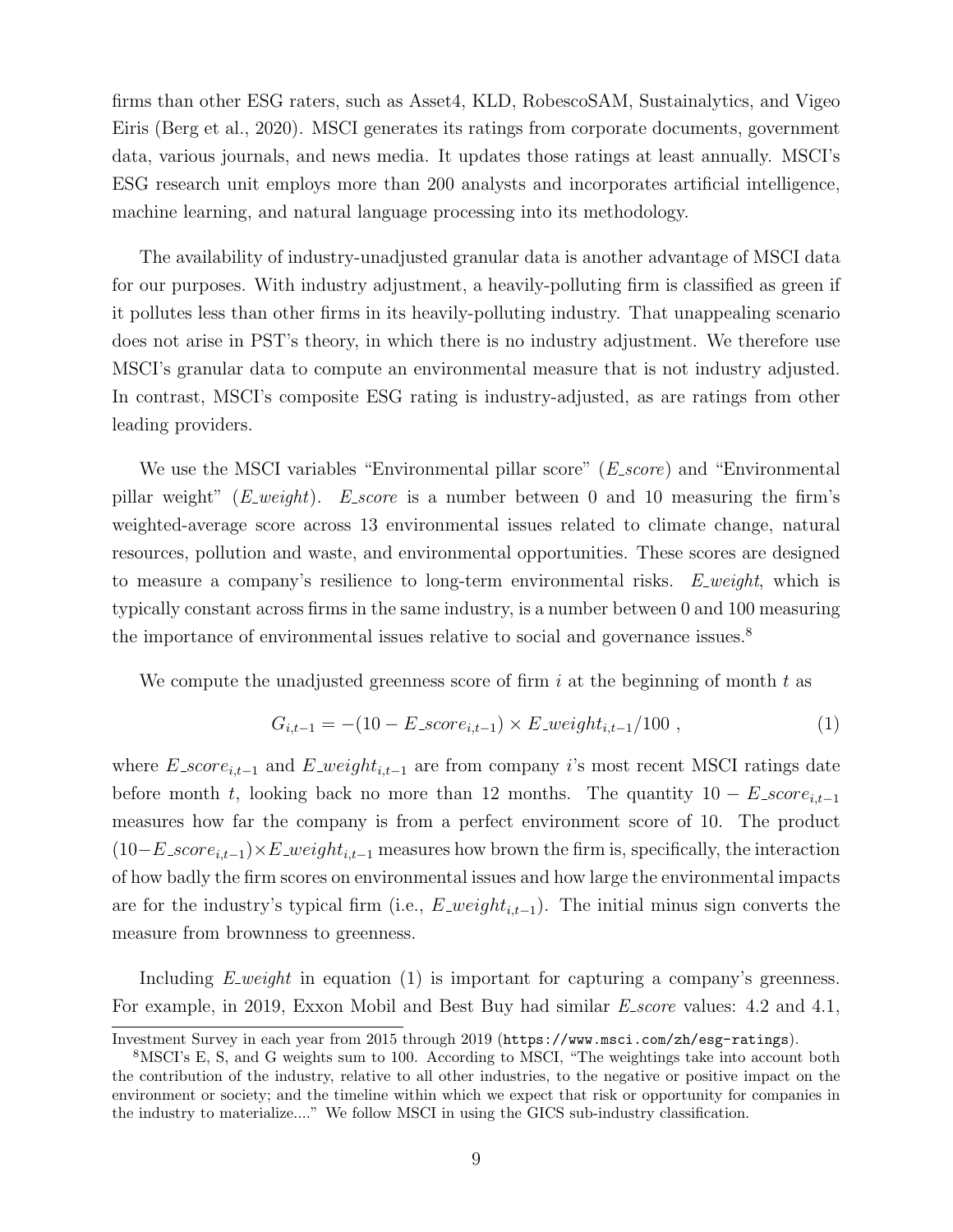firms than other ESG raters, such as Asset4, KLD, RobescoSAM, Sustainalytics, and Vigeo Eiris (Berg et al., 2020). MSCI generates its ratings from corporate documents, government data, various journals, and news media. It updates those ratings at least annually. MSCI's ESG research unit employs more than 200 analysts and incorporates artificial intelligence, machine learning, and natural language processing into its methodology.

The availability of industry-unadjusted granular data is another advantage of MSCI data for our purposes. With industry adjustment, a heavily-polluting firm is classified as green if it pollutes less than other firms in its heavily-polluting industry. That unappealing scenario does not arise in PST's theory, in which there is no industry adjustment. We therefore use MSCI's granular data to compute an environmental measure that is not industry adjusted. In contrast, MSCI's composite ESG rating is industry-adjusted, as are ratings from other leading providers.

We use the MSCI variables "Environmental pillar score" (*E<sub>-score*) and "Environmental</sub> pillar weight"  $(E<sub>-</sub>weight)$ . E<sub>score</sub> is a number between 0 and 10 measuring the firm's weighted-average score across 13 environmental issues related to climate change, natural resources, pollution and waste, and environmental opportunities. These scores are designed to measure a company's resilience to long-term environmental risks.  $E$ -weight, which is typically constant across firms in the same industry, is a number between 0 and 100 measuring the importance of environmental issues relative to social and governance issues.<sup>8</sup>

We compute the unadjusted greenness score of firm i at the beginning of month t as

$$
G_{i,t-1} = -(10 - E\_score_{i,t-1}) \times E\_weight_{i,t-1}/100 , \qquad (1)
$$

where  $E\_score_{i,t-1}$  and  $E\_weight_{i,t-1}$  are from company i's most recent MSCI ratings date before month t, looking back no more than 12 months. The quantity  $10 - E$ \_score<sub>it-1</sub> measures how far the company is from a perfect environment score of 10. The product  $(10-E\_score_{i,t-1})\times E\_weight_{i,t-1}$  measures how brown the firm is, specifically, the interaction of how badly the firm scores on environmental issues and how large the environmental impacts are for the industry's typical firm (i.e.,  $E\_weight_{i,t-1}$ ). The initial minus sign converts the measure from brownness to greenness.

Including  $E$ -weight in equation (1) is important for capturing a company's greenness. For example, in 2019, Exxon Mobil and Best Buy had similar E<sub>-score</sub> values: 4.2 and 4.1,

Investment Survey in each year from 2015 through 2019 (https://www.msci.com/zh/esg-ratings).

<sup>8</sup>MSCI's E, S, and G weights sum to 100. According to MSCI, "The weightings take into account both the contribution of the industry, relative to all other industries, to the negative or positive impact on the environment or society; and the timeline within which we expect that risk or opportunity for companies in the industry to materialize...." We follow MSCI in using the GICS sub-industry classification.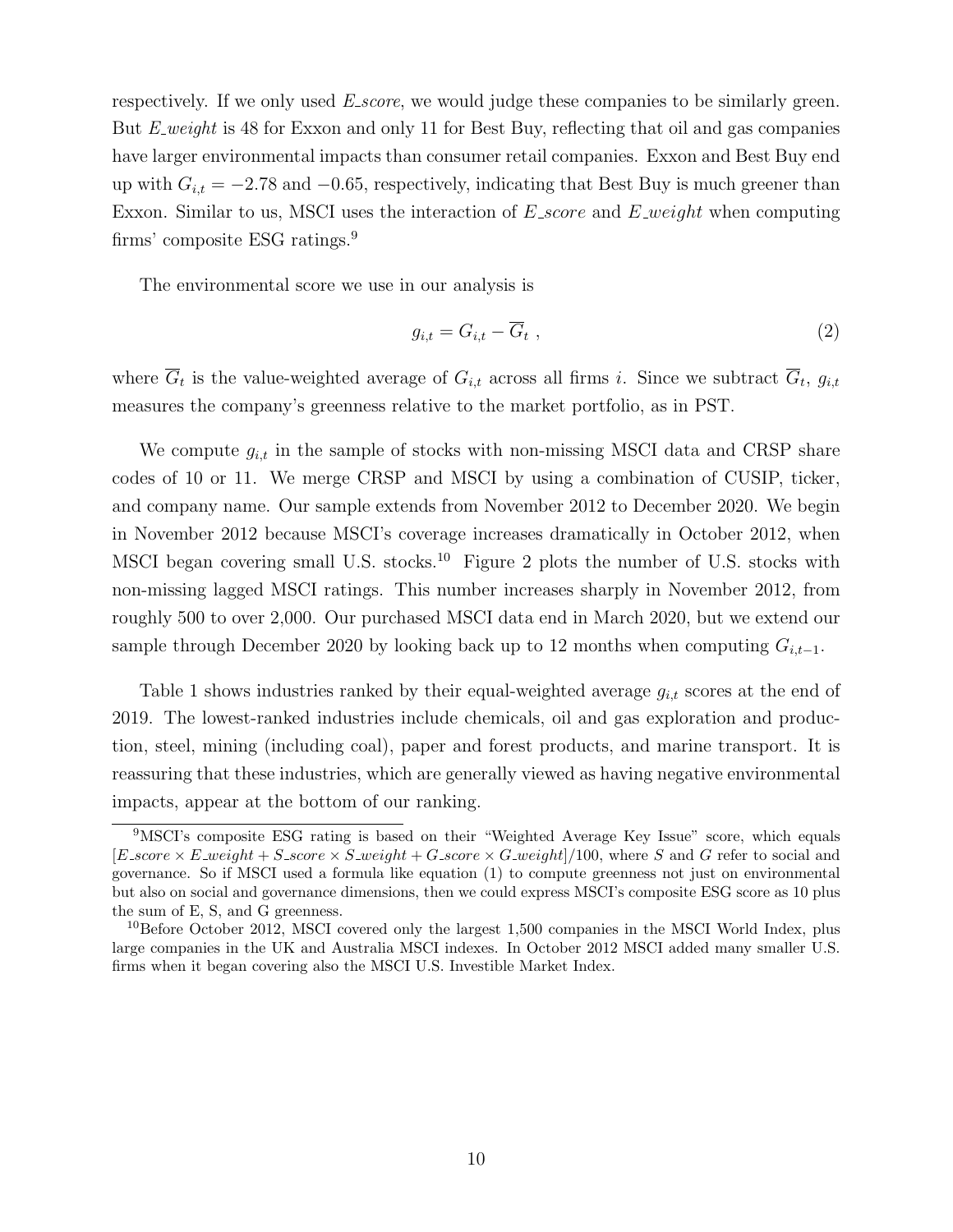respectively. If we only used E<sub></sub> score, we would judge these companies to be similarly green. But E weight is 48 for Exxon and only 11 for Best Buy, reflecting that oil and gas companies have larger environmental impacts than consumer retail companies. Exxon and Best Buy end up with  $G_{i,t} = -2.78$  and  $-0.65$ , respectively, indicating that Best Buy is much greener than Exxon. Similar to us, MSCI uses the interaction of  $E\_score$  and  $E\_weight$  when computing firms' composite ESG ratings.<sup>9</sup>

The environmental score we use in our analysis is

$$
g_{i,t} = G_{i,t} - \overline{G}_t \t\t(2)
$$

where  $\overline{G}_t$  is the value-weighted average of  $G_{i,t}$  across all firms i. Since we subtract  $\overline{G}_t$ ,  $g_{i,t}$ measures the company's greenness relative to the market portfolio, as in PST.

We compute  $g_{i,t}$  in the sample of stocks with non-missing MSCI data and CRSP share codes of 10 or 11. We merge CRSP and MSCI by using a combination of CUSIP, ticker, and company name. Our sample extends from November 2012 to December 2020. We begin in November 2012 because MSCI's coverage increases dramatically in October 2012, when MSCI began covering small U.S. stocks.<sup>10</sup> Figure 2 plots the number of U.S. stocks with non-missing lagged MSCI ratings. This number increases sharply in November 2012, from roughly 500 to over 2,000. Our purchased MSCI data end in March 2020, but we extend our sample through December 2020 by looking back up to 12 months when computing  $G_{i,t-1}$ .

Table 1 shows industries ranked by their equal-weighted average  $g_{i,t}$  scores at the end of 2019. The lowest-ranked industries include chemicals, oil and gas exploration and production, steel, mining (including coal), paper and forest products, and marine transport. It is reassuring that these industries, which are generally viewed as having negative environmental impacts, appear at the bottom of our ranking.

<sup>9</sup>MSCI's composite ESG rating is based on their "Weighted Average Key Issue" score, which equals  $[E\_score \times E\_weight + S\_score \times S\_weight + G\_score \times G\_weight]/100$ , where S and G refer to social and governance. So if MSCI used a formula like equation (1) to compute greenness not just on environmental but also on social and governance dimensions, then we could express MSCI's composite ESG score as 10 plus the sum of E, S, and G greenness.

 $^{10}$ Before October 2012, MSCI covered only the largest 1,500 companies in the MSCI World Index, plus large companies in the UK and Australia MSCI indexes. In October 2012 MSCI added many smaller U.S. firms when it began covering also the MSCI U.S. Investible Market Index.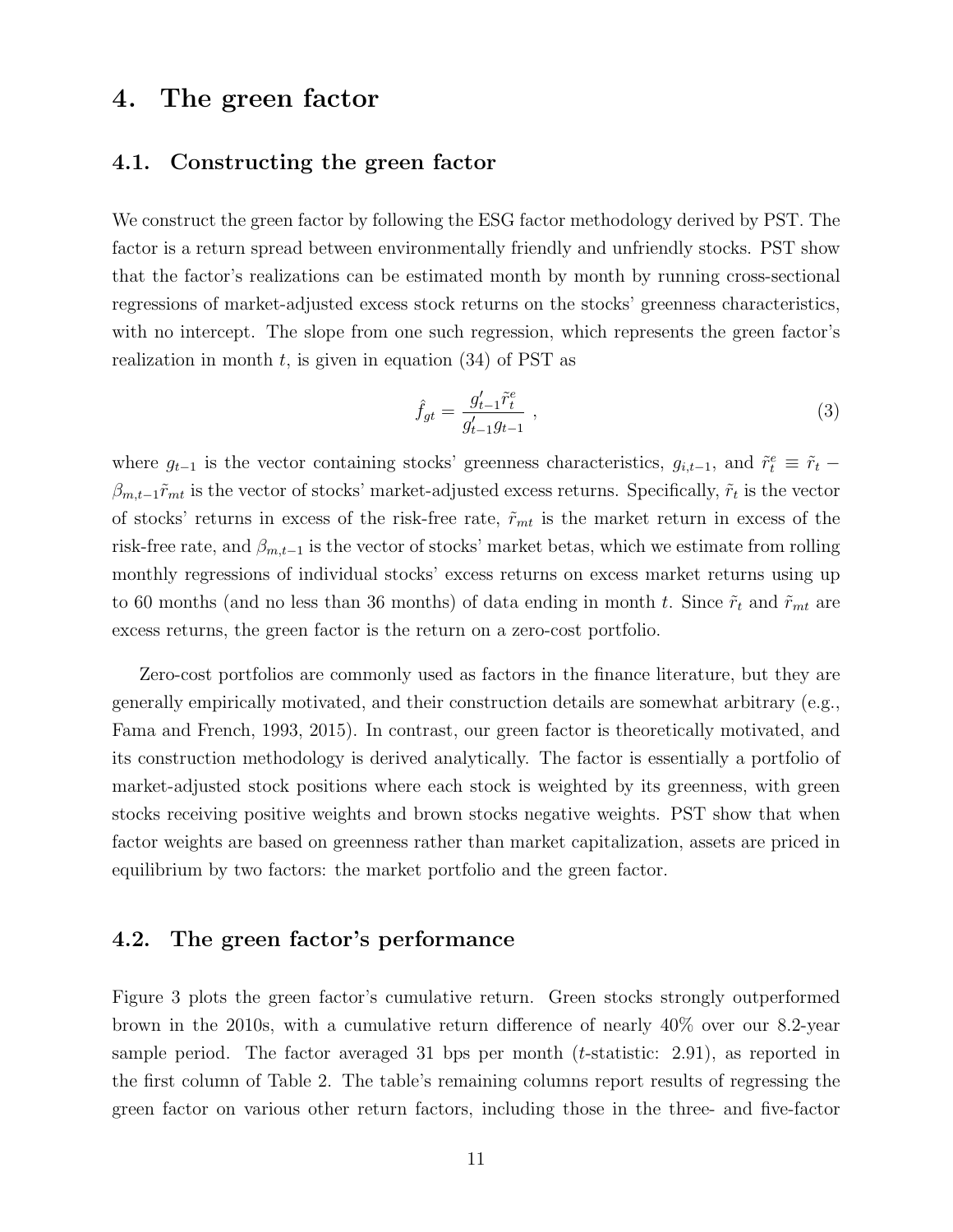# 4. The green factor

#### 4.1. Constructing the green factor

We construct the green factor by following the ESG factor methodology derived by PST. The factor is a return spread between environmentally friendly and unfriendly stocks. PST show that the factor's realizations can be estimated month by month by running cross-sectional regressions of market-adjusted excess stock returns on the stocks' greenness characteristics, with no intercept. The slope from one such regression, which represents the green factor's realization in month  $t$ , is given in equation (34) of PST as

$$
\hat{f}_{gt} = \frac{g_{t-1}' \tilde{r}_t^e}{g_{t-1}' g_{t-1}} \,, \tag{3}
$$

where  $g_{t-1}$  is the vector containing stocks' greenness characteristics,  $g_{i,t-1}$ , and  $\tilde{r}_t^e \equiv \tilde{r}_t$  $\beta_{m,t-1}\tilde{r}_{mt}$  is the vector of stocks' market-adjusted excess returns. Specifically,  $\tilde{r}_t$  is the vector of stocks' returns in excess of the risk-free rate,  $\tilde{r}_{mt}$  is the market return in excess of the risk-free rate, and  $\beta_{m,t-1}$  is the vector of stocks' market betas, which we estimate from rolling monthly regressions of individual stocks' excess returns on excess market returns using up to 60 months (and no less than 36 months) of data ending in month t. Since  $\tilde{r}_t$  and  $\tilde{r}_{mt}$  are excess returns, the green factor is the return on a zero-cost portfolio.

Zero-cost portfolios are commonly used as factors in the finance literature, but they are generally empirically motivated, and their construction details are somewhat arbitrary (e.g., Fama and French, 1993, 2015). In contrast, our green factor is theoretically motivated, and its construction methodology is derived analytically. The factor is essentially a portfolio of market-adjusted stock positions where each stock is weighted by its greenness, with green stocks receiving positive weights and brown stocks negative weights. PST show that when factor weights are based on greenness rather than market capitalization, assets are priced in equilibrium by two factors: the market portfolio and the green factor.

### 4.2. The green factor's performance

Figure 3 plots the green factor's cumulative return. Green stocks strongly outperformed brown in the 2010s, with a cumulative return difference of nearly 40% over our 8.2-year sample period. The factor averaged 31 bps per month (t-statistic: 2.91), as reported in the first column of Table 2. The table's remaining columns report results of regressing the green factor on various other return factors, including those in the three- and five-factor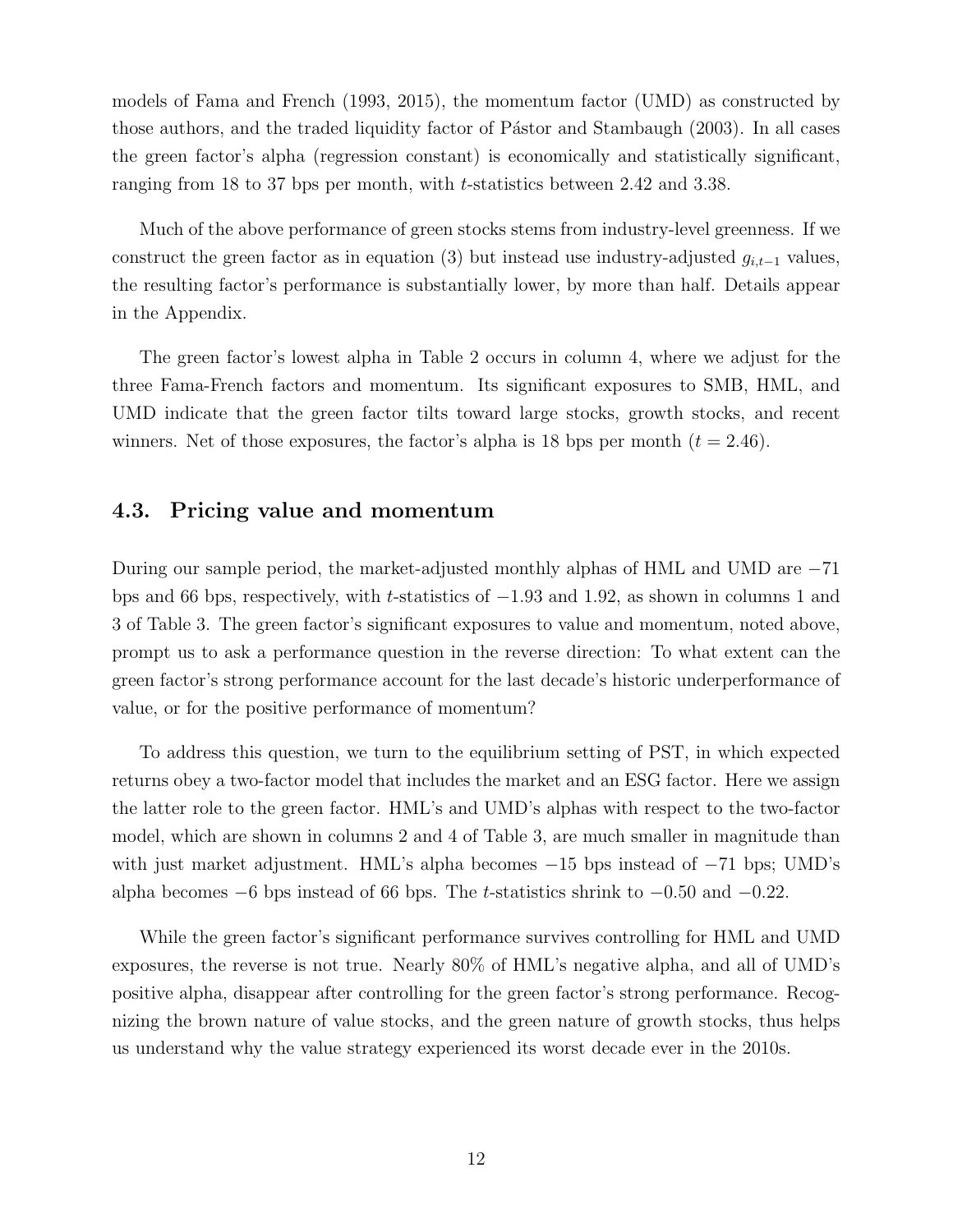models of Fama and French (1993, 2015), the momentum factor (UMD) as constructed by those authors, and the traded liquidity factor of Pástor and Stambaugh (2003). In all cases the green factor's alpha (regression constant) is economically and statistically significant, ranging from 18 to 37 bps per month, with t-statistics between 2.42 and 3.38.

Much of the above performance of green stocks stems from industry-level greenness. If we construct the green factor as in equation (3) but instead use industry-adjusted  $g_{i,t-1}$  values, the resulting factor's performance is substantially lower, by more than half. Details appear in the Appendix.

The green factor's lowest alpha in Table 2 occurs in column 4, where we adjust for the three Fama-French factors and momentum. Its significant exposures to SMB, HML, and UMD indicate that the green factor tilts toward large stocks, growth stocks, and recent winners. Net of those exposures, the factor's alpha is 18 bps per month  $(t = 2.46)$ .

#### 4.3. Pricing value and momentum

During our sample period, the market-adjusted monthly alphas of HML and UMD are −71 bps and 66 bps, respectively, with t-statistics of −1.93 and 1.92, as shown in columns 1 and 3 of Table 3. The green factor's significant exposures to value and momentum, noted above, prompt us to ask a performance question in the reverse direction: To what extent can the green factor's strong performance account for the last decade's historic underperformance of value, or for the positive performance of momentum?

To address this question, we turn to the equilibrium setting of PST, in which expected returns obey a two-factor model that includes the market and an ESG factor. Here we assign the latter role to the green factor. HML's and UMD's alphas with respect to the two-factor model, which are shown in columns 2 and 4 of Table 3, are much smaller in magnitude than with just market adjustment. HML's alpha becomes −15 bps instead of −71 bps; UMD's alpha becomes  $-6$  bps instead of 66 bps. The t-statistics shrink to  $-0.50$  and  $-0.22$ .

While the green factor's significant performance survives controlling for HML and UMD exposures, the reverse is not true. Nearly 80% of HML's negative alpha, and all of UMD's positive alpha, disappear after controlling for the green factor's strong performance. Recognizing the brown nature of value stocks, and the green nature of growth stocks, thus helps us understand why the value strategy experienced its worst decade ever in the 2010s.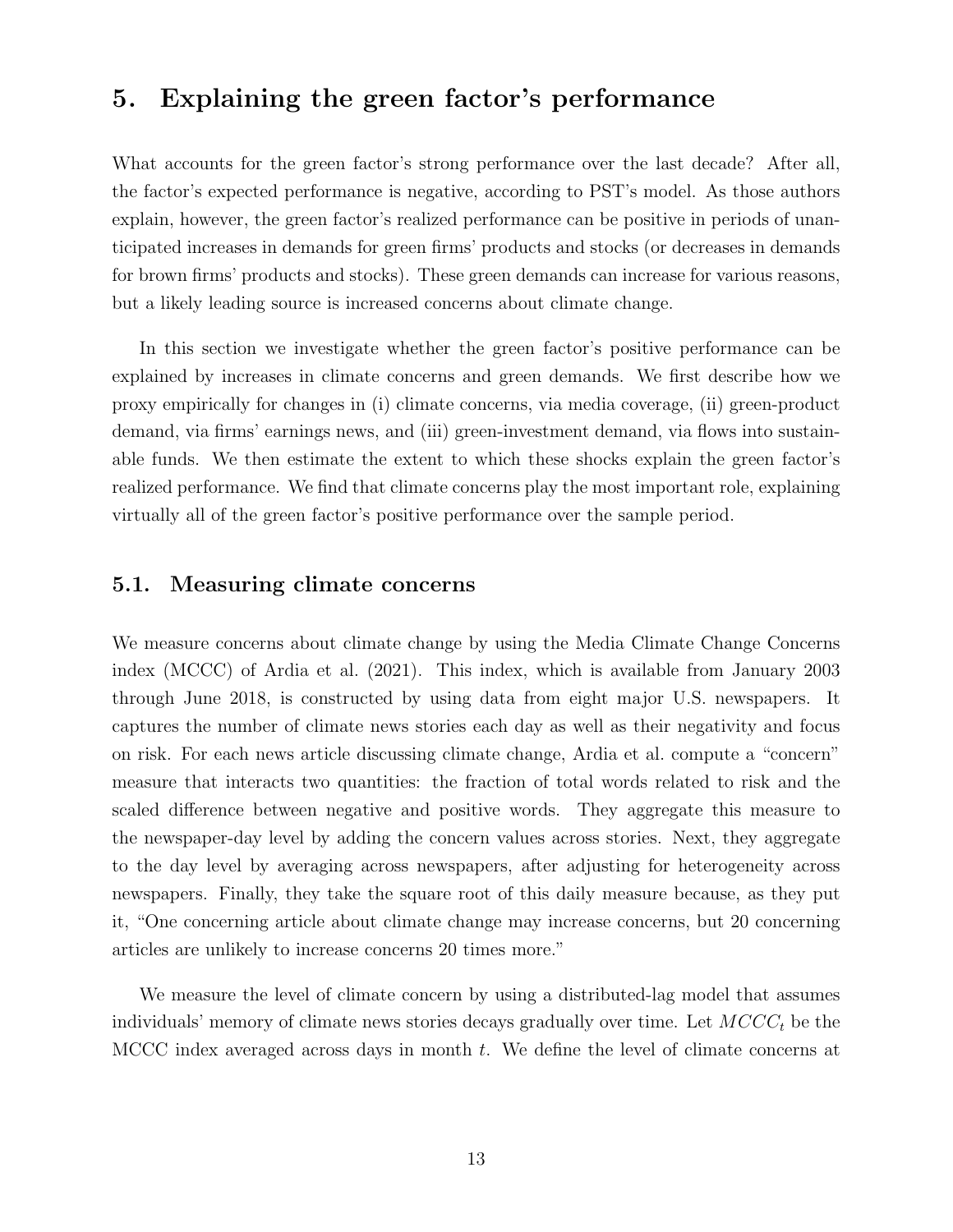# 5. Explaining the green factor's performance

What accounts for the green factor's strong performance over the last decade? After all, the factor's expected performance is negative, according to PST's model. As those authors explain, however, the green factor's realized performance can be positive in periods of unanticipated increases in demands for green firms' products and stocks (or decreases in demands for brown firms' products and stocks). These green demands can increase for various reasons, but a likely leading source is increased concerns about climate change.

In this section we investigate whether the green factor's positive performance can be explained by increases in climate concerns and green demands. We first describe how we proxy empirically for changes in (i) climate concerns, via media coverage, (ii) green-product demand, via firms' earnings news, and (iii) green-investment demand, via flows into sustainable funds. We then estimate the extent to which these shocks explain the green factor's realized performance. We find that climate concerns play the most important role, explaining virtually all of the green factor's positive performance over the sample period.

#### 5.1. Measuring climate concerns

We measure concerns about climate change by using the Media Climate Change Concerns index (MCCC) of Ardia et al. (2021). This index, which is available from January 2003 through June 2018, is constructed by using data from eight major U.S. newspapers. It captures the number of climate news stories each day as well as their negativity and focus on risk. For each news article discussing climate change, Ardia et al. compute a "concern" measure that interacts two quantities: the fraction of total words related to risk and the scaled difference between negative and positive words. They aggregate this measure to the newspaper-day level by adding the concern values across stories. Next, they aggregate to the day level by averaging across newspapers, after adjusting for heterogeneity across newspapers. Finally, they take the square root of this daily measure because, as they put it, "One concerning article about climate change may increase concerns, but 20 concerning articles are unlikely to increase concerns 20 times more."

We measure the level of climate concern by using a distributed-lag model that assumes individuals' memory of climate news stories decays gradually over time. Let  $MCCC_t$  be the MCCC index averaged across days in month t. We define the level of climate concerns at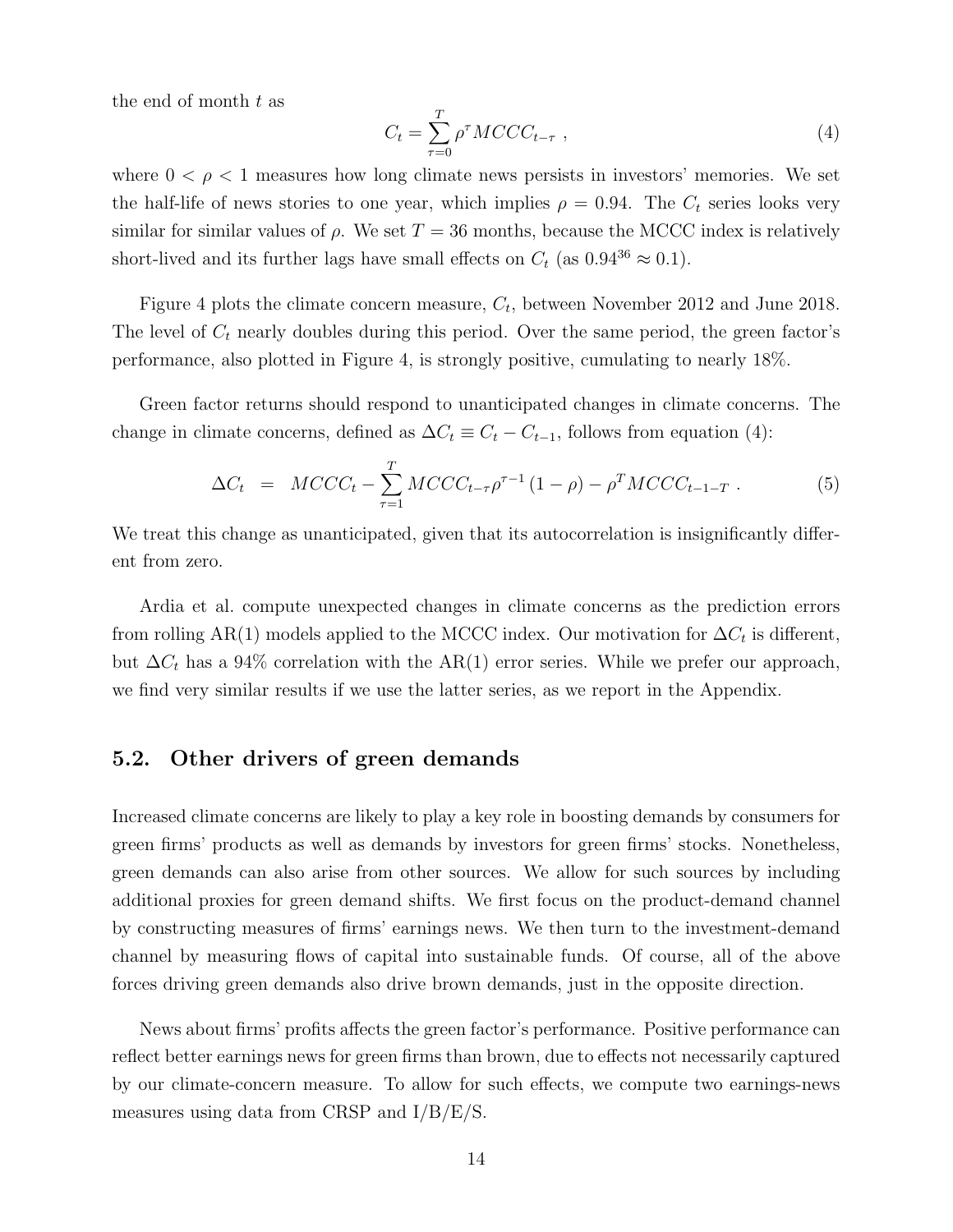the end of month  $t$  as

$$
C_t = \sum_{\tau=0}^{T} \rho^{\tau} MCCC_{t-\tau} , \qquad (4)
$$

where  $0 < \rho < 1$  measures how long climate news persists in investors' memories. We set the half-life of news stories to one year, which implies  $\rho = 0.94$ . The  $C_t$  series looks very similar for similar values of  $\rho$ . We set  $T = 36$  months, because the MCCC index is relatively short-lived and its further lags have small effects on  $C_t$  (as  $0.94^{36} \approx 0.1$ ).

Figure 4 plots the climate concern measure,  $C_t$ , between November 2012 and June 2018. The level of  $C_t$  nearly doubles during this period. Over the same period, the green factor's performance, also plotted in Figure 4, is strongly positive, cumulating to nearly 18%.

Green factor returns should respond to unanticipated changes in climate concerns. The change in climate concerns, defined as  $\Delta C_t \equiv C_t - C_{t-1}$ , follows from equation (4):

$$
\Delta C_t = MCCC_t - \sum_{\tau=1}^T MCCC_{t-\tau} \rho^{\tau-1} (1-\rho) - \rho^T MCCC_{t-1-T} . \tag{5}
$$

We treat this change as unanticipated, given that its autocorrelation is insignificantly different from zero.

Ardia et al. compute unexpected changes in climate concerns as the prediction errors from rolling AR(1) models applied to the MCCC index. Our motivation for  $\Delta C_t$  is different, but  $\Delta C_t$  has a 94% correlation with the AR(1) error series. While we prefer our approach, we find very similar results if we use the latter series, as we report in the Appendix.

#### 5.2. Other drivers of green demands

Increased climate concerns are likely to play a key role in boosting demands by consumers for green firms' products as well as demands by investors for green firms' stocks. Nonetheless, green demands can also arise from other sources. We allow for such sources by including additional proxies for green demand shifts. We first focus on the product-demand channel by constructing measures of firms' earnings news. We then turn to the investment-demand channel by measuring flows of capital into sustainable funds. Of course, all of the above forces driving green demands also drive brown demands, just in the opposite direction.

News about firms' profits affects the green factor's performance. Positive performance can reflect better earnings news for green firms than brown, due to effects not necessarily captured by our climate-concern measure. To allow for such effects, we compute two earnings-news measures using data from CRSP and I/B/E/S.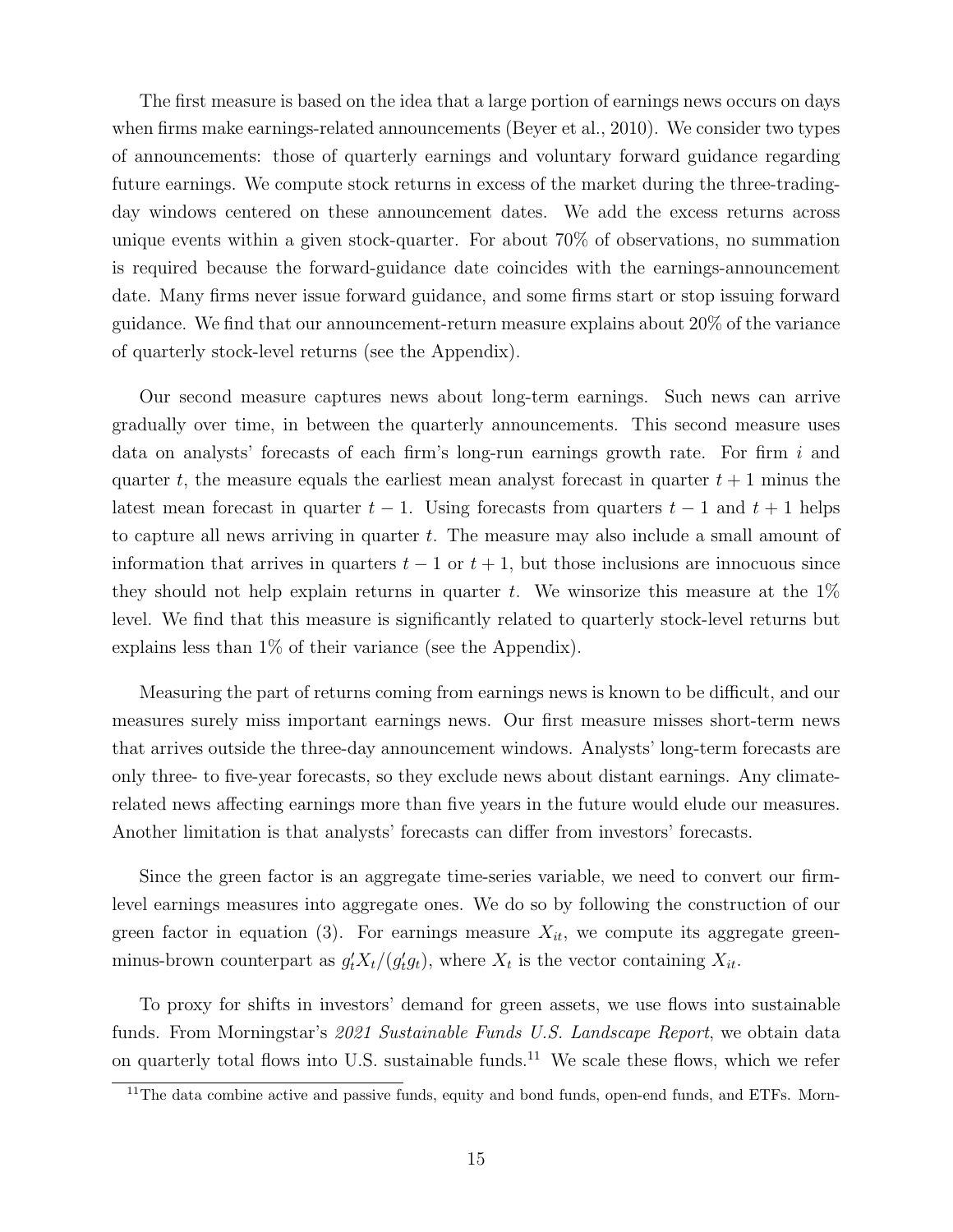The first measure is based on the idea that a large portion of earnings news occurs on days when firms make earnings-related announcements (Beyer et al., 2010). We consider two types of announcements: those of quarterly earnings and voluntary forward guidance regarding future earnings. We compute stock returns in excess of the market during the three-tradingday windows centered on these announcement dates. We add the excess returns across unique events within a given stock-quarter. For about 70% of observations, no summation is required because the forward-guidance date coincides with the earnings-announcement date. Many firms never issue forward guidance, and some firms start or stop issuing forward guidance. We find that our announcement-return measure explains about 20% of the variance of quarterly stock-level returns (see the Appendix).

Our second measure captures news about long-term earnings. Such news can arrive gradually over time, in between the quarterly announcements. This second measure uses data on analysts' forecasts of each firm's long-run earnings growth rate. For firm  $i$  and quarter t, the measure equals the earliest mean analyst forecast in quarter  $t + 1$  minus the latest mean forecast in quarter  $t - 1$ . Using forecasts from quarters  $t - 1$  and  $t + 1$  helps to capture all news arriving in quarter t. The measure may also include a small amount of information that arrives in quarters  $t - 1$  or  $t + 1$ , but those inclusions are innocuous since they should not help explain returns in quarter t. We winsorize this measure at the  $1\%$ level. We find that this measure is significantly related to quarterly stock-level returns but explains less than 1% of their variance (see the Appendix).

Measuring the part of returns coming from earnings news is known to be difficult, and our measures surely miss important earnings news. Our first measure misses short-term news that arrives outside the three-day announcement windows. Analysts' long-term forecasts are only three- to five-year forecasts, so they exclude news about distant earnings. Any climaterelated news affecting earnings more than five years in the future would elude our measures. Another limitation is that analysts' forecasts can differ from investors' forecasts.

Since the green factor is an aggregate time-series variable, we need to convert our firmlevel earnings measures into aggregate ones. We do so by following the construction of our green factor in equation (3). For earnings measure  $X_{it}$ , we compute its aggregate greenminus-brown counterpart as  $g_t' X_t/(g_t' g_t)$ , where  $X_t$  is the vector containing  $X_{it}$ .

To proxy for shifts in investors' demand for green assets, we use flows into sustainable funds. From Morningstar's 2021 Sustainable Funds U.S. Landscape Report, we obtain data on quarterly total flows into U.S. sustainable funds.<sup>11</sup> We scale these flows, which we refer

 $11$ The data combine active and passive funds, equity and bond funds, open-end funds, and ETFs. Morn-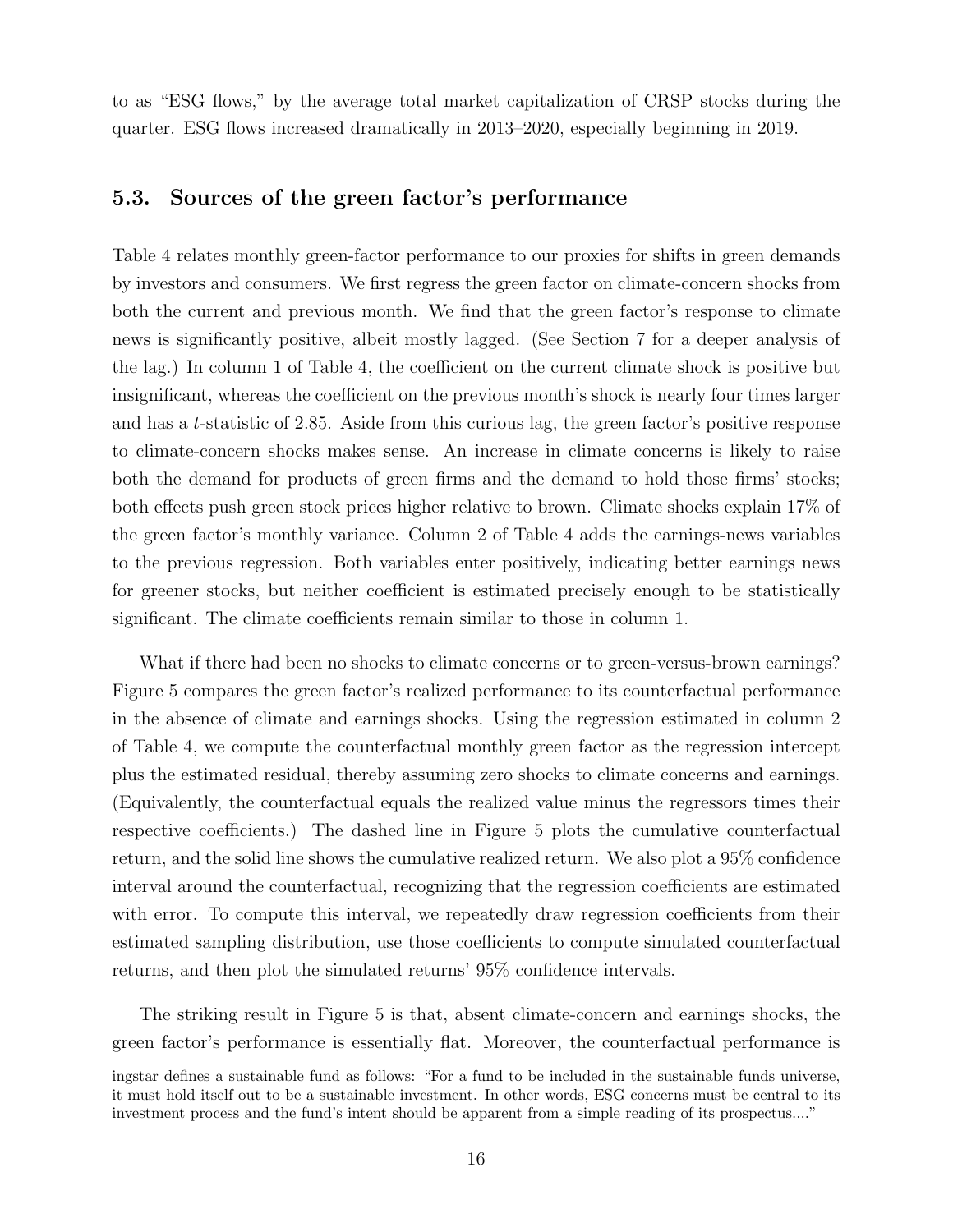to as "ESG flows," by the average total market capitalization of CRSP stocks during the quarter. ESG flows increased dramatically in 2013–2020, especially beginning in 2019.

### 5.3. Sources of the green factor's performance

Table 4 relates monthly green-factor performance to our proxies for shifts in green demands by investors and consumers. We first regress the green factor on climate-concern shocks from both the current and previous month. We find that the green factor's response to climate news is significantly positive, albeit mostly lagged. (See Section 7 for a deeper analysis of the lag.) In column 1 of Table 4, the coefficient on the current climate shock is positive but insignificant, whereas the coefficient on the previous month's shock is nearly four times larger and has a t-statistic of 2.85. Aside from this curious lag, the green factor's positive response to climate-concern shocks makes sense. An increase in climate concerns is likely to raise both the demand for products of green firms and the demand to hold those firms' stocks; both effects push green stock prices higher relative to brown. Climate shocks explain 17% of the green factor's monthly variance. Column 2 of Table 4 adds the earnings-news variables to the previous regression. Both variables enter positively, indicating better earnings news for greener stocks, but neither coefficient is estimated precisely enough to be statistically significant. The climate coefficients remain similar to those in column 1.

What if there had been no shocks to climate concerns or to green-versus-brown earnings? Figure 5 compares the green factor's realized performance to its counterfactual performance in the absence of climate and earnings shocks. Using the regression estimated in column 2 of Table 4, we compute the counterfactual monthly green factor as the regression intercept plus the estimated residual, thereby assuming zero shocks to climate concerns and earnings. (Equivalently, the counterfactual equals the realized value minus the regressors times their respective coefficients.) The dashed line in Figure 5 plots the cumulative counterfactual return, and the solid line shows the cumulative realized return. We also plot a 95% confidence interval around the counterfactual, recognizing that the regression coefficients are estimated with error. To compute this interval, we repeatedly draw regression coefficients from their estimated sampling distribution, use those coefficients to compute simulated counterfactual returns, and then plot the simulated returns' 95% confidence intervals.

The striking result in Figure 5 is that, absent climate-concern and earnings shocks, the green factor's performance is essentially flat. Moreover, the counterfactual performance is

ingstar defines a sustainable fund as follows: "For a fund to be included in the sustainable funds universe, it must hold itself out to be a sustainable investment. In other words, ESG concerns must be central to its investment process and the fund's intent should be apparent from a simple reading of its prospectus...."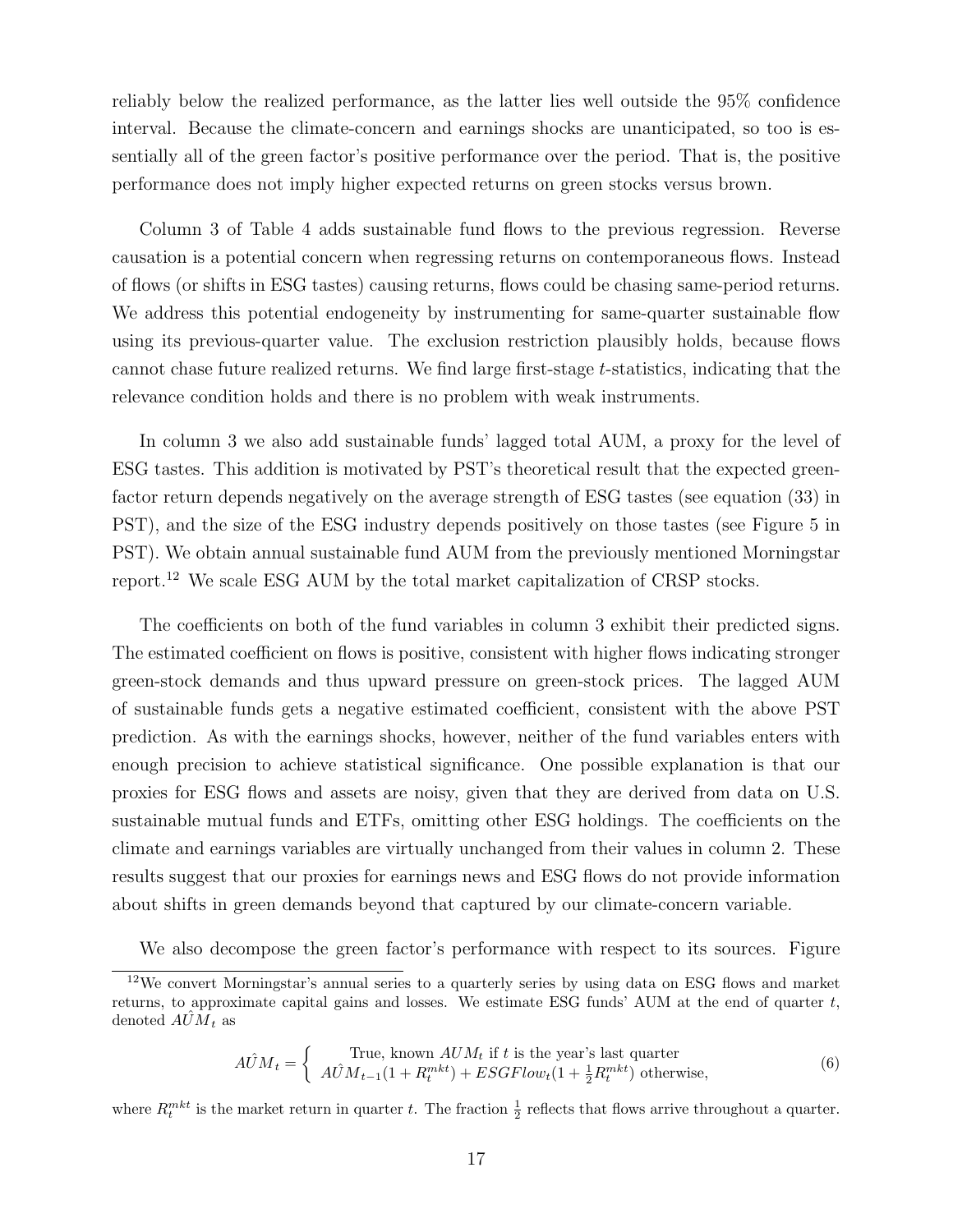reliably below the realized performance, as the latter lies well outside the 95% confidence interval. Because the climate-concern and earnings shocks are unanticipated, so too is essentially all of the green factor's positive performance over the period. That is, the positive performance does not imply higher expected returns on green stocks versus brown.

Column 3 of Table 4 adds sustainable fund flows to the previous regression. Reverse causation is a potential concern when regressing returns on contemporaneous flows. Instead of flows (or shifts in ESG tastes) causing returns, flows could be chasing same-period returns. We address this potential endogeneity by instrumenting for same-quarter sustainable flow using its previous-quarter value. The exclusion restriction plausibly holds, because flows cannot chase future realized returns. We find large first-stage t-statistics, indicating that the relevance condition holds and there is no problem with weak instruments.

In column 3 we also add sustainable funds' lagged total AUM, a proxy for the level of ESG tastes. This addition is motivated by PST's theoretical result that the expected greenfactor return depends negatively on the average strength of ESG tastes (see equation (33) in PST), and the size of the ESG industry depends positively on those tastes (see Figure 5 in PST). We obtain annual sustainable fund AUM from the previously mentioned Morningstar report.<sup>12</sup> We scale ESG AUM by the total market capitalization of CRSP stocks.

The coefficients on both of the fund variables in column 3 exhibit their predicted signs. The estimated coefficient on flows is positive, consistent with higher flows indicating stronger green-stock demands and thus upward pressure on green-stock prices. The lagged AUM of sustainable funds gets a negative estimated coefficient, consistent with the above PST prediction. As with the earnings shocks, however, neither of the fund variables enters with enough precision to achieve statistical significance. One possible explanation is that our proxies for ESG flows and assets are noisy, given that they are derived from data on U.S. sustainable mutual funds and ETFs, omitting other ESG holdings. The coefficients on the climate and earnings variables are virtually unchanged from their values in column 2. These results suggest that our proxies for earnings news and ESG flows do not provide information about shifts in green demands beyond that captured by our climate-concern variable.

We also decompose the green factor's performance with respect to its sources. Figure

$$
A\hat{U}M_t = \begin{cases} \text{True, known } AUM_t \text{ if } t \text{ is the year's last quarter} \\ A\hat{U}M_{t-1}(1+R_t^{mkt}) + ESGFlow_t(1+\frac{1}{2}R_t^{mkt}) \text{ otherwise,} \end{cases}
$$
(6)

where  $R_t^{mkt}$  is the market return in quarter t. The fraction  $\frac{1}{2}$  reflects that flows arrive throughout a quarter.

<sup>12</sup>We convert Morningstar's annual series to a quarterly series by using data on ESG flows and market returns, to approximate capital gains and losses. We estimate ESG funds' AUM at the end of quarter  $t$ , denoted  $A\hat{U}\overline{M}_t$  as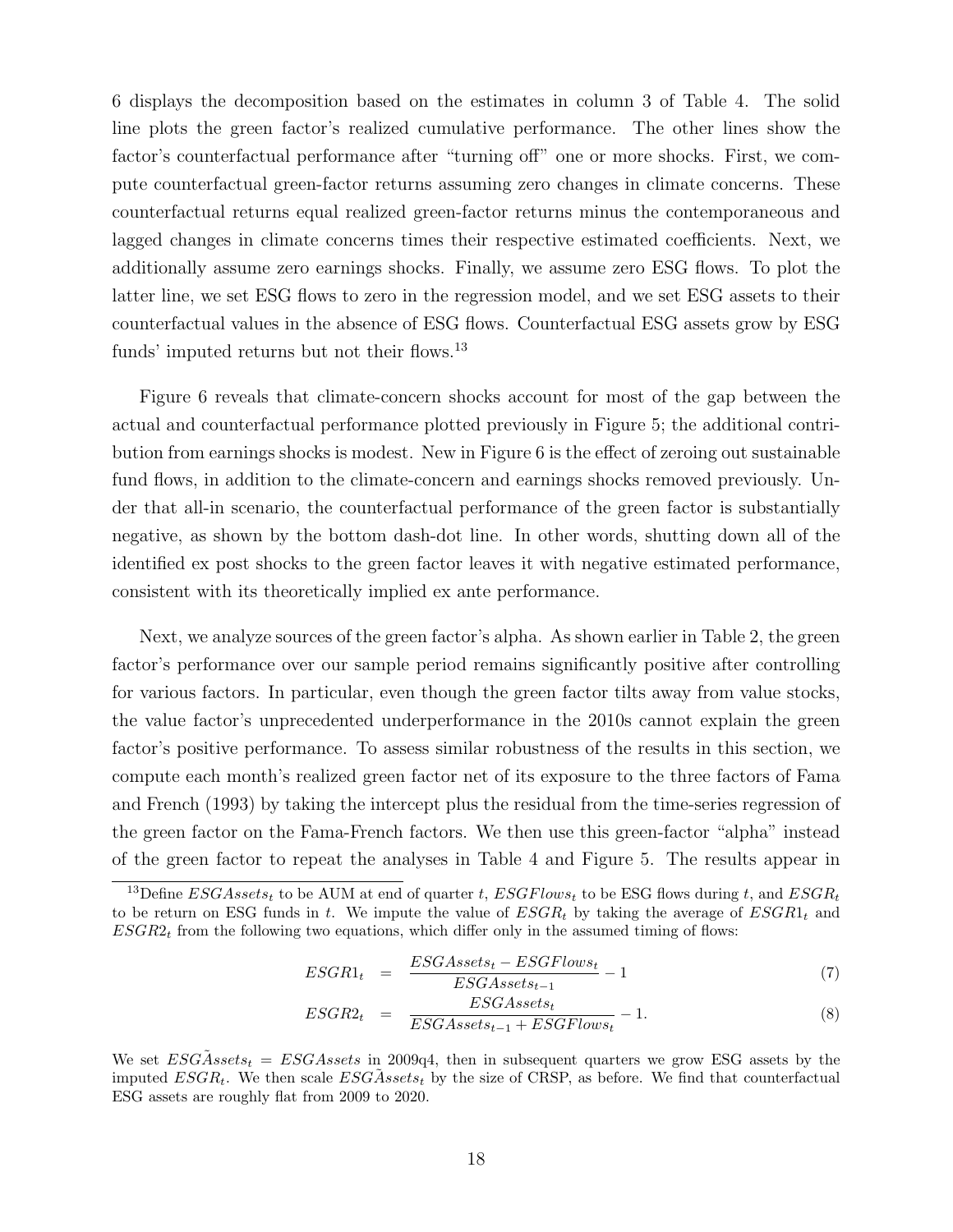6 displays the decomposition based on the estimates in column 3 of Table 4. The solid line plots the green factor's realized cumulative performance. The other lines show the factor's counterfactual performance after "turning off" one or more shocks. First, we compute counterfactual green-factor returns assuming zero changes in climate concerns. These counterfactual returns equal realized green-factor returns minus the contemporaneous and lagged changes in climate concerns times their respective estimated coefficients. Next, we additionally assume zero earnings shocks. Finally, we assume zero ESG flows. To plot the latter line, we set ESG flows to zero in the regression model, and we set ESG assets to their counterfactual values in the absence of ESG flows. Counterfactual ESG assets grow by ESG funds' imputed returns but not their flows.<sup>13</sup>

Figure 6 reveals that climate-concern shocks account for most of the gap between the actual and counterfactual performance plotted previously in Figure 5; the additional contribution from earnings shocks is modest. New in Figure 6 is the effect of zeroing out sustainable fund flows, in addition to the climate-concern and earnings shocks removed previously. Under that all-in scenario, the counterfactual performance of the green factor is substantially negative, as shown by the bottom dash-dot line. In other words, shutting down all of the identified ex post shocks to the green factor leaves it with negative estimated performance, consistent with its theoretically implied ex ante performance.

Next, we analyze sources of the green factor's alpha. As shown earlier in Table 2, the green factor's performance over our sample period remains significantly positive after controlling for various factors. In particular, even though the green factor tilts away from value stocks, the value factor's unprecedented underperformance in the 2010s cannot explain the green factor's positive performance. To assess similar robustness of the results in this section, we compute each month's realized green factor net of its exposure to the three factors of Fama and French (1993) by taking the intercept plus the residual from the time-series regression of the green factor on the Fama-French factors. We then use this green-factor "alpha" instead of the green factor to repeat the analyses in Table 4 and Figure 5. The results appear in

$$
ESGR1_t = \frac{ESGAssets_t - ESGFlows_t}{ESGAssets_{t-1}} - 1 \tag{7}
$$

$$
ESGR2_t = \frac{ESGAssets_t}{ESGAssets_{t-1} + ESGFlows_t} - 1.
$$
\n(8)

We set  $ESG\tilde{A}ssets_t = ESGAssets$  in 2009q4, then in subsequent quarters we grow ESG assets by the imputed  $ESGR_t$ . We then scale  $ESG\tilde{A}ssets_t$  by the size of CRSP, as before. We find that counterfactual ESG assets are roughly flat from 2009 to 2020.

<sup>&</sup>lt;sup>13</sup>Define ESGAssets<sub>t</sub> to be AUM at end of quarter t, ESGFlows<sub>t</sub> to be ESG flows during t, and ESGR<sub>t</sub> to be return on ESG funds in t. We impute the value of  $ESGR_t$  by taking the average of  $ESGR_{1t}$  and  $ESGR2<sub>t</sub>$  from the following two equations, which differ only in the assumed timing of flows: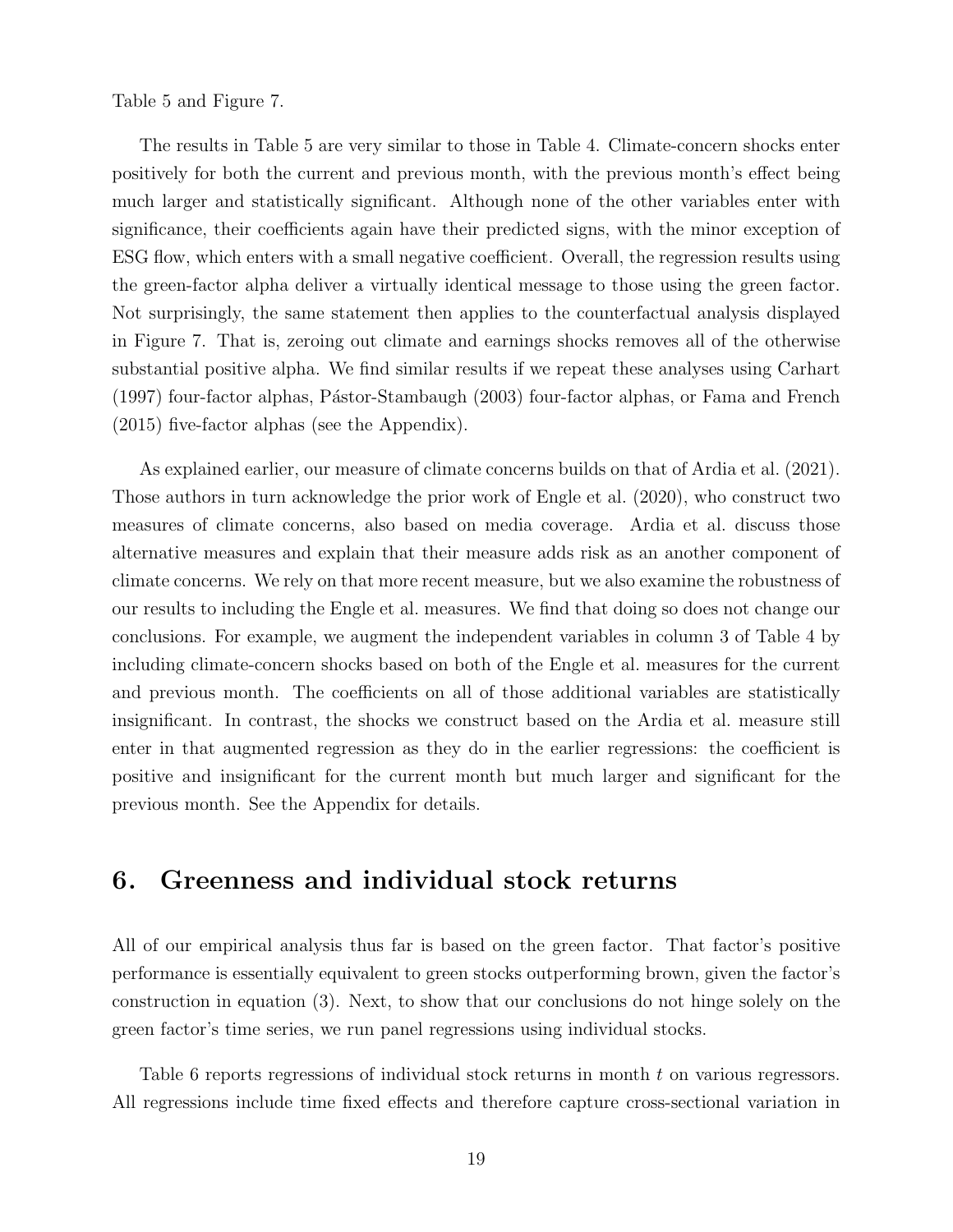Table 5 and Figure 7.

The results in Table 5 are very similar to those in Table 4. Climate-concern shocks enter positively for both the current and previous month, with the previous month's effect being much larger and statistically significant. Although none of the other variables enter with significance, their coefficients again have their predicted signs, with the minor exception of ESG flow, which enters with a small negative coefficient. Overall, the regression results using the green-factor alpha deliver a virtually identical message to those using the green factor. Not surprisingly, the same statement then applies to the counterfactual analysis displayed in Figure 7. That is, zeroing out climate and earnings shocks removes all of the otherwise substantial positive alpha. We find similar results if we repeat these analyses using Carhart (1997) four-factor alphas, Pástor-Stambaugh (2003) four-factor alphas, or Fama and French (2015) five-factor alphas (see the Appendix).

As explained earlier, our measure of climate concerns builds on that of Ardia et al. (2021). Those authors in turn acknowledge the prior work of Engle et al. (2020), who construct two measures of climate concerns, also based on media coverage. Ardia et al. discuss those alternative measures and explain that their measure adds risk as an another component of climate concerns. We rely on that more recent measure, but we also examine the robustness of our results to including the Engle et al. measures. We find that doing so does not change our conclusions. For example, we augment the independent variables in column 3 of Table 4 by including climate-concern shocks based on both of the Engle et al. measures for the current and previous month. The coefficients on all of those additional variables are statistically insignificant. In contrast, the shocks we construct based on the Ardia et al. measure still enter in that augmented regression as they do in the earlier regressions: the coefficient is positive and insignificant for the current month but much larger and significant for the previous month. See the Appendix for details.

### 6. Greenness and individual stock returns

All of our empirical analysis thus far is based on the green factor. That factor's positive performance is essentially equivalent to green stocks outperforming brown, given the factor's construction in equation (3). Next, to show that our conclusions do not hinge solely on the green factor's time series, we run panel regressions using individual stocks.

Table 6 reports regressions of individual stock returns in month t on various regressors. All regressions include time fixed effects and therefore capture cross-sectional variation in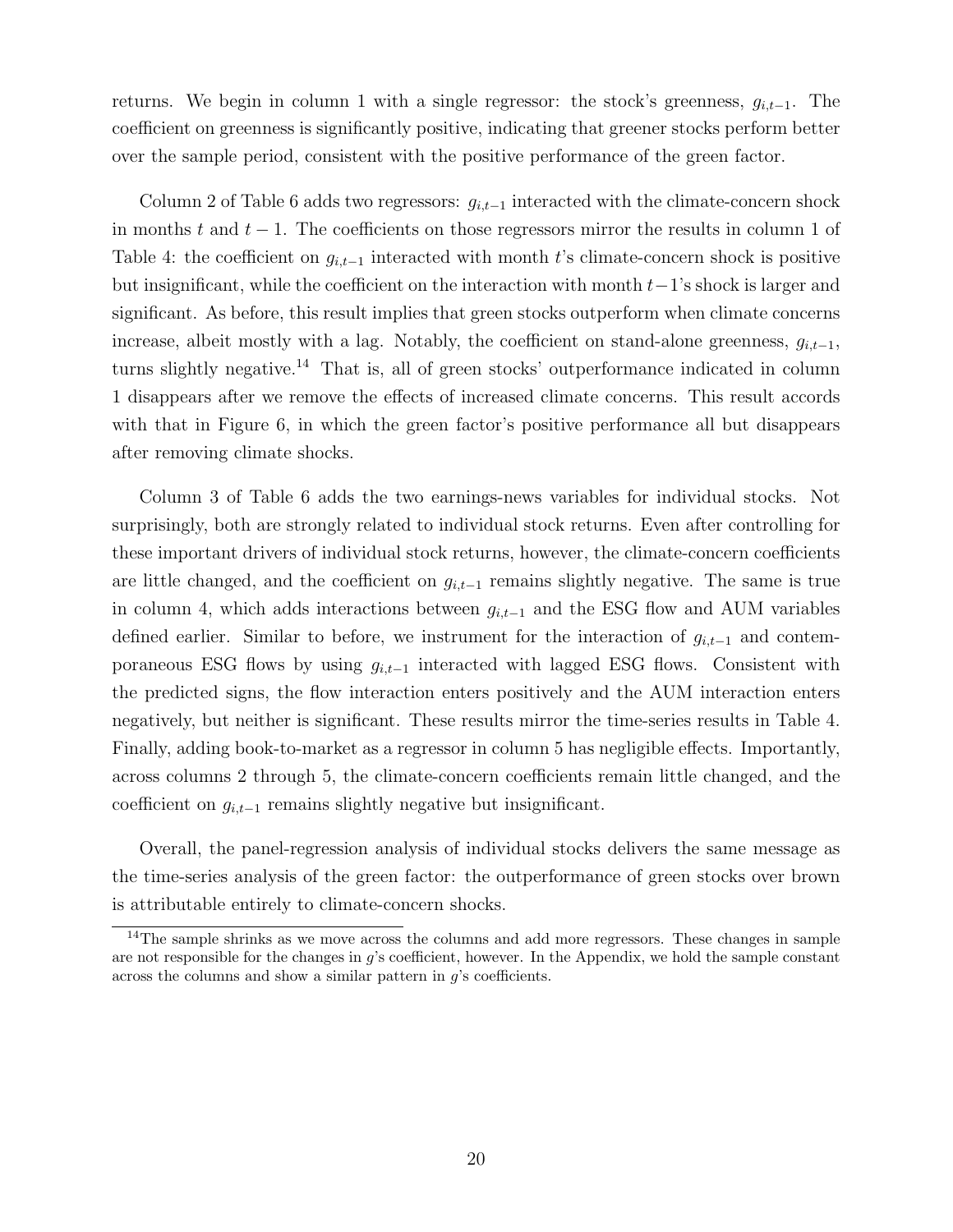returns. We begin in column 1 with a single regressor: the stock's greenness,  $g_{i,t-1}$ . The coefficient on greenness is significantly positive, indicating that greener stocks perform better over the sample period, consistent with the positive performance of the green factor.

Column 2 of Table 6 adds two regressors:  $g_{i,t-1}$  interacted with the climate-concern shock in months t and  $t - 1$ . The coefficients on those regressors mirror the results in column 1 of Table 4: the coefficient on  $g_{i,t-1}$  interacted with month t's climate-concern shock is positive but insignificant, while the coefficient on the interaction with month  $t-1$ 's shock is larger and significant. As before, this result implies that green stocks outperform when climate concerns increase, albeit mostly with a lag. Notably, the coefficient on stand-alone greenness,  $g_{i,t-1}$ , turns slightly negative.<sup>14</sup> That is, all of green stocks' outperformance indicated in column 1 disappears after we remove the effects of increased climate concerns. This result accords with that in Figure 6, in which the green factor's positive performance all but disappears after removing climate shocks.

Column 3 of Table 6 adds the two earnings-news variables for individual stocks. Not surprisingly, both are strongly related to individual stock returns. Even after controlling for these important drivers of individual stock returns, however, the climate-concern coefficients are little changed, and the coefficient on  $g_{i,t-1}$  remains slightly negative. The same is true in column 4, which adds interactions between  $g_{i,t-1}$  and the ESG flow and AUM variables defined earlier. Similar to before, we instrument for the interaction of  $g_{i,t-1}$  and contemporaneous ESG flows by using  $g_{i,t-1}$  interacted with lagged ESG flows. Consistent with the predicted signs, the flow interaction enters positively and the AUM interaction enters negatively, but neither is significant. These results mirror the time-series results in Table 4. Finally, adding book-to-market as a regressor in column 5 has negligible effects. Importantly, across columns 2 through 5, the climate-concern coefficients remain little changed, and the coefficient on  $g_{i,t-1}$  remains slightly negative but insignificant.

Overall, the panel-regression analysis of individual stocks delivers the same message as the time-series analysis of the green factor: the outperformance of green stocks over brown is attributable entirely to climate-concern shocks.

 $14$ The sample shrinks as we move across the columns and add more regressors. These changes in sample are not responsible for the changes in g's coefficient, however. In the Appendix, we hold the sample constant across the columns and show a similar pattern in  $g$ 's coefficients.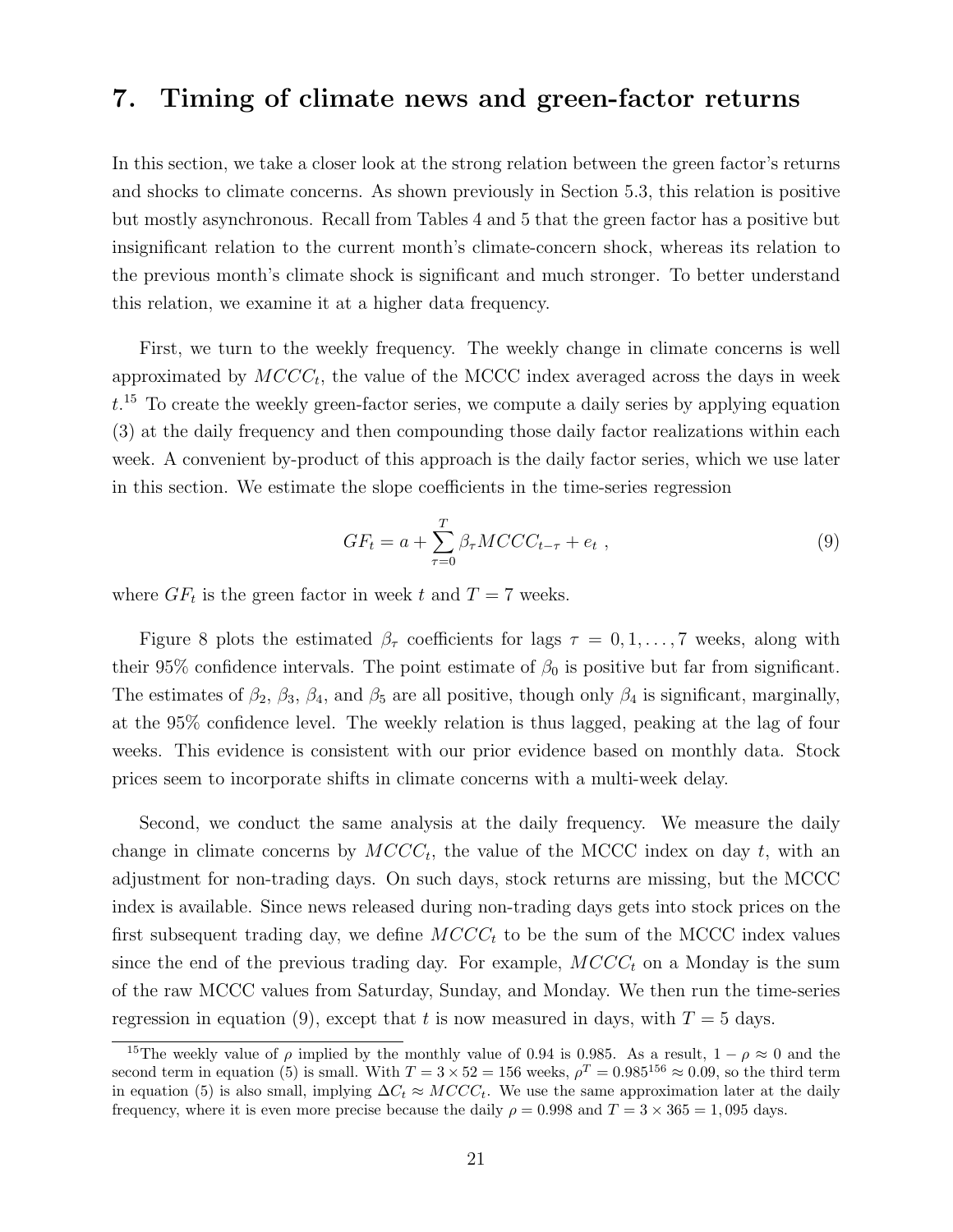# 7. Timing of climate news and green-factor returns

In this section, we take a closer look at the strong relation between the green factor's returns and shocks to climate concerns. As shown previously in Section 5.3, this relation is positive but mostly asynchronous. Recall from Tables 4 and 5 that the green factor has a positive but insignificant relation to the current month's climate-concern shock, whereas its relation to the previous month's climate shock is significant and much stronger. To better understand this relation, we examine it at a higher data frequency.

First, we turn to the weekly frequency. The weekly change in climate concerns is well approximated by  $MCCC_t$ , the value of the MCCC index averaged across the days in week  $t<sup>15</sup>$  To create the weekly green-factor series, we compute a daily series by applying equation (3) at the daily frequency and then compounding those daily factor realizations within each week. A convenient by-product of this approach is the daily factor series, which we use later in this section. We estimate the slope coefficients in the time-series regression

$$
GF_t = a + \sum_{\tau=0}^{T} \beta_{\tau} MCCC_{t-\tau} + e_t , \qquad (9)
$$

where  $GF_t$  is the green factor in week t and  $T = 7$  weeks.

Figure 8 plots the estimated  $\beta_{\tau}$  coefficients for lags  $\tau = 0, 1, \ldots, 7$  weeks, along with their 95% confidence intervals. The point estimate of  $\beta_0$  is positive but far from significant. The estimates of  $\beta_2$ ,  $\beta_3$ ,  $\beta_4$ , and  $\beta_5$  are all positive, though only  $\beta_4$  is significant, marginally, at the 95% confidence level. The weekly relation is thus lagged, peaking at the lag of four weeks. This evidence is consistent with our prior evidence based on monthly data. Stock prices seem to incorporate shifts in climate concerns with a multi-week delay.

Second, we conduct the same analysis at the daily frequency. We measure the daily change in climate concerns by  $MCCC_t$ , the value of the MCCC index on day t, with an adjustment for non-trading days. On such days, stock returns are missing, but the MCCC index is available. Since news released during non-trading days gets into stock prices on the first subsequent trading day, we define  $MCCC_t$  to be the sum of the MCCC index values since the end of the previous trading day. For example,  $MCCC_t$  on a Monday is the sum of the raw MCCC values from Saturday, Sunday, and Monday. We then run the time-series regression in equation (9), except that t is now measured in days, with  $T = 5$  days.

<sup>&</sup>lt;sup>15</sup>The weekly value of  $\rho$  implied by the monthly value of 0.94 is 0.985. As a result,  $1 - \rho \approx 0$  and the second term in equation (5) is small. With  $T = 3 \times 52 = 156$  weeks,  $\rho^T = 0.985^{156} \approx 0.09$ , so the third term in equation (5) is also small, implying  $\Delta C_t \approx MCCC_t$ . We use the same approximation later at the daily frequency, where it is even more precise because the daily  $\rho = 0.998$  and  $T = 3 \times 365 = 1,095$  days.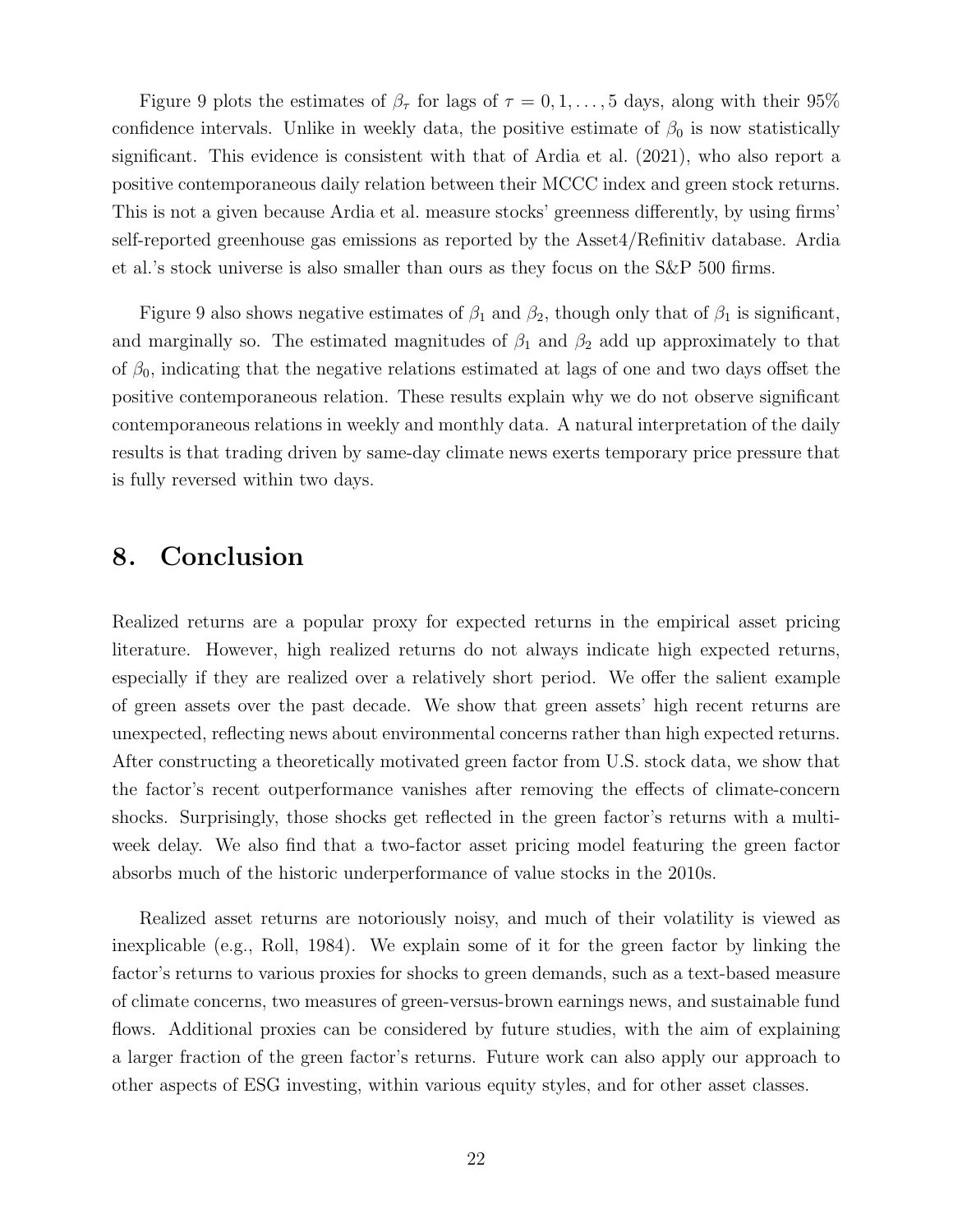Figure 9 plots the estimates of  $\beta_{\tau}$  for lags of  $\tau = 0, 1, \ldots, 5$  days, along with their 95% confidence intervals. Unlike in weekly data, the positive estimate of  $\beta_0$  is now statistically significant. This evidence is consistent with that of Ardia et al. (2021), who also report a positive contemporaneous daily relation between their MCCC index and green stock returns. This is not a given because Ardia et al. measure stocks' greenness differently, by using firms' self-reported greenhouse gas emissions as reported by the Asset4/Refinitiv database. Ardia et al.'s stock universe is also smaller than ours as they focus on the S&P 500 firms.

Figure 9 also shows negative estimates of  $\beta_1$  and  $\beta_2$ , though only that of  $\beta_1$  is significant, and marginally so. The estimated magnitudes of  $\beta_1$  and  $\beta_2$  add up approximately to that of  $\beta_0$ , indicating that the negative relations estimated at lags of one and two days offset the positive contemporaneous relation. These results explain why we do not observe significant contemporaneous relations in weekly and monthly data. A natural interpretation of the daily results is that trading driven by same-day climate news exerts temporary price pressure that is fully reversed within two days.

# 8. Conclusion

Realized returns are a popular proxy for expected returns in the empirical asset pricing literature. However, high realized returns do not always indicate high expected returns, especially if they are realized over a relatively short period. We offer the salient example of green assets over the past decade. We show that green assets' high recent returns are unexpected, reflecting news about environmental concerns rather than high expected returns. After constructing a theoretically motivated green factor from U.S. stock data, we show that the factor's recent outperformance vanishes after removing the effects of climate-concern shocks. Surprisingly, those shocks get reflected in the green factor's returns with a multiweek delay. We also find that a two-factor asset pricing model featuring the green factor absorbs much of the historic underperformance of value stocks in the 2010s.

Realized asset returns are notoriously noisy, and much of their volatility is viewed as inexplicable (e.g., Roll, 1984). We explain some of it for the green factor by linking the factor's returns to various proxies for shocks to green demands, such as a text-based measure of climate concerns, two measures of green-versus-brown earnings news, and sustainable fund flows. Additional proxies can be considered by future studies, with the aim of explaining a larger fraction of the green factor's returns. Future work can also apply our approach to other aspects of ESG investing, within various equity styles, and for other asset classes.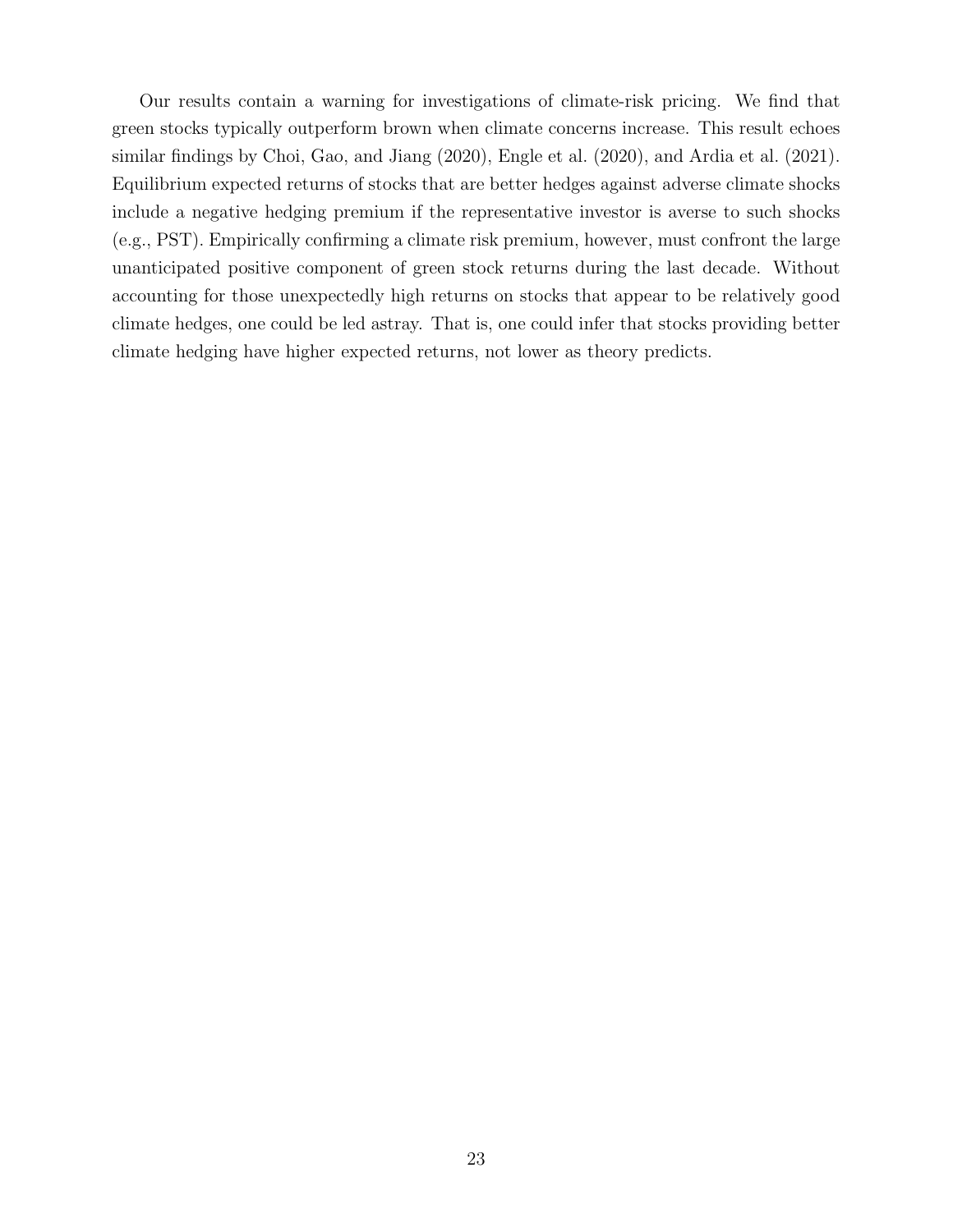Our results contain a warning for investigations of climate-risk pricing. We find that green stocks typically outperform brown when climate concerns increase. This result echoes similar findings by Choi, Gao, and Jiang (2020), Engle et al. (2020), and Ardia et al. (2021). Equilibrium expected returns of stocks that are better hedges against adverse climate shocks include a negative hedging premium if the representative investor is averse to such shocks (e.g., PST). Empirically confirming a climate risk premium, however, must confront the large unanticipated positive component of green stock returns during the last decade. Without accounting for those unexpectedly high returns on stocks that appear to be relatively good climate hedges, one could be led astray. That is, one could infer that stocks providing better climate hedging have higher expected returns, not lower as theory predicts.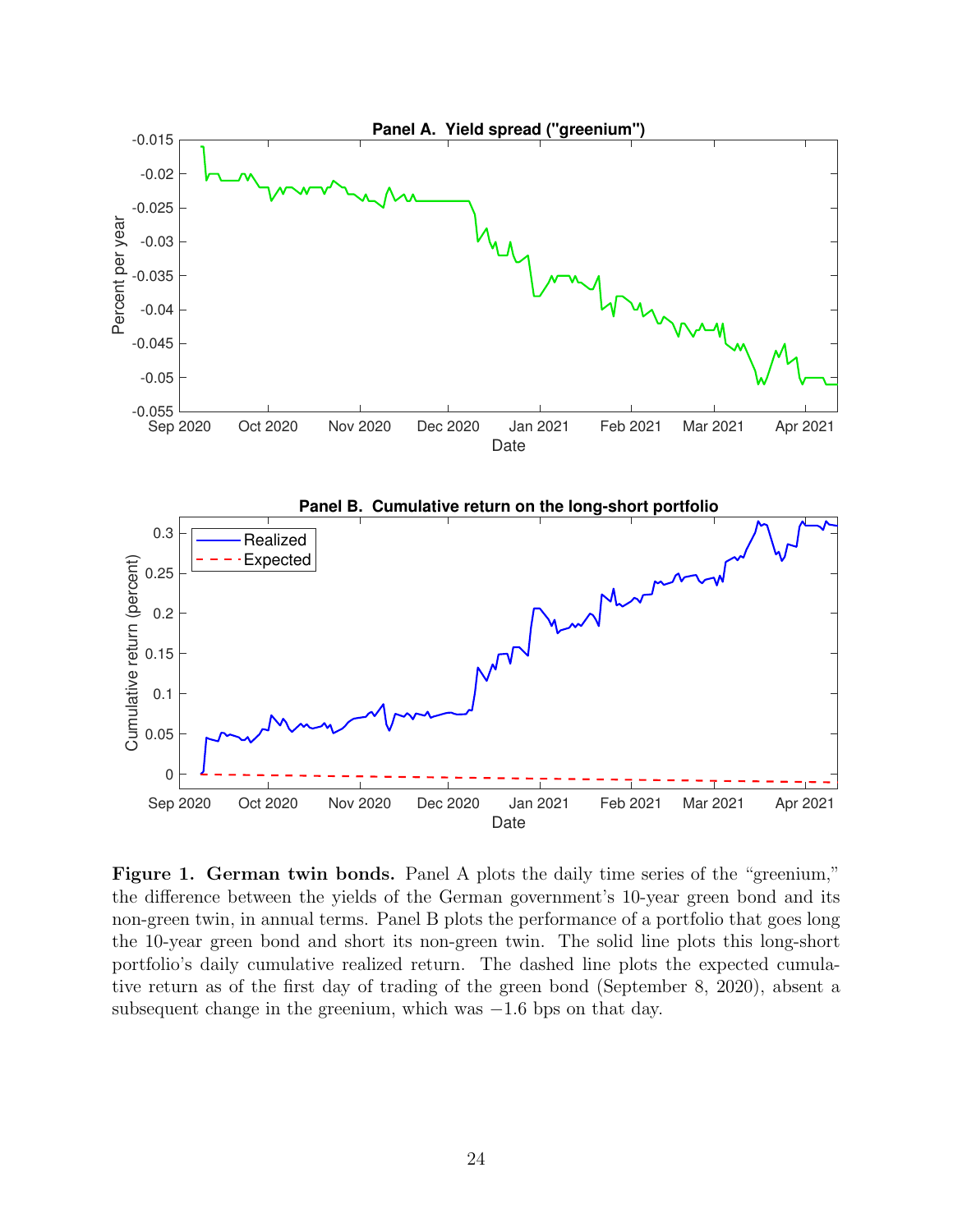

Figure 1. German twin bonds. Panel A plots the daily time series of the "greenium," the difference between the yields of the German government's 10-year green bond and its non-green twin, in annual terms. Panel B plots the performance of a portfolio that goes long the 10-year green bond and short its non-green twin. The solid line plots this long-short portfolio's daily cumulative realized return. The dashed line plots the expected cumulative return as of the first day of trading of the green bond (September 8, 2020), absent a subsequent change in the greenium, which was  $-1.6$  bps on that day.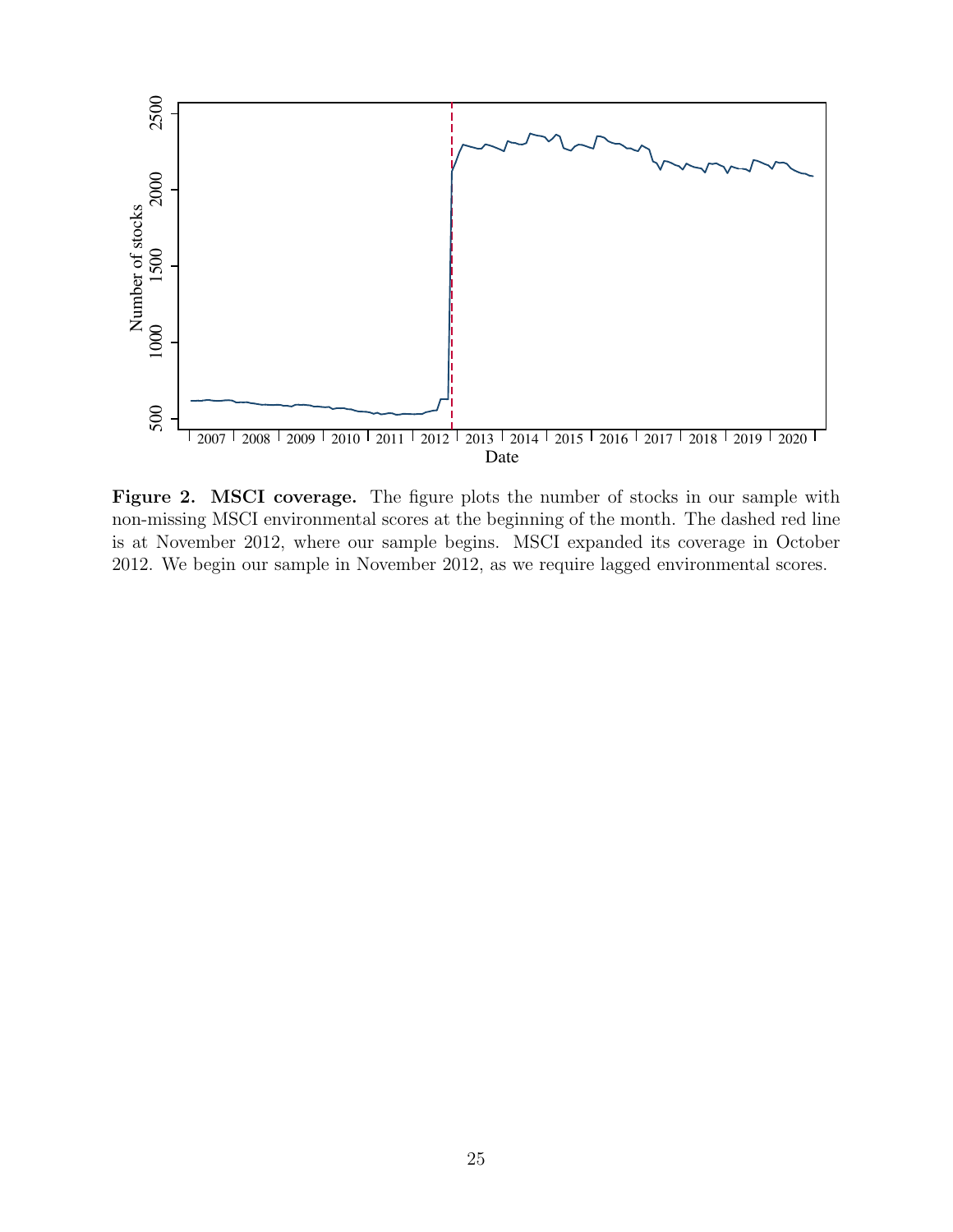

Figure 2. MSCI coverage. The figure plots the number of stocks in our sample with non-missing MSCI environmental scores at the beginning of the month. The dashed red line is at November 2012, where our sample begins. MSCI expanded its coverage in October 2012. We begin our sample in November 2012, as we require lagged environmental scores.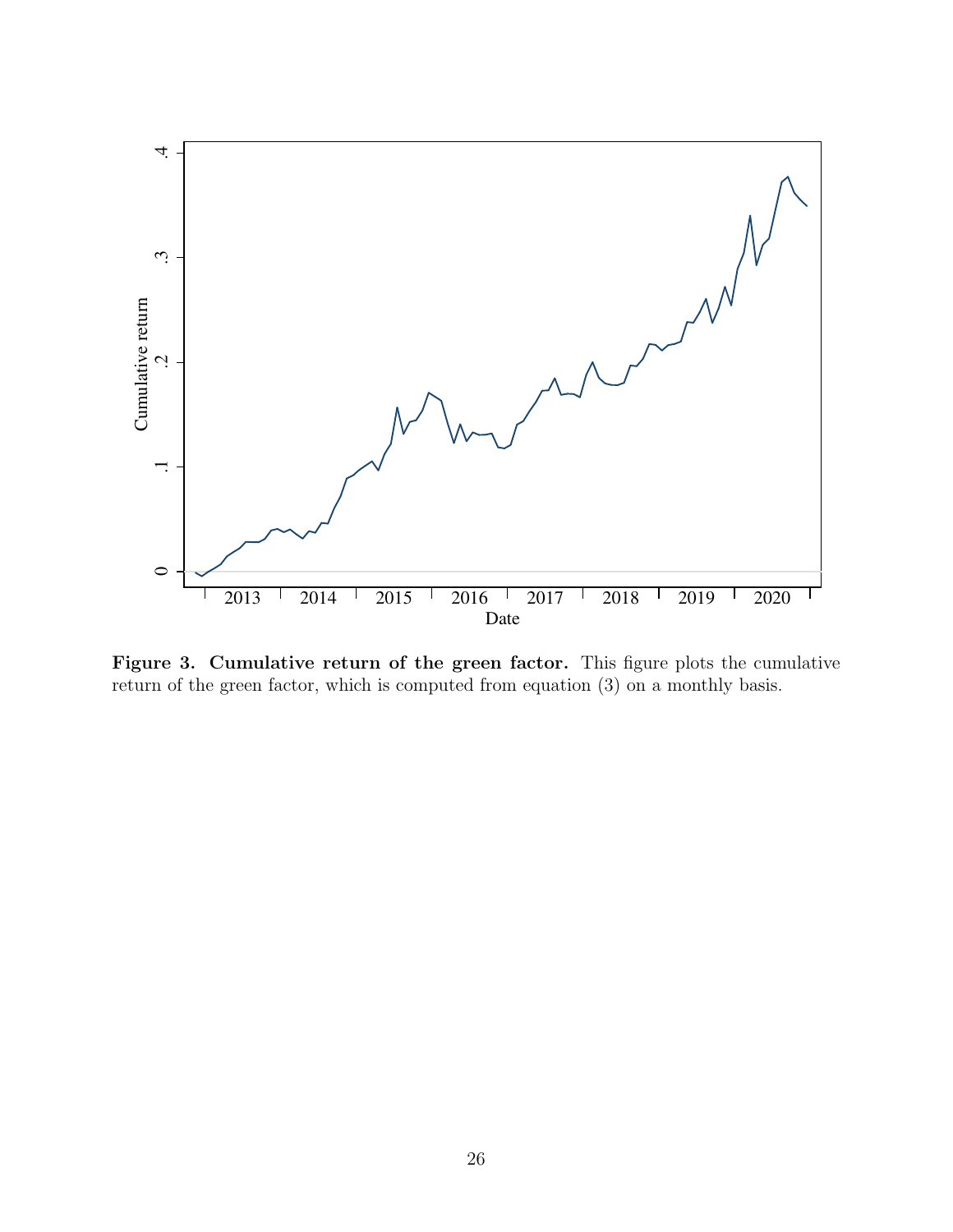

Figure 3. Cumulative return of the green factor. This figure plots the cumulative return of the green factor, which is computed from equation (3) on a monthly basis.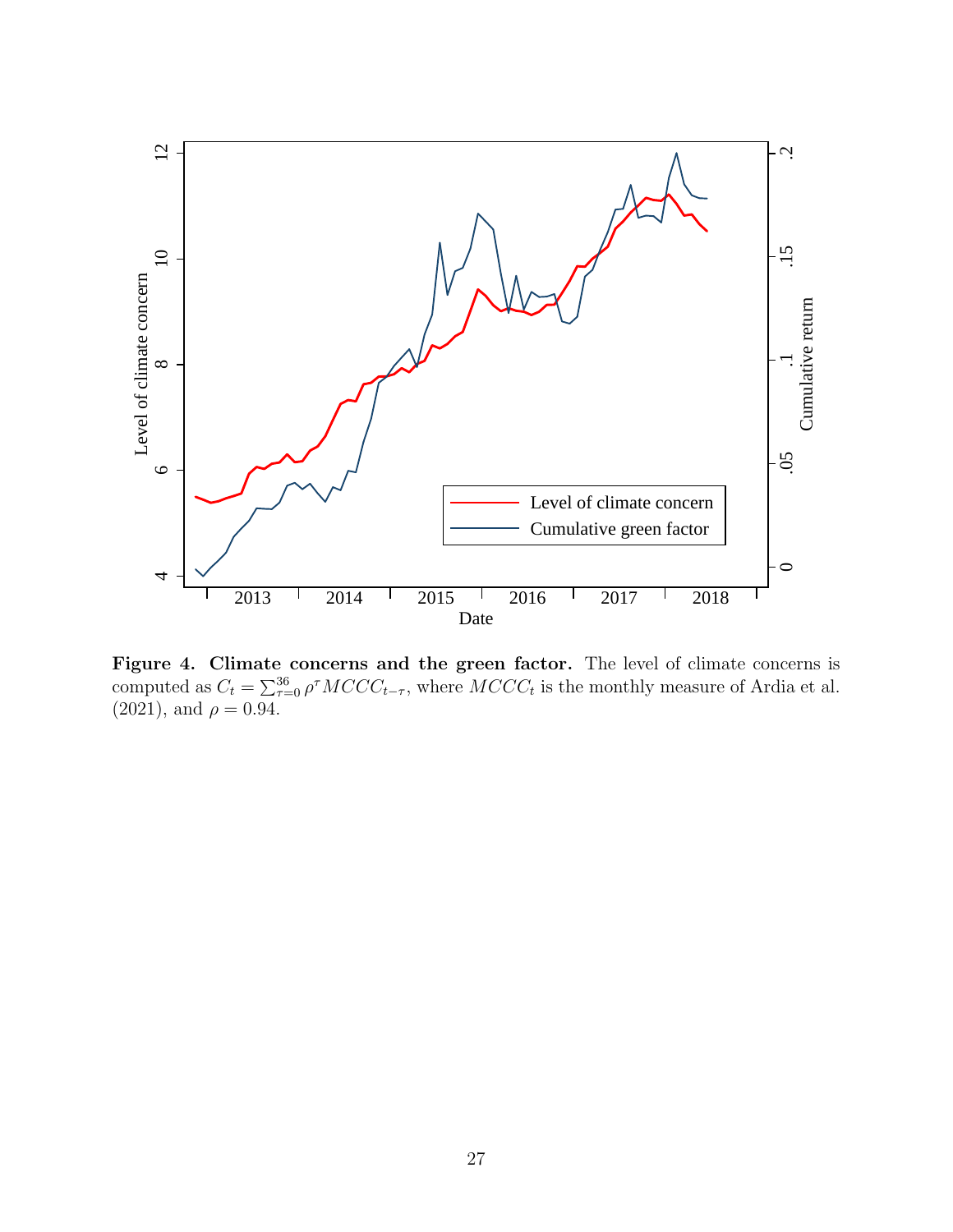

Figure 4. Climate concerns and the green factor. The level of climate concerns is computed as  $C_t = \sum_{\tau=0}^{36} \rho^{\tau} MCCC_{t-\tau}$ , where  $MCCC_t$  is the monthly measure of Ardia et al.  $(2021)$ , and  $\rho = 0.94$ .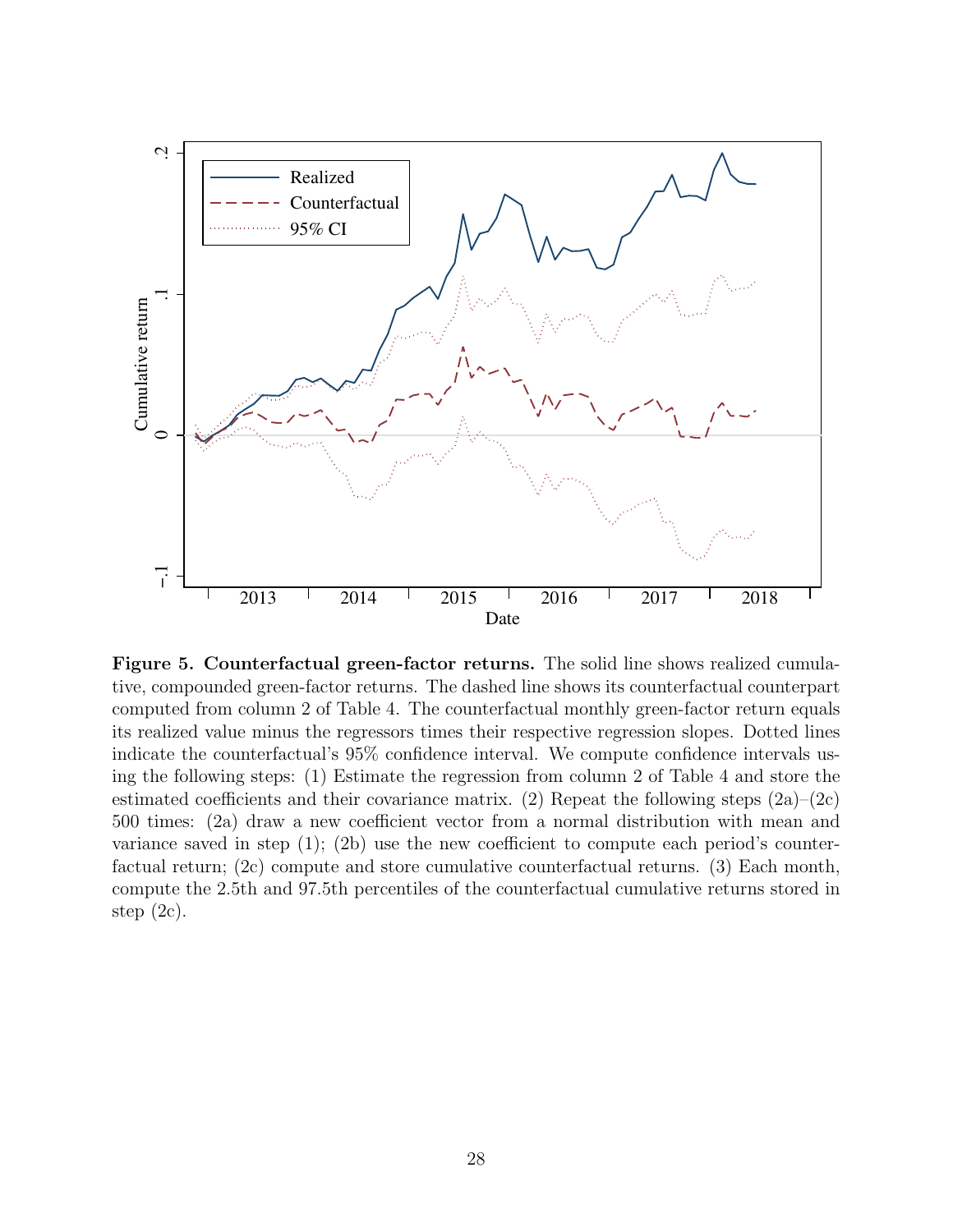

Figure 5. Counterfactual green-factor returns. The solid line shows realized cumulative, compounded green-factor returns. The dashed line shows its counterfactual counterpart computed from column 2 of Table 4. The counterfactual monthly green-factor return equals its realized value minus the regressors times their respective regression slopes. Dotted lines indicate the counterfactual's 95% confidence interval. We compute confidence intervals using the following steps: (1) Estimate the regression from column 2 of Table 4 and store the estimated coefficients and their covariance matrix. (2) Repeat the following steps  $(2a)-(2c)$ 500 times: (2a) draw a new coefficient vector from a normal distribution with mean and variance saved in step  $(1)$ ;  $(2b)$  use the new coefficient to compute each period's counterfactual return; (2c) compute and store cumulative counterfactual returns. (3) Each month, compute the 2.5th and 97.5th percentiles of the counterfactual cumulative returns stored in step  $(2c)$ .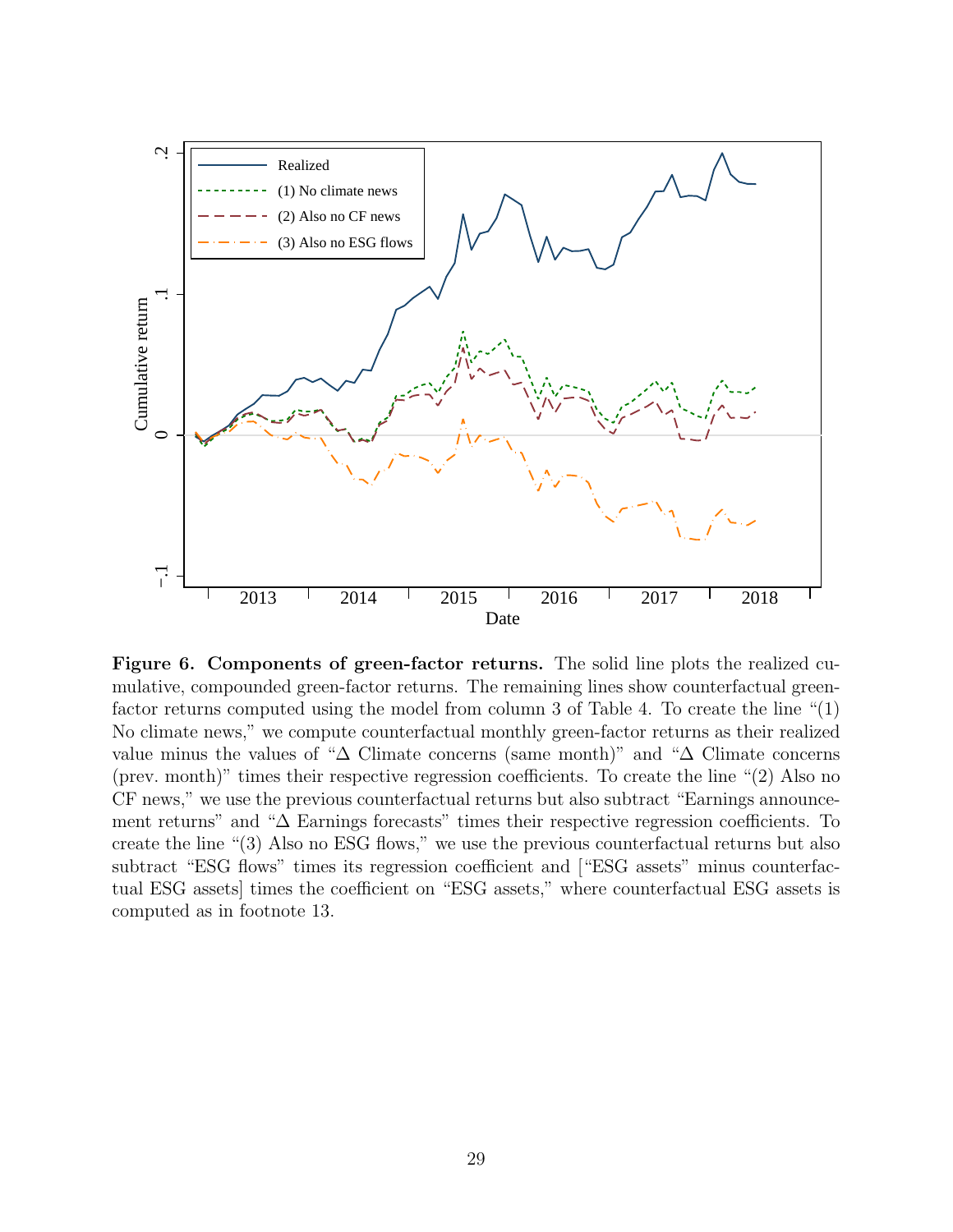

Figure 6. Components of green-factor returns. The solid line plots the realized cumulative, compounded green-factor returns. The remaining lines show counterfactual greenfactor returns computed using the model from column 3 of Table 4. To create the line "(1) No climate news," we compute counterfactual monthly green-factor returns as their realized value minus the values of "∆ Climate concerns (same month)" and "∆ Climate concerns (prev. month)" times their respective regression coefficients. To create the line "(2) Also no CF news," we use the previous counterfactual returns but also subtract "Earnings announcement returns" and "∆ Earnings forecasts" times their respective regression coefficients. To create the line "(3) Also no ESG flows," we use the previous counterfactual returns but also subtract "ESG flows" times its regression coefficient and ["ESG assets" minus counterfactual ESG assets] times the coefficient on "ESG assets," where counterfactual ESG assets is computed as in footnote 13.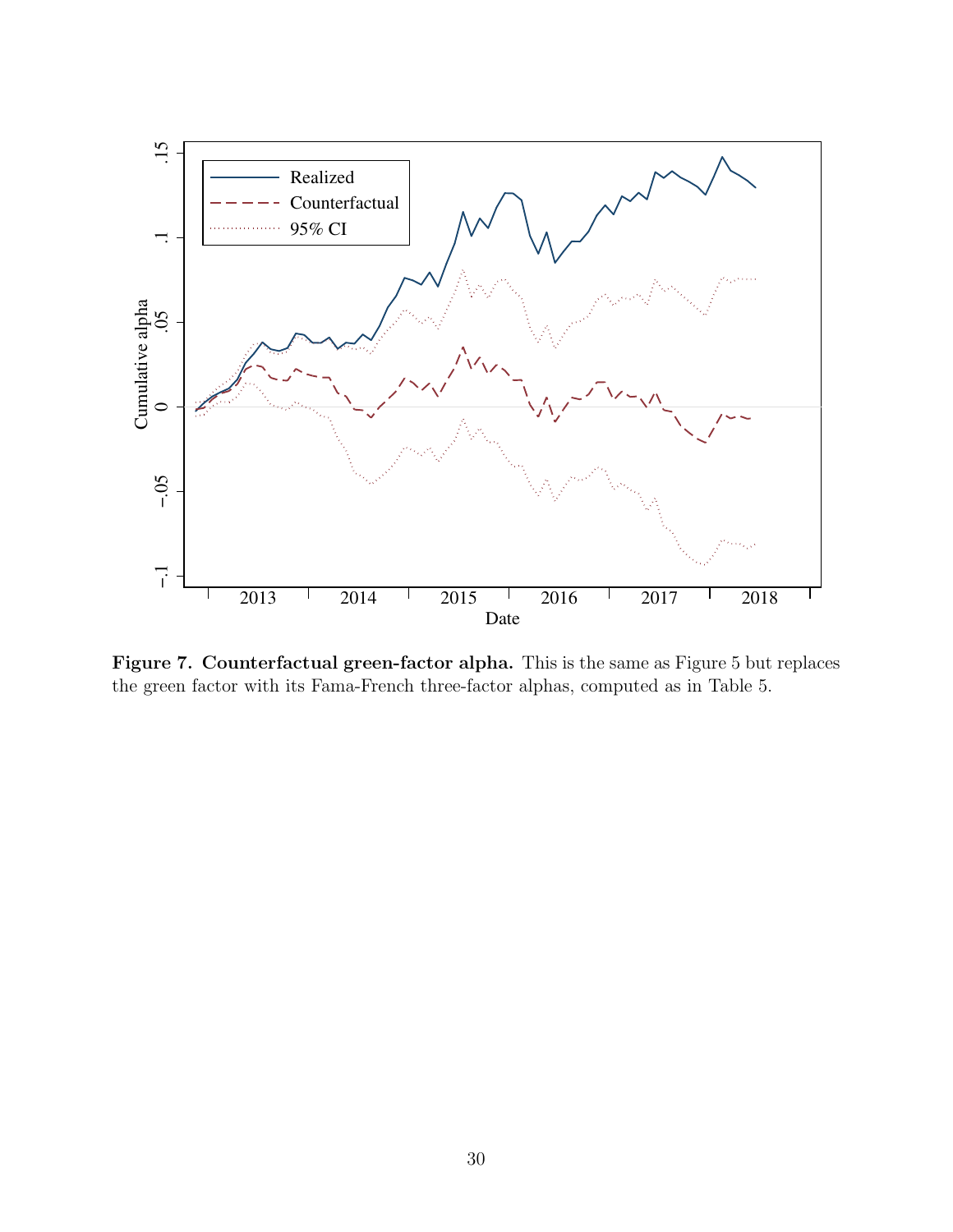

Figure 7. Counterfactual green-factor alpha. This is the same as Figure 5 but replaces the green factor with its Fama-French three-factor alphas, computed as in Table 5.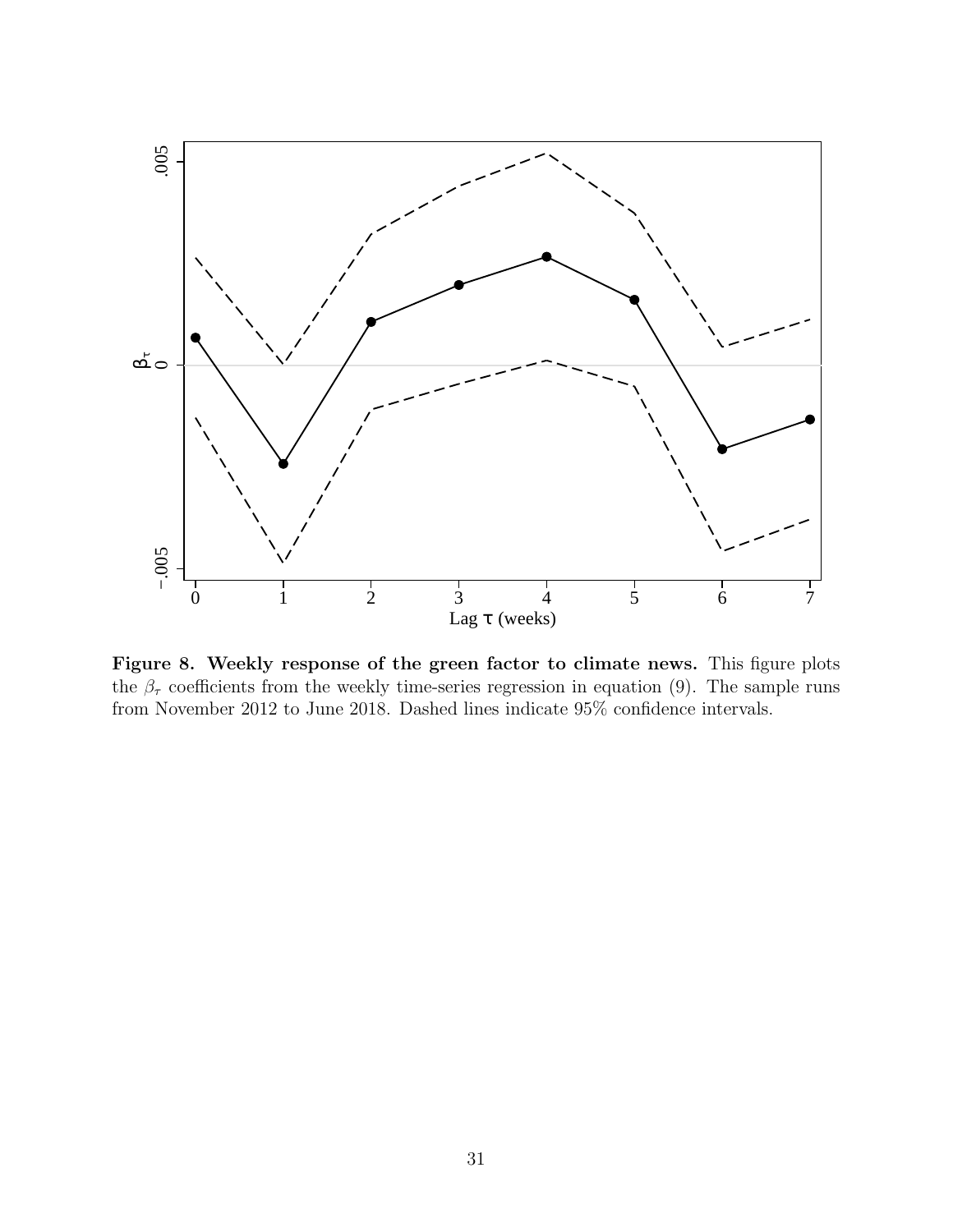

Figure 8. Weekly response of the green factor to climate news. This figure plots the  $\beta_{\tau}$  coefficients from the weekly time-series regression in equation (9). The sample runs from November 2012 to June 2018. Dashed lines indicate  $95\%$  confidence intervals.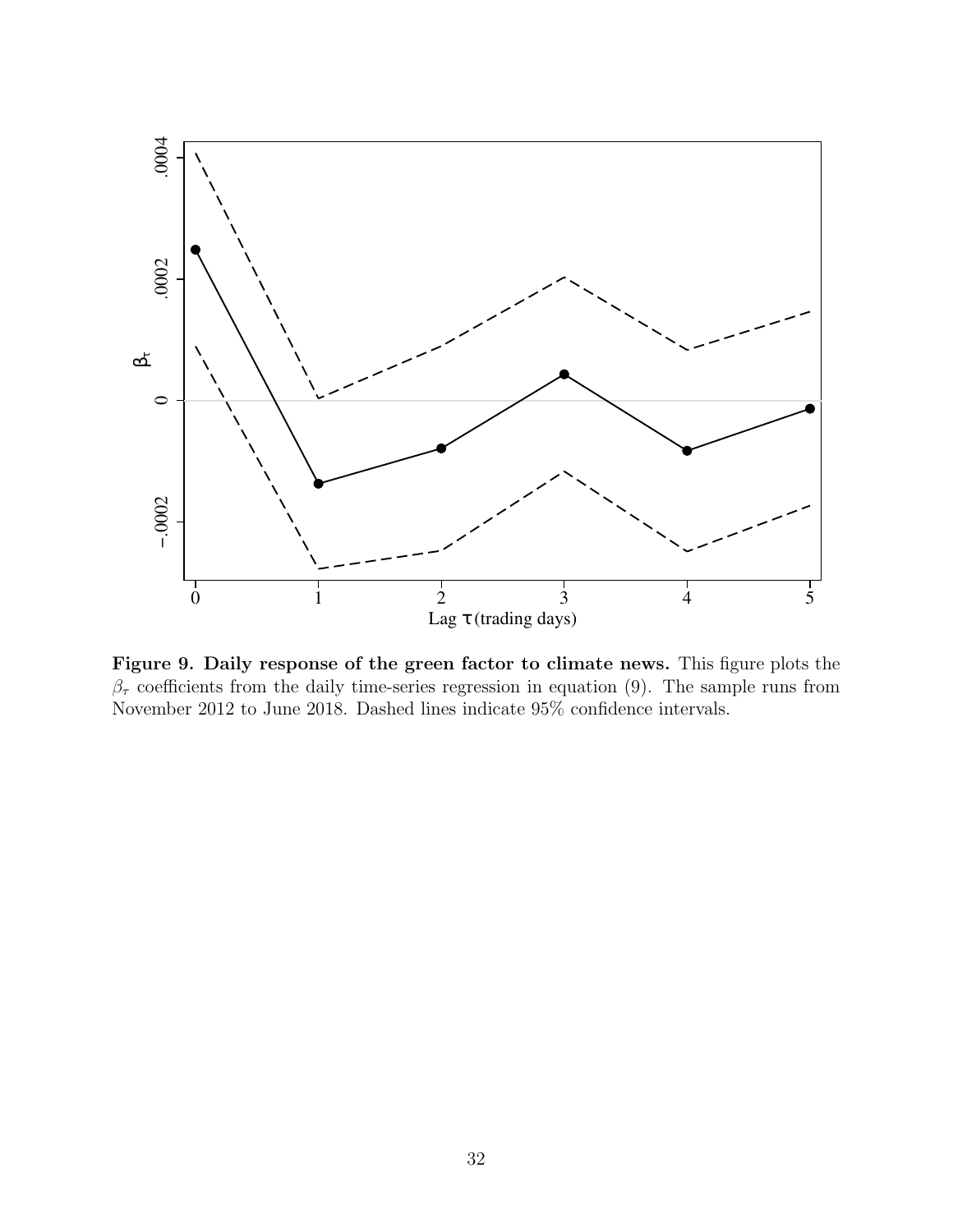

Figure 9. Daily response of the green factor to climate news. This figure plots the  $\beta_{\tau}$  coefficients from the daily time-series regression in equation (9). The sample runs from November 2012 to June 2018. Dashed lines indicate 95% confidence intervals.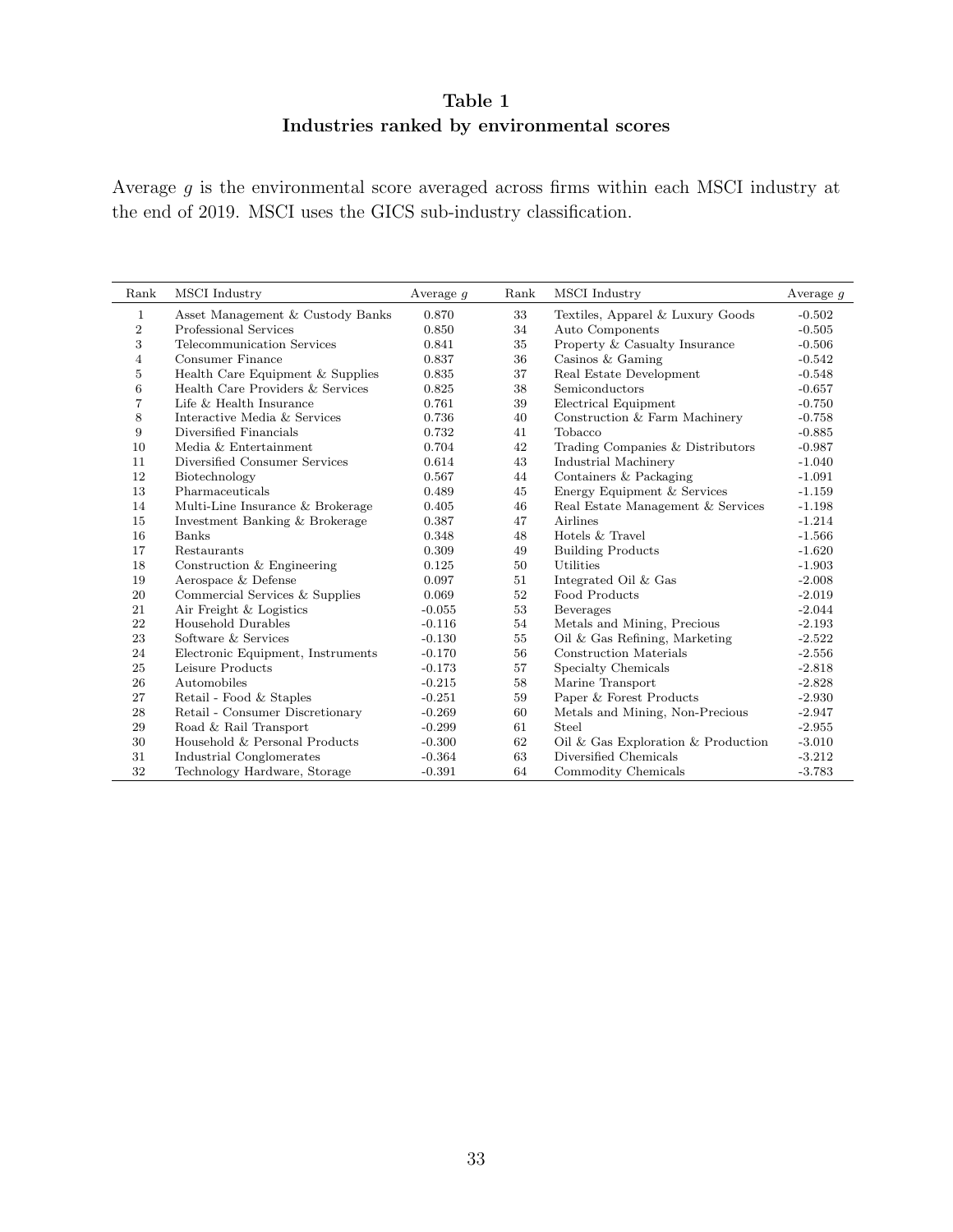### Table 1 Industries ranked by environmental scores

Average $g$  is the environmental score averaged across firms within each MSCI industry at the end of 2019. MSCI uses the GICS sub-industry classification.

| Rank           | MSCI Industry                     | Average $q$ | Rank | MSCI Industry                      | Average $q$ |
|----------------|-----------------------------------|-------------|------|------------------------------------|-------------|
| 1              | Asset Management & Custody Banks  | 0.870       | 33   | Textiles, Apparel & Luxury Goods   | $-0.502$    |
| $\overline{2}$ | Professional Services             | 0.850       | 34   | Auto Components                    | $-0.505$    |
| 3              | Telecommunication Services        | 0.841       | 35   | Property & Casualty Insurance      | $-0.506$    |
| $\overline{4}$ | Consumer Finance                  | 0.837       | 36   | Casinos $&$ Gaming                 | $-0.542$    |
| 5              | Health Care Equipment & Supplies  | 0.835       | 37   | Real Estate Development            | $-0.548$    |
| 6              | Health Care Providers & Services  | 0.825       | 38   | Semiconductors                     | $-0.657$    |
| 7              | Life & Health Insurance           | 0.761       | 39   | Electrical Equipment               | $-0.750$    |
| 8              | Interactive Media & Services      | 0.736       | 40   | Construction & Farm Machinery      | $-0.758$    |
| 9              | Diversified Financials            | 0.732       | 41   | Tobacco                            | $-0.885$    |
| 10             | Media & Entertainment             | 0.704       | 42   | Trading Companies & Distributors   | $-0.987$    |
| 11             | Diversified Consumer Services     | 0.614       | 43   | Industrial Machinery               | $-1.040$    |
| 12             | Biotechnology                     | 0.567       | 44   | Containers & Packaging             | $-1.091$    |
| 13             | Pharmaceuticals                   | 0.489       | 45   | Energy Equipment & Services        | $-1.159$    |
| 14             | Multi-Line Insurance & Brokerage  | 0.405       | 46   | Real Estate Management & Services  | $-1.198$    |
| 15             | Investment Banking & Brokerage    | 0.387       | 47   | Airlines                           | $-1.214$    |
| 16             | Banks                             | 0.348       | 48   | Hotels & Travel                    | $-1.566$    |
| 17             | Restaurants                       | 0.309       | 49   | <b>Building Products</b>           | $-1.620$    |
| 18             | Construction $&$ Engineering      | 0.125       | 50   | Utilities                          | $-1.903$    |
| 19             | Aerospace & Defense               | 0.097       | 51   | Integrated Oil & Gas               | $-2.008$    |
| 20             | Commercial Services & Supplies    | 0.069       | 52   | Food Products                      | $-2.019$    |
| 21             | Air Freight & Logistics           | $-0.055$    | 53   | Beverages                          | $-2.044$    |
| 22             | Household Durables                | $-0.116$    | 54   | Metals and Mining, Precious        | $-2.193$    |
| 23             | Software & Services               | $-0.130$    | 55   | Oil $\&$ Gas Refining, Marketing   | $-2.522$    |
| 24             | Electronic Equipment, Instruments | $-0.170$    | 56   | Construction Materials             | $-2.556$    |
| 25             | Leisure Products                  | $-0.173$    | 57   | Specialty Chemicals                | $-2.818$    |
| 26             | Automobiles                       | $-0.215$    | 58   | Marine Transport                   | $-2.828$    |
| 27             | Retail - Food & Staples           | $-0.251$    | 59   | Paper & Forest Products            | $-2.930$    |
| 28             | Retail - Consumer Discretionary   | $-0.269$    | 60   | Metals and Mining, Non-Precious    | $-2.947$    |
| 29             | Road & Rail Transport             | $-0.299$    | 61   | Steel                              | $-2.955$    |
| 30             | Household & Personal Products     | $-0.300$    | 62   | Oil & Gas Exploration & Production | $-3.010$    |
| 31             | Industrial Conglomerates          | $-0.364$    | 63   | Diversified Chemicals              | $-3.212$    |
| 32             | Technology Hardware, Storage      | $-0.391$    | 64   | Commodity Chemicals                | $-3.783$    |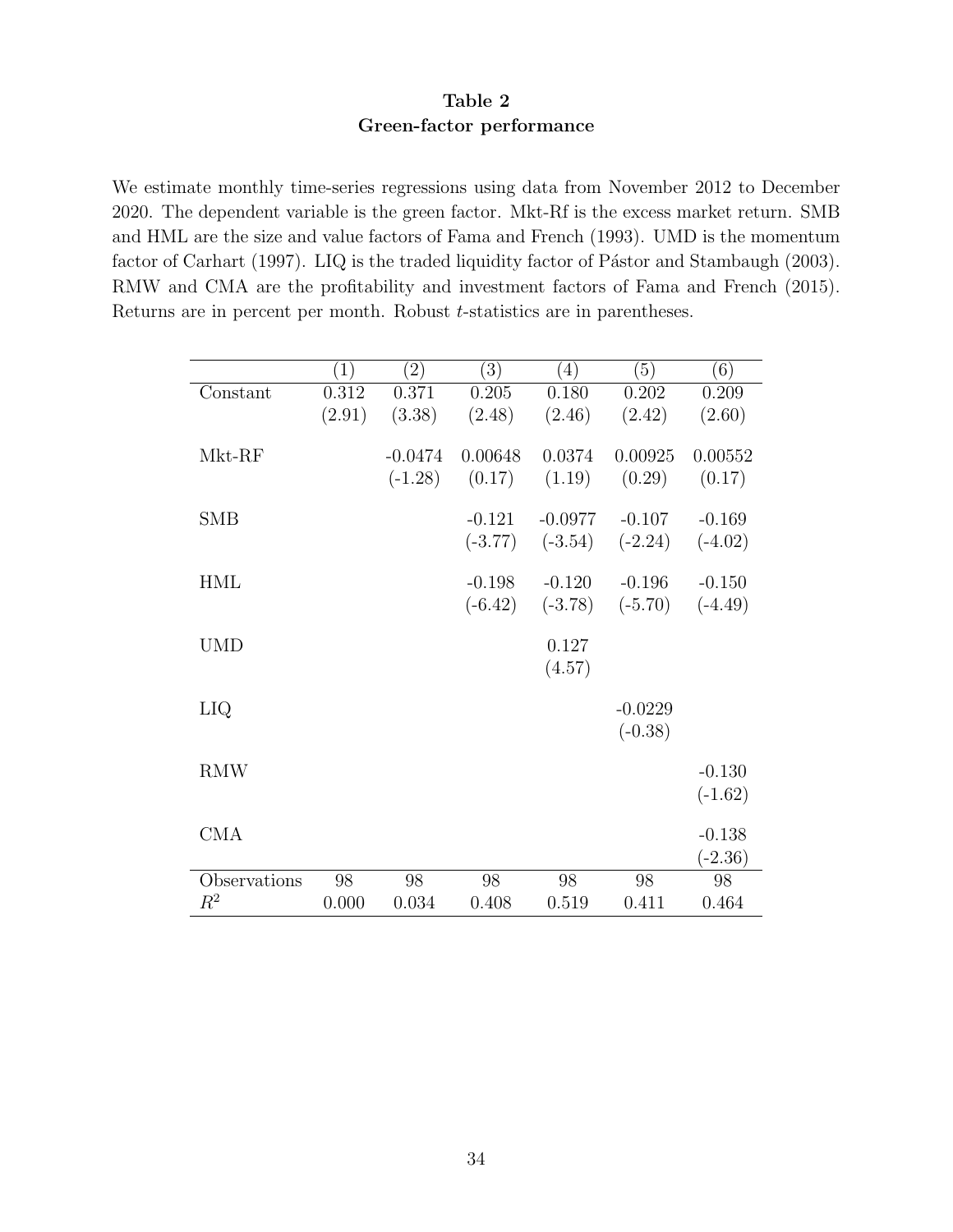### Table 2 Green-factor performance

We estimate monthly time-series regressions using data from November 2012 to December 2020. The dependent variable is the green factor. Mkt-Rf is the excess market return. SMB and HML are the size and value factors of Fama and French (1993). UMD is the momentum factor of Carhart (1997). LIQ is the traded liquidity factor of Pástor and Stambaugh (2003). RMW and CMA are the profitability and investment factors of Fama and French (2015). Returns are in percent per month. Robust *t*-statistics are in parentheses.

|              | $\left(1\right)$ | $\left( 2\right)$ | (3)       | $\left( 4\right)$ | (5)       | (6)       |
|--------------|------------------|-------------------|-----------|-------------------|-----------|-----------|
| Constant     | 0.312            | 0.371             | 0.205     | 0.180             | 0.202     | 0.209     |
|              | (2.91)           | (3.38)            | (2.48)    | (2.46)            | (2.42)    | (2.60)    |
| Mkt-RF       |                  | $-0.0474$         | 0.00648   | 0.0374            | 0.00925   | 0.00552   |
|              |                  | $(-1.28)$         | (0.17)    | (1.19)            | (0.29)    | (0.17)    |
|              |                  |                   |           |                   |           |           |
| <b>SMB</b>   |                  |                   | $-0.121$  | $-0.0977$         | $-0.107$  | $-0.169$  |
|              |                  |                   | $(-3.77)$ | $(-3.54)$         | $(-2.24)$ | $(-4.02)$ |
| <b>HML</b>   |                  |                   | $-0.198$  | $-0.120$          | $-0.196$  | $-0.150$  |
|              |                  |                   | $(-6.42)$ | $(-3.78)$         | $(-5.70)$ | $(-4.49)$ |
|              |                  |                   |           |                   |           |           |
| <b>UMD</b>   |                  |                   |           | 0.127             |           |           |
|              |                  |                   |           | (4.57)            |           |           |
| LIQ          |                  |                   |           |                   | $-0.0229$ |           |
|              |                  |                   |           |                   | $(-0.38)$ |           |
|              |                  |                   |           |                   |           |           |
| <b>RMW</b>   |                  |                   |           |                   |           | $-0.130$  |
|              |                  |                   |           |                   |           | $(-1.62)$ |
| <b>CMA</b>   |                  |                   |           |                   |           | $-0.138$  |
|              |                  |                   |           |                   |           | $(-2.36)$ |
| Observations | 98               | 98                | 98        | 98                | 98        | 98        |
| $R^2$        | 0.000            | 0.034             | 0.408     | 0.519             | 0.411     | 0.464     |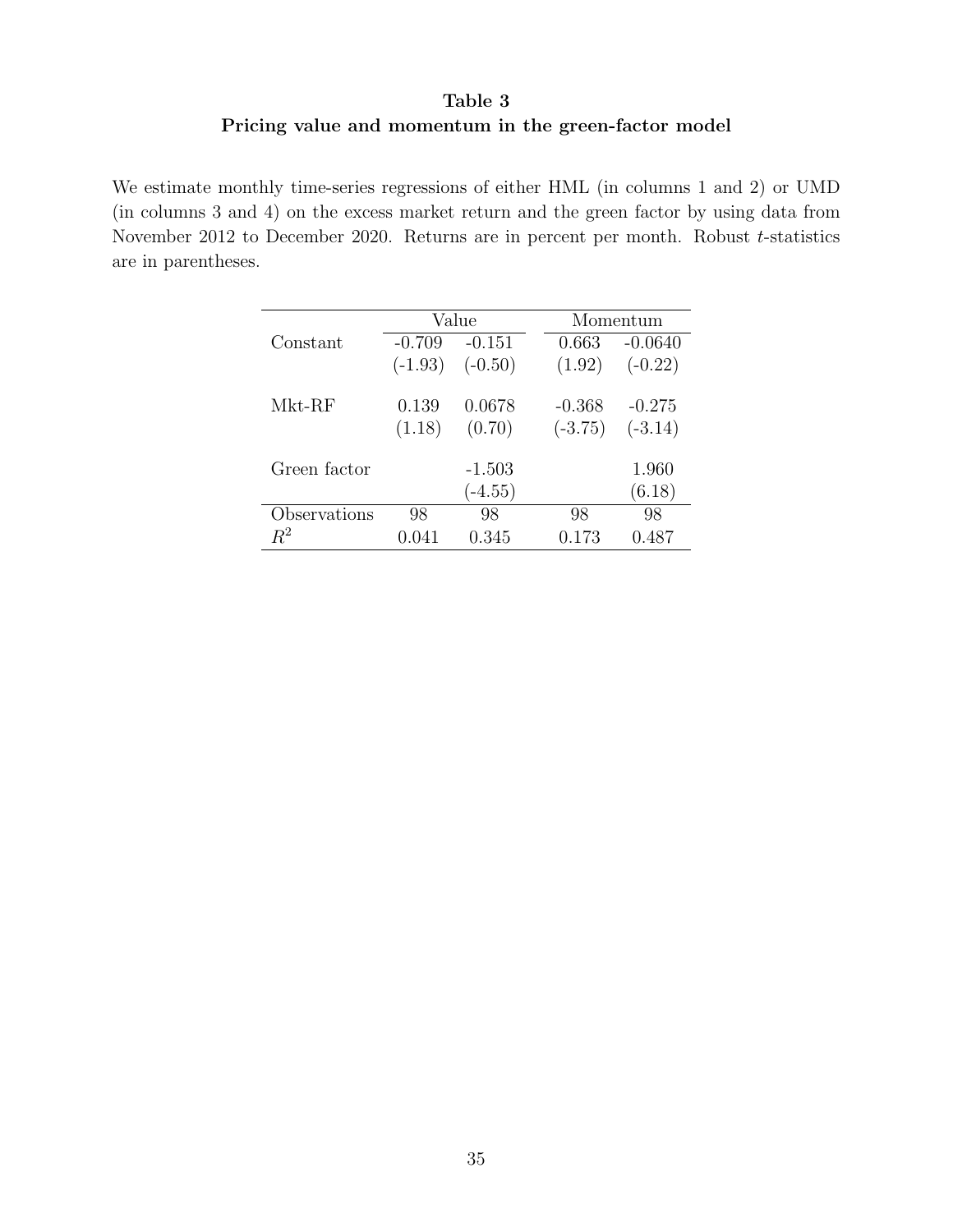### Table 3 Pricing value and momentum in the green-factor model

We estimate monthly time-series regressions of either HML (in columns 1 and 2) or UMD (in columns 3 and 4) on the excess market return and the green factor by using data from November 2012 to December 2020. Returns are in percent per month. Robust t-statistics are in parentheses.

|              | Value     |           | Momentum  |           |  |  |
|--------------|-----------|-----------|-----------|-----------|--|--|
| Constant     | $-0.709$  | $-0.151$  | 0.663     | $-0.0640$ |  |  |
|              | $(-1.93)$ | $(-0.50)$ | (1.92)    | $(-0.22)$ |  |  |
| $Mkt-RF$     | 0.139     | 0.0678    | $-0.368$  | $-0.275$  |  |  |
|              | (1.18)    | (0.70)    | $(-3.75)$ | $(-3.14)$ |  |  |
| Green factor |           | $-1.503$  |           | 1.960     |  |  |
|              |           | $(-4.55)$ |           | (6.18)    |  |  |
| Observations | 98        | 98        | 98        | 98        |  |  |
| $R^2$        | 0.041     | 0.345     | 0.173     | 0.487     |  |  |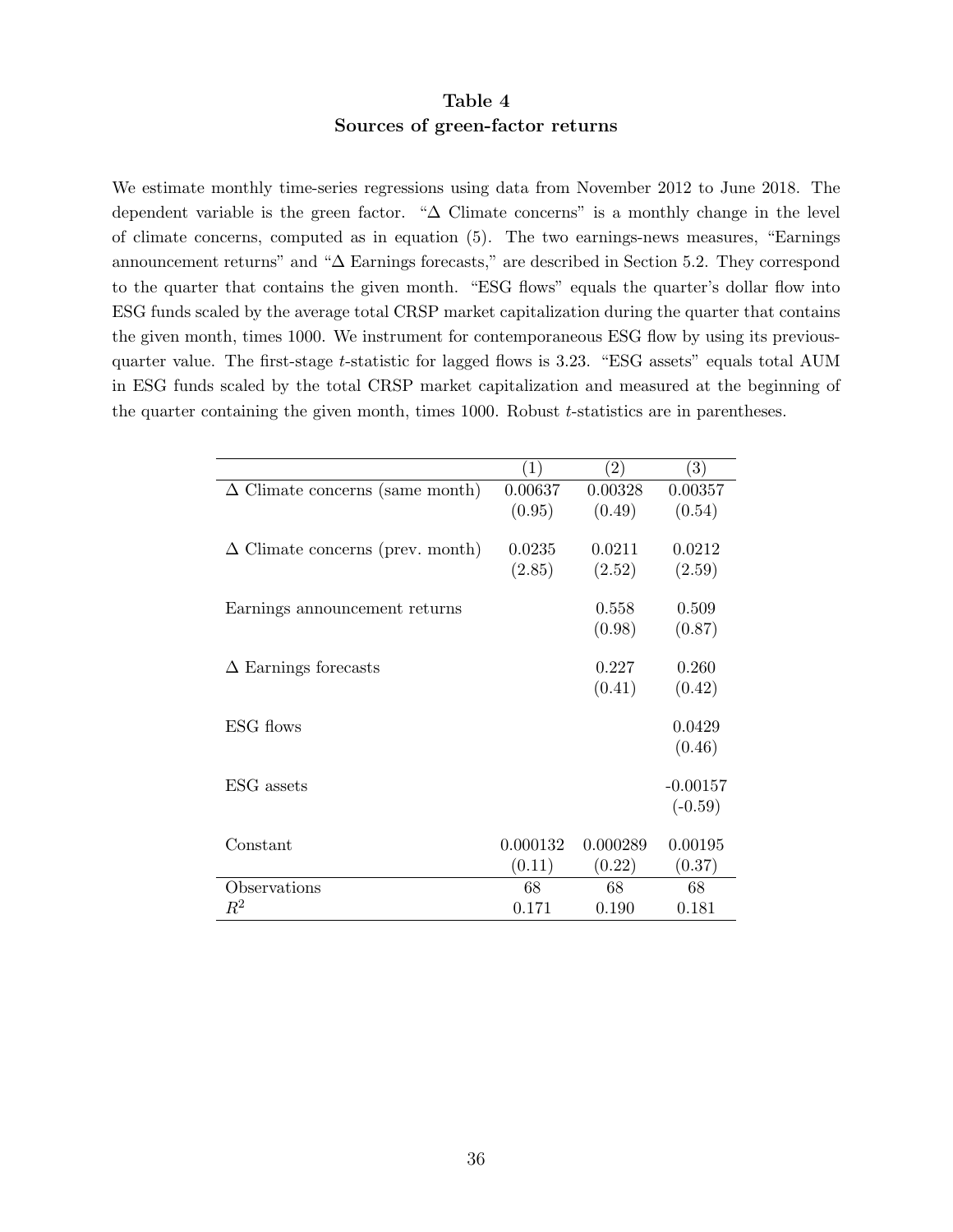### Table 4 Sources of green-factor returns

We estimate monthly time-series regressions using data from November 2012 to June 2018. The dependent variable is the green factor. "∆ Climate concerns" is a monthly change in the level of climate concerns, computed as in equation (5). The two earnings-news measures, "Earnings announcement returns" and "∆ Earnings forecasts," are described in Section 5.2. They correspond to the quarter that contains the given month. "ESG flows" equals the quarter's dollar flow into ESG funds scaled by the average total CRSP market capitalization during the quarter that contains the given month, times 1000. We instrument for contemporaneous ESG flow by using its previousquarter value. The first-stage t-statistic for lagged flows is 3.23. "ESG assets" equals total AUM in ESG funds scaled by the total CRSP market capitalization and measured at the beginning of the quarter containing the given month, times  $1000$ . Robust  $t$ -statistics are in parentheses.

|                                         | $\left( 1\right)$ | $\left( 2\right)$ | $\left(3\right)$ |
|-----------------------------------------|-------------------|-------------------|------------------|
| $\Delta$ Climate concerns (same month)  | 0.00637           | 0.00328           | 0.00357          |
|                                         | (0.95)            | (0.49)            | (0.54)           |
|                                         |                   |                   |                  |
| $\Delta$ Climate concerns (prev. month) | 0.0235            | 0.0211            | 0.0212           |
|                                         | (2.85)            | (2.52)            | (2.59)           |
|                                         |                   |                   |                  |
| Earnings announcement returns           |                   | 0.558             | 0.509            |
|                                         |                   | (0.98)            | (0.87)           |
|                                         |                   |                   |                  |
| $\Delta$ Earnings forecasts             |                   | 0.227             | 0.260            |
|                                         |                   | (0.41)            | (0.42)           |
|                                         |                   |                   |                  |
| ESG flows                               |                   |                   | 0.0429           |
|                                         |                   |                   | (0.46)           |
|                                         |                   |                   |                  |
| ESG assets                              |                   |                   | $-0.00157$       |
|                                         |                   |                   | $(-0.59)$        |
|                                         |                   |                   |                  |
| Constant                                | 0.000132          | 0.000289          | 0.00195          |
|                                         | (0.11)            | (0.22)            | (0.37)           |
| Observations                            | 68                | 68                | 68               |
| $\,R^2$                                 | 0.171             | 0.190             | 0.181            |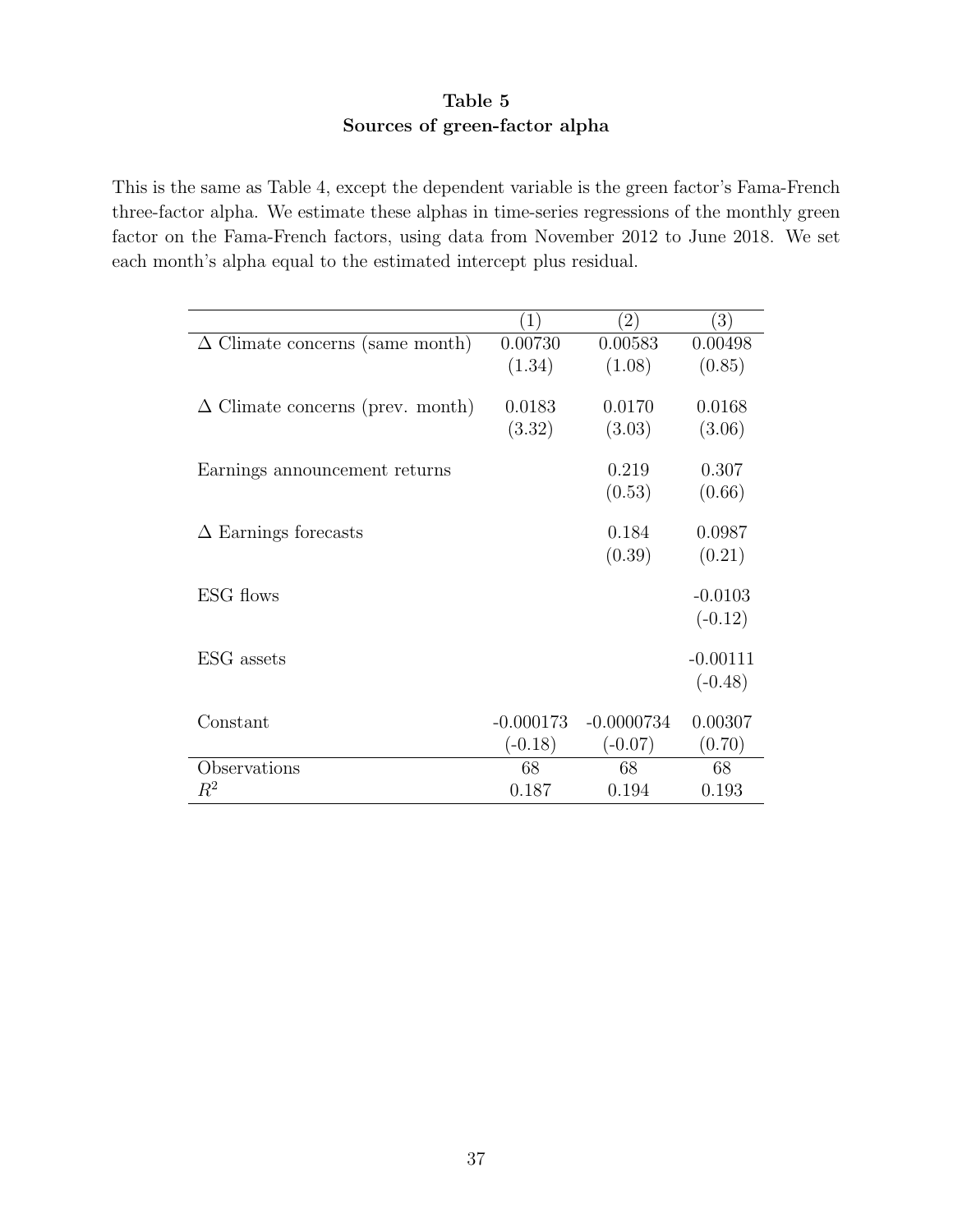### Table 5 Sources of green-factor alpha

This is the same as Table 4, except the dependent variable is the green factor's Fama-French three-factor alpha. We estimate these alphas in time-series regressions of the monthly green factor on the Fama-French factors, using data from November 2012 to June 2018. We set each month's alpha equal to the estimated intercept plus residual.

|                                         | (1)         | $\left( 2\right)$ | $\left(3\right)$ |
|-----------------------------------------|-------------|-------------------|------------------|
| $\Delta$ Climate concerns (same month)  | 0.00730     | 0.00583           | 0.00498          |
|                                         | (1.34)      | (1.08)            | (0.85)           |
|                                         |             |                   |                  |
| $\Delta$ Climate concerns (prev. month) | 0.0183      | 0.0170            | 0.0168           |
|                                         | (3.32)      | (3.03)            | (3.06)           |
|                                         |             |                   |                  |
| Earnings announcement returns           |             | 0.219             | 0.307            |
|                                         |             | (0.53)            | (0.66)           |
|                                         |             |                   |                  |
| $\Delta$ Earnings forecasts             |             | 0.184             | 0.0987           |
|                                         |             | (0.39)            | (0.21)           |
|                                         |             |                   |                  |
| ESG flows                               |             |                   | $-0.0103$        |
|                                         |             |                   | $(-0.12)$        |
|                                         |             |                   |                  |
| ESG assets                              |             |                   | $-0.00111$       |
|                                         |             |                   | $(-0.48)$        |
|                                         |             |                   |                  |
| Constant                                | $-0.000173$ | $-0.0000734$      | 0.00307          |
|                                         | $(-0.18)$   | $(-0.07)$         | (0.70)           |
| Observations                            | 68          | 68                | 68               |
| $\,R^2$                                 | 0.187       | 0.194             | 0.193            |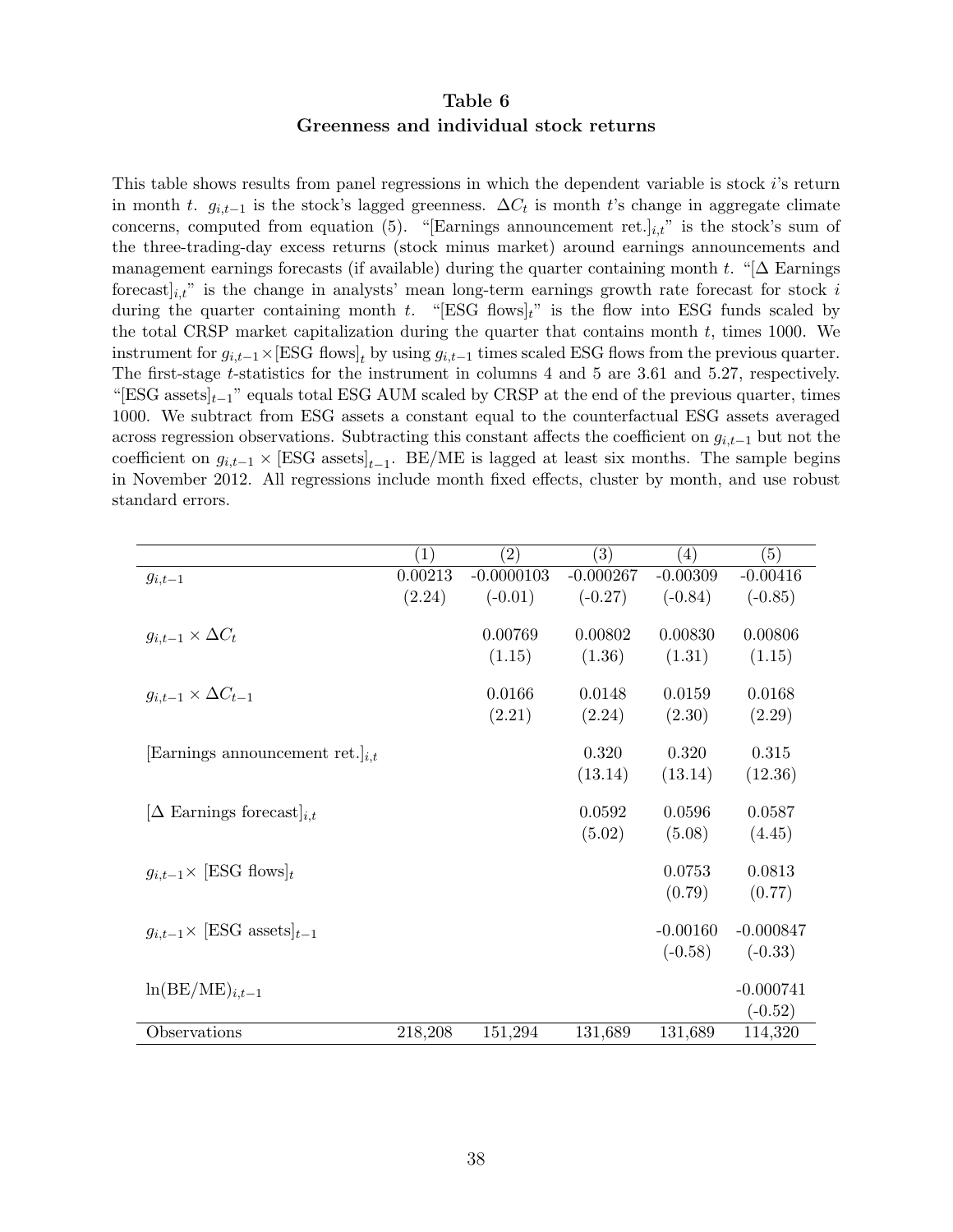### Table 6 Greenness and individual stock returns

This table shows results from panel regressions in which the dependent variable is stock i's return in month t.  $g_{i,t-1}$  is the stock's lagged greenness.  $\Delta C_t$  is month t's change in aggregate climate concerns, computed from equation (5). "[Earnings announcement ret.] $_{i,t}$ " is the stock's sum of the three-trading-day excess returns (stock minus market) around earnings announcements and management earnings forecasts (if available) during the quarter containing month t. "[ $\Delta$  Earnings forecast  $i_{i,t}$ " is the change in analysts' mean long-term earnings growth rate forecast for stock i during the quarter containing month  $t$ . "[ESG flows] $t$ " is the flow into ESG funds scaled by the total CRSP market capitalization during the quarter that contains month  $t$ , times 1000. We instrument for  $g_{i,t-1} \times [\text{ESG flows}]_t$  by using  $g_{i,t-1}$  times scaled ESG flows from the previous quarter. The first-stage t-statistics for the instrument in columns 4 and 5 are 3.61 and 5.27, respectively. "[ESG assets $|_{t-1}$ " equals total ESG AUM scaled by CRSP at the end of the previous quarter, times 1000. We subtract from ESG assets a constant equal to the counterfactual ESG assets averaged across regression observations. Subtracting this constant affects the coefficient on  $q_{i,t-1}$  but not the coefficient on  $g_{i,t-1} \times [\text{ESG assets}]_{t-1}$ . BE/ME is lagged at least six months. The sample begins in November 2012. All regressions include month fixed effects, cluster by month, and use robust standard errors.

|                                              | $\left( 1\right)$ | $\left( 2\right)$ | $\left( 3\right)$ | (4)        | (5)         |
|----------------------------------------------|-------------------|-------------------|-------------------|------------|-------------|
| $g_{i,t-1}$                                  | 0.00213           | $-0.0000103$      | $-0.000267$       | $-0.00309$ | $-0.00416$  |
|                                              | (2.24)            | $(-0.01)$         | $(-0.27)$         | $(-0.84)$  | $(-0.85)$   |
| $g_{i,t-1} \times \Delta C_t$                |                   | 0.00769           | 0.00802           | 0.00830    | 0.00806     |
|                                              |                   | (1.15)            | (1.36)            | (1.31)     | (1.15)      |
|                                              |                   |                   |                   |            |             |
| $g_{i,t-1} \times \Delta C_{t-1}$            |                   | 0.0166            | 0.0148            | 0.0159     | 0.0168      |
|                                              |                   | (2.21)            | (2.24)            | (2.30)     | (2.29)      |
| Earnings announcement ret. $i_{i,t}$         |                   |                   | 0.320             | 0.320      | 0.315       |
|                                              |                   |                   | (13.14)           | (13.14)    | (12.36)     |
|                                              |                   |                   |                   |            |             |
| $[\Delta$ Earnings forecast $]_{i,t}$        |                   |                   | 0.0592            | 0.0596     | 0.0587      |
|                                              |                   |                   | (5.02)            | (5.08)     | (4.45)      |
|                                              |                   |                   |                   |            |             |
| $g_{i,t-1} \times \text{[ESG flows]}_{t}$    |                   |                   |                   | 0.0753     | 0.0813      |
|                                              |                   |                   |                   | (0.79)     | (0.77)      |
| $g_{i,t-1} \times [\text{ESG assets}]_{t-1}$ |                   |                   |                   | $-0.00160$ | $-0.000847$ |
|                                              |                   |                   |                   | $(-0.58)$  | $(-0.33)$   |
|                                              |                   |                   |                   |            |             |
| $ln(BE/ME)_{i,t-1}$                          |                   |                   |                   |            | $-0.000741$ |
|                                              |                   |                   |                   |            | $(-0.52)$   |
| Observations                                 | 218,208           | 151,294           | 131,689           | 131,689    | 114,320     |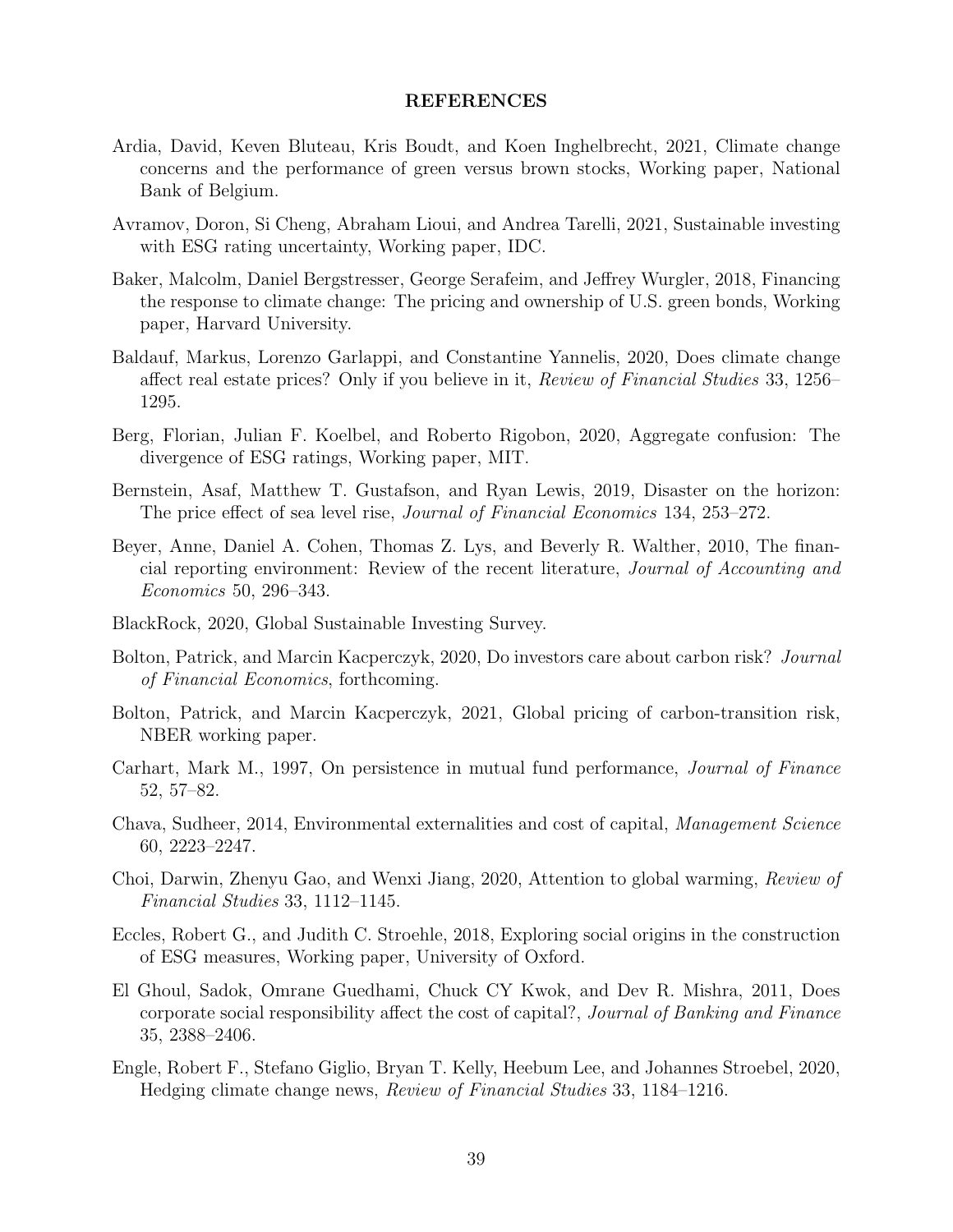#### REFERENCES

- Ardia, David, Keven Bluteau, Kris Boudt, and Koen Inghelbrecht, 2021, Climate change concerns and the performance of green versus brown stocks, Working paper, National Bank of Belgium.
- Avramov, Doron, Si Cheng, Abraham Lioui, and Andrea Tarelli, 2021, Sustainable investing with ESG rating uncertainty, Working paper, IDC.
- Baker, Malcolm, Daniel Bergstresser, George Serafeim, and Jeffrey Wurgler, 2018, Financing the response to climate change: The pricing and ownership of U.S. green bonds, Working paper, Harvard University.
- Baldauf, Markus, Lorenzo Garlappi, and Constantine Yannelis, 2020, Does climate change affect real estate prices? Only if you believe in it, Review of Financial Studies 33, 1256– 1295.
- Berg, Florian, Julian F. Koelbel, and Roberto Rigobon, 2020, Aggregate confusion: The divergence of ESG ratings, Working paper, MIT.
- Bernstein, Asaf, Matthew T. Gustafson, and Ryan Lewis, 2019, Disaster on the horizon: The price effect of sea level rise, Journal of Financial Economics 134, 253–272.
- Beyer, Anne, Daniel A. Cohen, Thomas Z. Lys, and Beverly R. Walther, 2010, The financial reporting environment: Review of the recent literature, Journal of Accounting and Economics 50, 296–343.
- BlackRock, 2020, Global Sustainable Investing Survey.
- Bolton, Patrick, and Marcin Kacperczyk, 2020, Do investors care about carbon risk? Journal of Financial Economics, forthcoming.
- Bolton, Patrick, and Marcin Kacperczyk, 2021, Global pricing of carbon-transition risk, NBER working paper.
- Carhart, Mark M., 1997, On persistence in mutual fund performance, Journal of Finance 52, 57–82.
- Chava, Sudheer, 2014, Environmental externalities and cost of capital, Management Science 60, 2223–2247.
- Choi, Darwin, Zhenyu Gao, and Wenxi Jiang, 2020, Attention to global warming, Review of Financial Studies 33, 1112–1145.
- Eccles, Robert G., and Judith C. Stroehle, 2018, Exploring social origins in the construction of ESG measures, Working paper, University of Oxford.
- El Ghoul, Sadok, Omrane Guedhami, Chuck CY Kwok, and Dev R. Mishra, 2011, Does corporate social responsibility affect the cost of capital?, Journal of Banking and Finance 35, 2388–2406.
- Engle, Robert F., Stefano Giglio, Bryan T. Kelly, Heebum Lee, and Johannes Stroebel, 2020, Hedging climate change news, Review of Financial Studies 33, 1184–1216.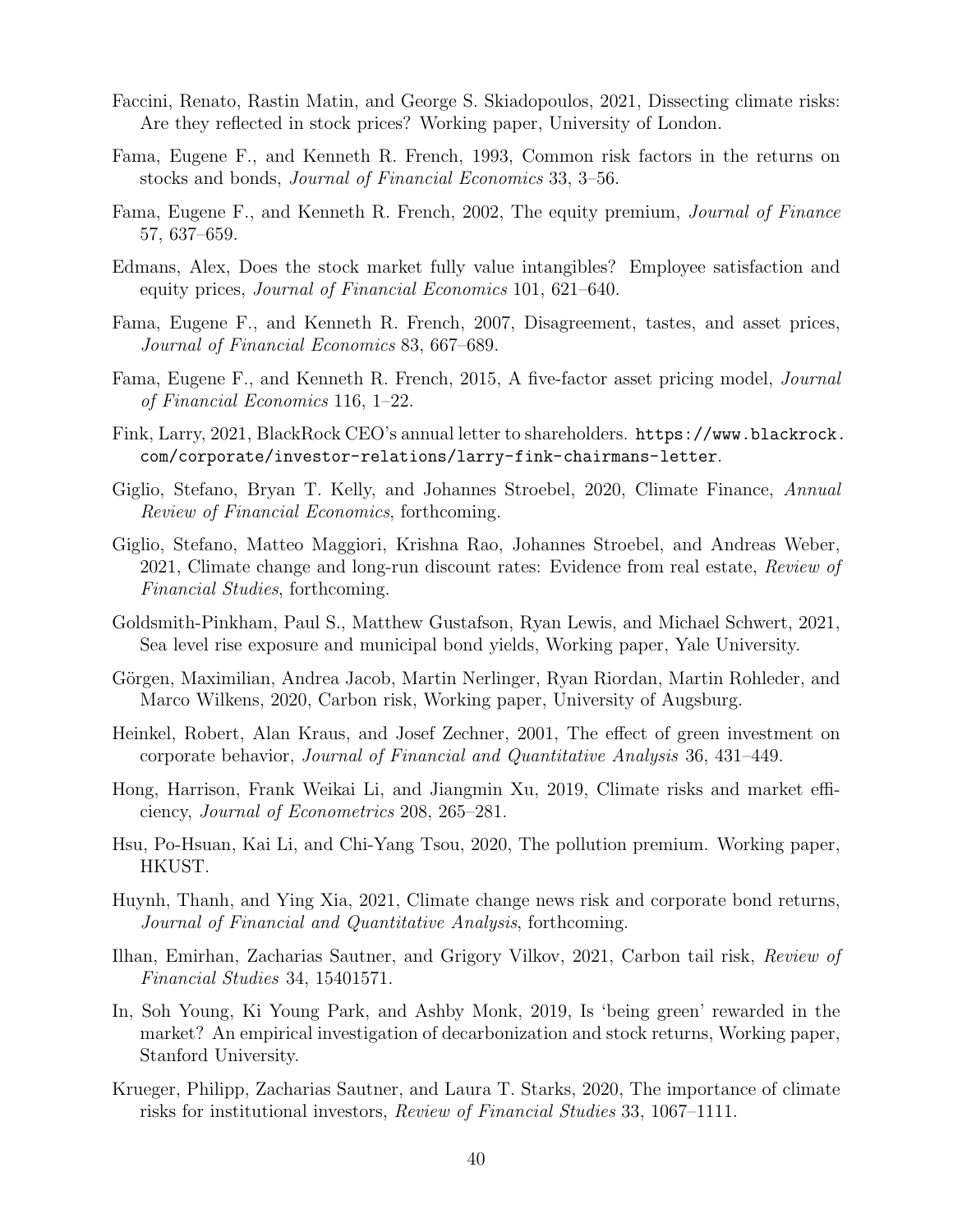- Faccini, Renato, Rastin Matin, and George S. Skiadopoulos, 2021, Dissecting climate risks: Are they reflected in stock prices? Working paper, University of London.
- Fama, Eugene F., and Kenneth R. French, 1993, Common risk factors in the returns on stocks and bonds, Journal of Financial Economics 33, 3–56.
- Fama, Eugene F., and Kenneth R. French, 2002, The equity premium, Journal of Finance 57, 637–659.
- Edmans, Alex, Does the stock market fully value intangibles? Employee satisfaction and equity prices, Journal of Financial Economics 101, 621–640.
- Fama, Eugene F., and Kenneth R. French, 2007, Disagreement, tastes, and asset prices, Journal of Financial Economics 83, 667–689.
- Fama, Eugene F., and Kenneth R. French, 2015, A five-factor asset pricing model, Journal of Financial Economics 116, 1–22.
- Fink, Larry, 2021, BlackRock CEO's annual letter to shareholders. https://www.blackrock. com/corporate/investor-relations/larry-fink-chairmans-letter.
- Giglio, Stefano, Bryan T. Kelly, and Johannes Stroebel, 2020, Climate Finance, Annual Review of Financial Economics, forthcoming.
- Giglio, Stefano, Matteo Maggiori, Krishna Rao, Johannes Stroebel, and Andreas Weber, 2021, Climate change and long-run discount rates: Evidence from real estate, Review of Financial Studies, forthcoming.
- Goldsmith-Pinkham, Paul S., Matthew Gustafson, Ryan Lewis, and Michael Schwert, 2021, Sea level rise exposure and municipal bond yields, Working paper, Yale University.
- Görgen, Maximilian, Andrea Jacob, Martin Nerlinger, Ryan Riordan, Martin Rohleder, and Marco Wilkens, 2020, Carbon risk, Working paper, University of Augsburg.
- Heinkel, Robert, Alan Kraus, and Josef Zechner, 2001, The effect of green investment on corporate behavior, Journal of Financial and Quantitative Analysis 36, 431–449.
- Hong, Harrison, Frank Weikai Li, and Jiangmin Xu, 2019, Climate risks and market efficiency, Journal of Econometrics 208, 265–281.
- Hsu, Po-Hsuan, Kai Li, and Chi-Yang Tsou, 2020, The pollution premium. Working paper, HKUST.
- Huynh, Thanh, and Ying Xia, 2021, Climate change news risk and corporate bond returns, Journal of Financial and Quantitative Analysis, forthcoming.
- Ilhan, Emirhan, Zacharias Sautner, and Grigory Vilkov, 2021, Carbon tail risk, Review of Financial Studies 34, 15401571.
- In, Soh Young, Ki Young Park, and Ashby Monk, 2019, Is 'being green' rewarded in the market? An empirical investigation of decarbonization and stock returns, Working paper, Stanford University.
- Krueger, Philipp, Zacharias Sautner, and Laura T. Starks, 2020, The importance of climate risks for institutional investors, Review of Financial Studies 33, 1067–1111.